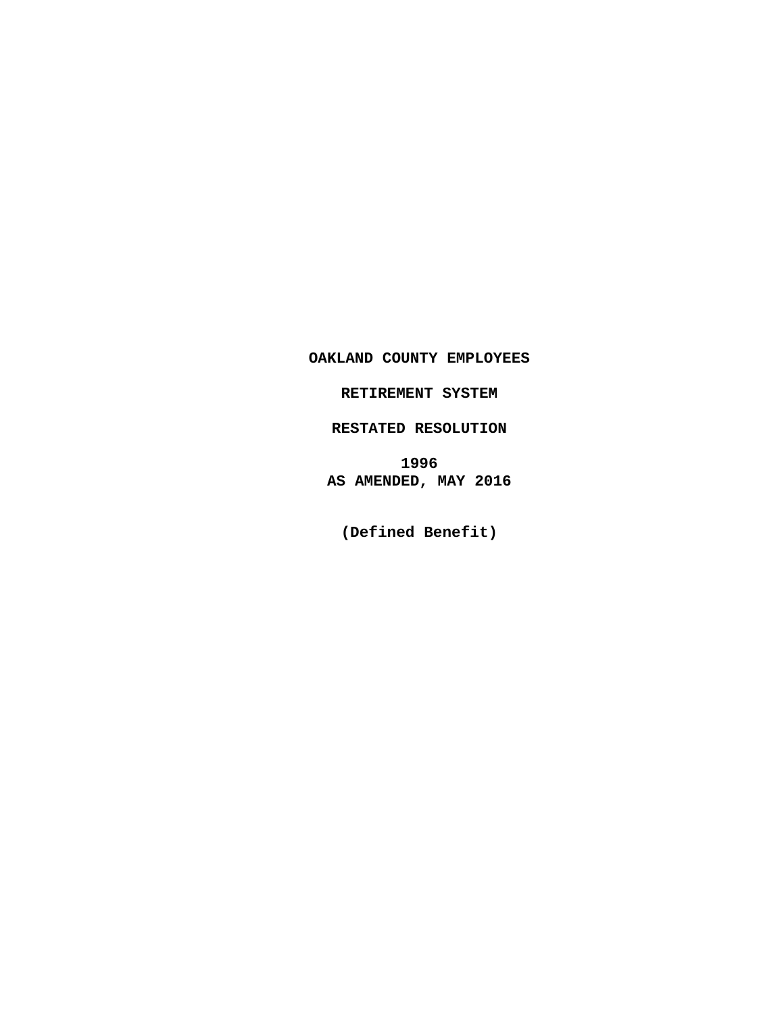**OAKLAND COUNTY EMPLOYEES**

**RETIREMENT SYSTEM**

**RESTATED RESOLUTION**

**1996 AS AMENDED, MAY 2016**

**(Defined Benefit)**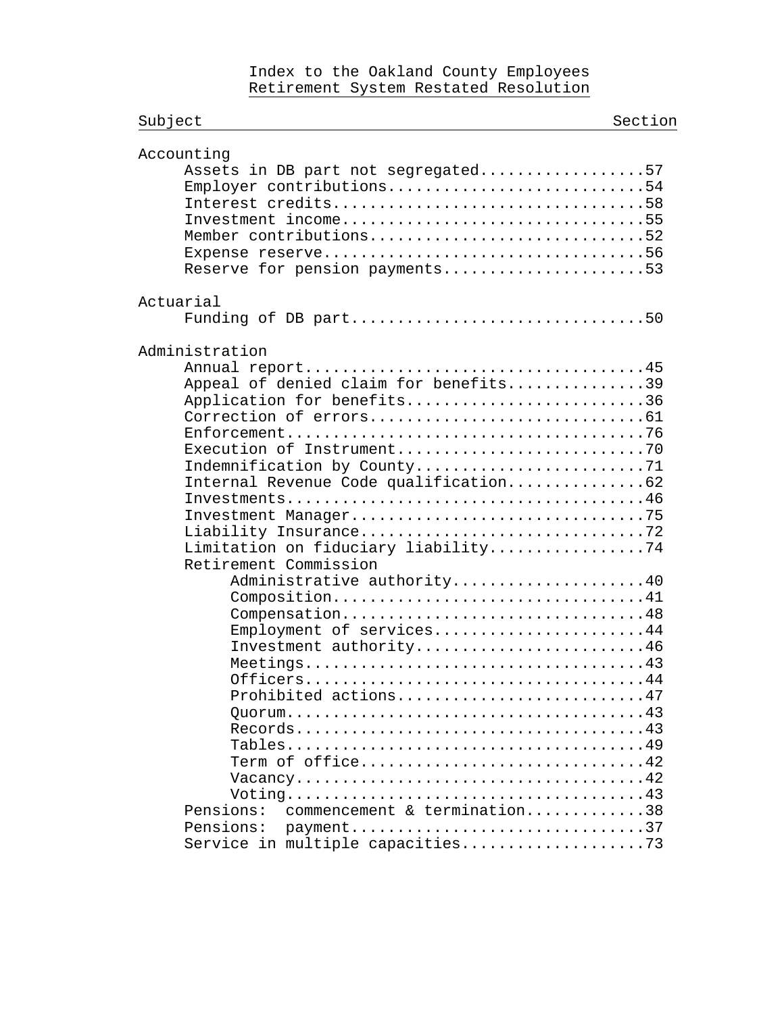## Index to the Oakland County Employees Retirement System Restated Resolution

| Subject                                                                                                                                                                                                                                                                                             | Section |
|-----------------------------------------------------------------------------------------------------------------------------------------------------------------------------------------------------------------------------------------------------------------------------------------------------|---------|
| Accounting<br>Assets in DB part not segregated57<br>Employer contributions54<br>Interest credits58<br>Investment income55<br>Member contributions52<br>Reserve for pension payments53                                                                                                               |         |
| Actuarial<br>Funding of DB part50                                                                                                                                                                                                                                                                   |         |
| Administration<br>Appeal of denied claim for benefits39<br>Application for benefits36<br>Indemnification by County71<br>Internal Revenue Code qualification62<br>Limitation on fiduciary liability74                                                                                                |         |
| Retirement Commission<br>Administrative authority40<br>Composition41<br>Compensation48<br>Employment of services44<br>Investment authority46<br>Prohibited actions47<br>Term of office42<br>commencement & termination38<br>Pensions:<br>Pensions:<br>payment37<br>Service in multiple capacities73 |         |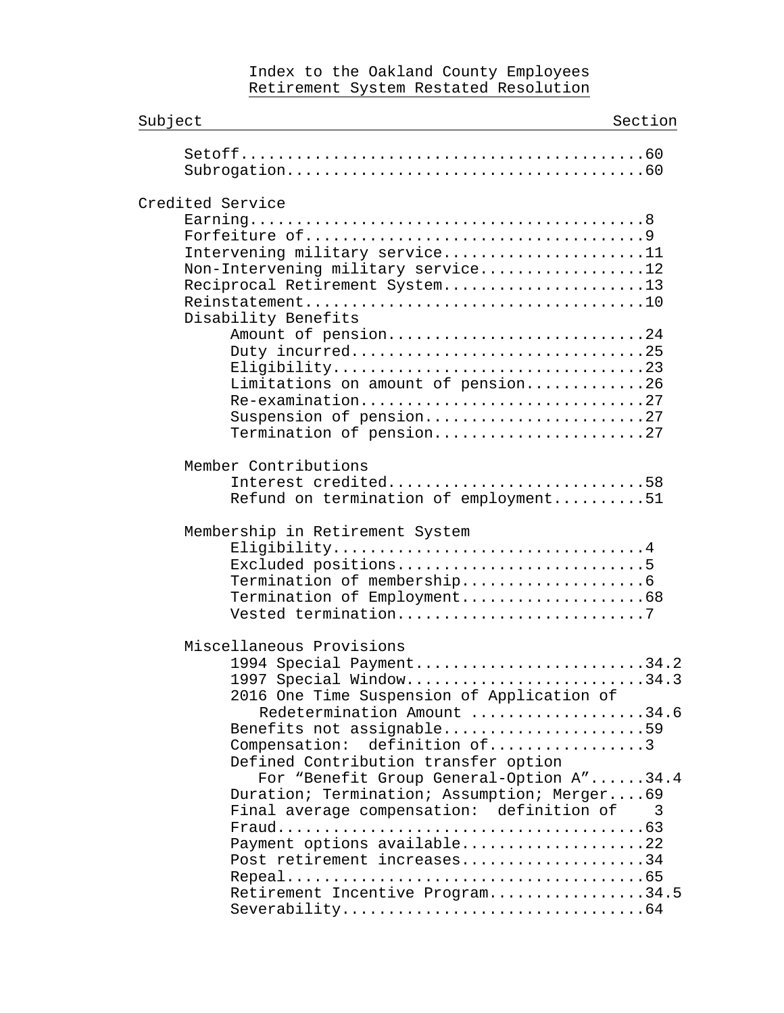### Index to the Oakland County Employees Retirement System Restated Resolution

| Subject                                                                                                                                                                                            | Section                  |
|----------------------------------------------------------------------------------------------------------------------------------------------------------------------------------------------------|--------------------------|
|                                                                                                                                                                                                    |                          |
| Credited Service<br>Intervening military service11<br>Non-Intervening military service12<br>Reciprocal Retirement System13<br>Disability Benefits<br>Amount of pension24<br>Duty incurred25        |                          |
| Limitations on amount of pension26<br>Re-examination27<br>Suspension of pension27<br>Termination of pension27                                                                                      |                          |
| Member Contributions<br>Interest credited58<br>Refund on termination of employment51                                                                                                               |                          |
| Membership in Retirement System<br>Eligibility4<br>Excluded positions5<br>Termination of Employment68<br>Vested termination7                                                                       |                          |
| Miscellaneous Provisions<br>1994 Special Payment34.2<br>1997 Special Window34.3<br>2016 One Time Suspension of Application of                                                                      |                          |
| Redetermination Amount 34.6<br>Benefits not assignable59<br>Compensation: definition of3<br>Defined Contribution transfer option                                                                   |                          |
| For "Benefit Group General-Option A"34.4<br>Duration; Termination; Assumption; Merger69<br>Final average compensation: definition of<br>Payment options available22<br>Post retirement increases34 | $\overline{\phantom{a}}$ |
| Retirement Incentive Program34.5                                                                                                                                                                   |                          |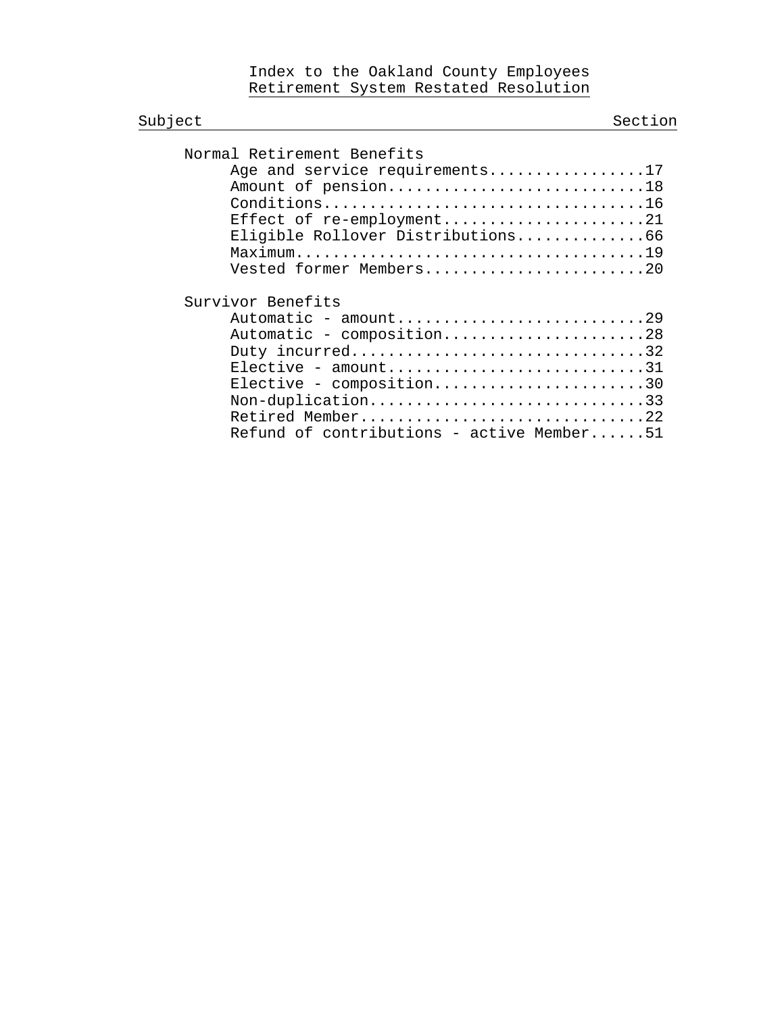Index to the Oakland County Employees Retirement System Restated Resolution

| Subject                                                                                                                                                                                                                                                                                                                                                                                                           | Section |
|-------------------------------------------------------------------------------------------------------------------------------------------------------------------------------------------------------------------------------------------------------------------------------------------------------------------------------------------------------------------------------------------------------------------|---------|
| Normal Retirement Benefits<br>Age and service requirements17<br>Amount of pension18<br>Conditions16<br>Effect of re-employment21<br>Eligible Rollover Distributions66<br>Vested former Members20                                                                                                                                                                                                                  |         |
| Survivor Benefits<br>$\text{Automatic - amount} \dots \dots \dots \dots \dots \dots \dots \dots \dots \dots \dots \dots \dots \dots \dots \dots$<br>Automatic - composition28<br>Duty incurred32<br>$Elective - amount \dots \dots \dots \dots \dots \dots \dots \dots \dots \dots \dots \dots$<br>Elective - composition30<br>Non-duplication33<br>Retired Member22<br>Refund of contributions - active Member51 |         |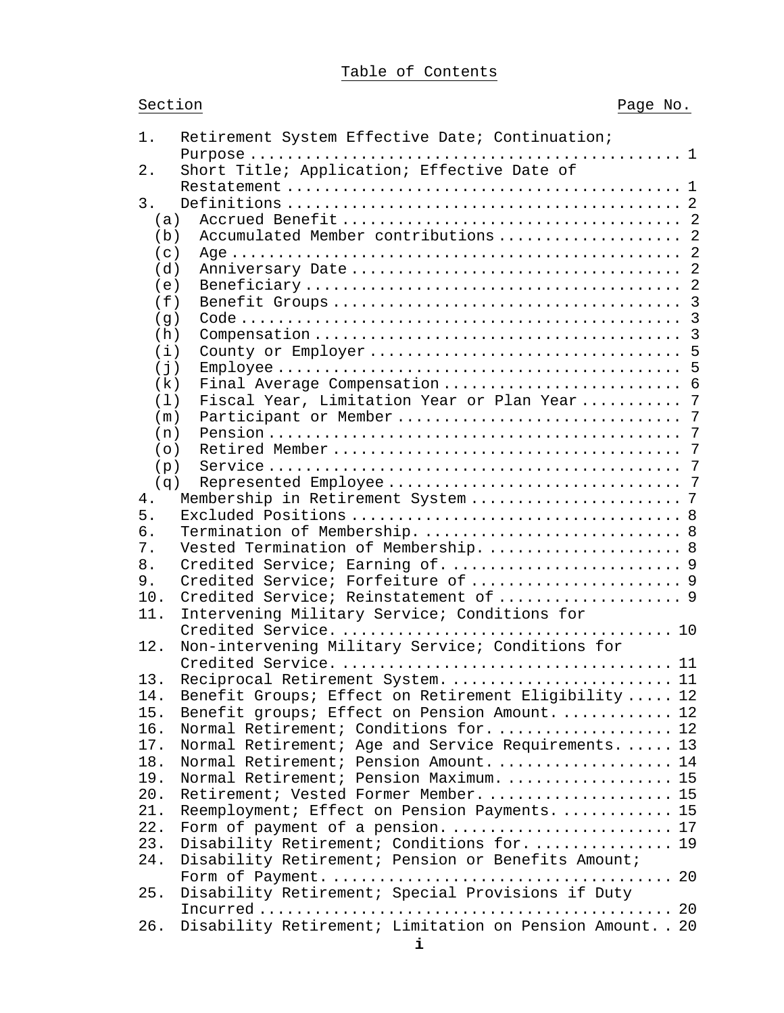# Table of Contents

| Section |  |  |
|---------|--|--|
|         |  |  |

| 1.          | Retirement System Effective Date; Continuation;           |
|-------------|-----------------------------------------------------------|
| 2.          | Short Title; Application; Effective Date of               |
|             |                                                           |
| 3.          |                                                           |
| (a)         |                                                           |
| (b)         | Accumulated Member contributions  2                       |
| (c)         |                                                           |
| (d)         |                                                           |
| (e)         |                                                           |
| (f)         |                                                           |
| (g)         |                                                           |
| (h)         |                                                           |
| (i)         |                                                           |
| $(\dagger)$ |                                                           |
|             |                                                           |
| (k)         |                                                           |
| (1)         | Fiscal Year, Limitation Year or Plan Year 7               |
| (m)         |                                                           |
| (n)         | 7                                                         |
| (0)         |                                                           |
| (p)         |                                                           |
| (q)         |                                                           |
| 4.          |                                                           |
| 5.          |                                                           |
| 6.          |                                                           |
| 7.          | Vested Termination of Membership.  8                      |
| 8.          | Credited Service; Earning of.  9                          |
| 9.          |                                                           |
| 10.         | Credited Service; Reinstatement of  9                     |
| 11.         | Intervening Military Service; Conditions for              |
|             |                                                           |
| 12.         | Non-intervening Military Service; Conditions for          |
|             |                                                           |
| 13.         | Reciprocal Retirement System.  11                         |
| 14.         | Benefit Groups; Effect on Retirement Eligibility  12      |
| 15.         | Benefit groups; Effect on Pension Amount.  12             |
| 16.         | Normal Retirement; Conditions for 12                      |
| 17.         | Normal Retirement; Age and Service Requirements 13        |
| 18.         | Normal Retirement; Pension Amount 14                      |
| 19.         | Normal Retirement; Pension Maximum.  15                   |
| 20.         | Retirement; Vested Former Member 15                       |
| 21.         | Reemployment; Effect on Pension Payments.  15             |
| 22.         | Form of payment of a pension 17                           |
| 23.         | Disability Retirement; Conditions for 19                  |
| 24.         | Disability Retirement; Pension or Benefits Amount;        |
|             |                                                           |
| 25.         | Disability Retirement; Special Provisions if Duty         |
|             |                                                           |
| 26.         | Disability Retirement; Limitation on Pension Amount. . 20 |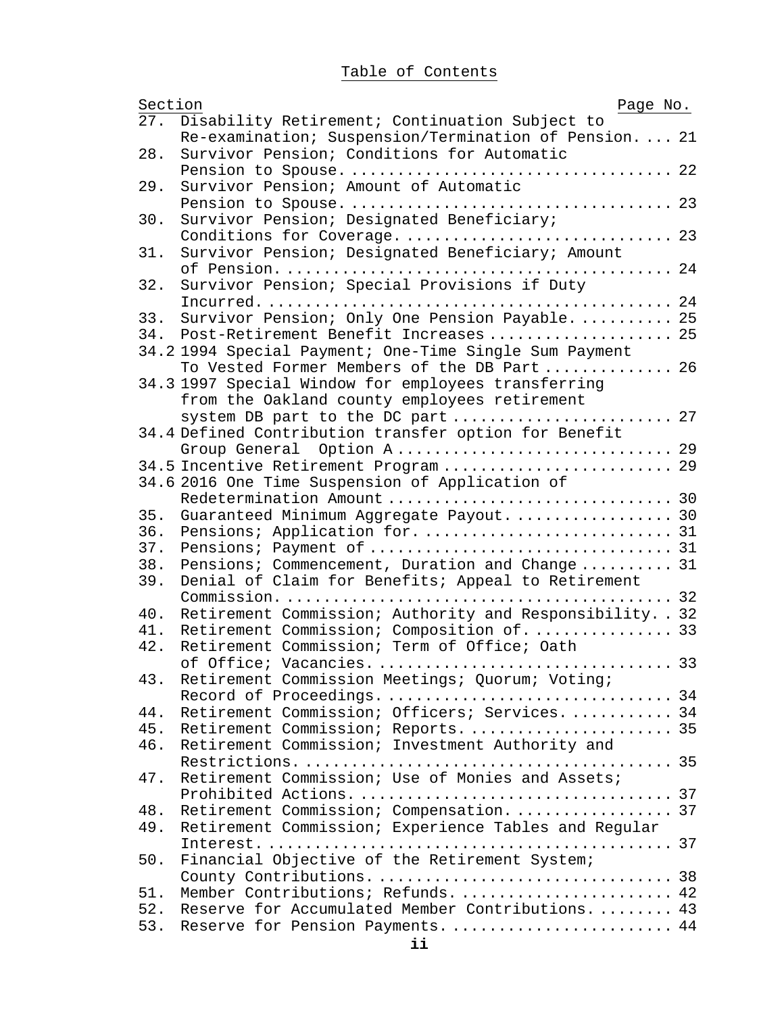# Table of Contents

| Section | Page No.                                                  |  |
|---------|-----------------------------------------------------------|--|
| 27.     | Disability Retirement; Continuation Subject to            |  |
|         | Re-examination; Suspension/Termination of Pension.  21    |  |
| 28.     | Survivor Pension; Conditions for Automatic                |  |
|         |                                                           |  |
| 29.     | Survivor Pension; Amount of Automatic                     |  |
|         |                                                           |  |
| 30.     | Survivor Pension; Designated Beneficiary;                 |  |
|         |                                                           |  |
| 31.     | Survivor Pension; Designated Beneficiary; Amount          |  |
|         |                                                           |  |
| 32.     | Survivor Pension; Special Provisions if Duty              |  |
|         |                                                           |  |
| 33.     | Survivor Pension; Only One Pension Payable 25             |  |
| 34.     | Post-Retirement Benefit Increases  25                     |  |
|         | 34.2 1994 Special Payment; One-Time Single Sum Payment    |  |
|         | To Vested Former Members of the DB Part 26                |  |
|         | 34.3 1997 Special Window for employees transferring       |  |
|         | from the Oakland county employees retirement              |  |
|         | system DB part to the DC part  27                         |  |
|         | 34.4 Defined Contribution transfer option for Benefit     |  |
|         |                                                           |  |
|         | 34.5 Incentive Retirement Program 29                      |  |
|         | 34.6 2016 One Time Suspension of Application of           |  |
|         |                                                           |  |
| 35.     | Guaranteed Minimum Aggregate Payout 30                    |  |
| 36.     |                                                           |  |
| 37.     |                                                           |  |
| 38.     | Pensions; Commencement, Duration and Change 31            |  |
| 39.     | Denial of Claim for Benefits; Appeal to Retirement        |  |
|         |                                                           |  |
| 40.     | Retirement Commission; Authority and Responsibility. . 32 |  |
| 41.     | Retirement Commission; Composition of 33                  |  |
| 42.     | Retirement Commission; Term of Office; Oath               |  |
|         | of Office; Vacancies.  33                                 |  |
| 43.     | Retirement Commission Meetings; Quorum; Voting;           |  |
|         |                                                           |  |
| 44.     | Retirement Commission; Officers; Services 34              |  |
| 45.     |                                                           |  |
| 46.     | Retirement Commission; Investment Authority and           |  |
|         |                                                           |  |
| 47.     | Retirement Commission; Use of Monies and Assets;          |  |
|         |                                                           |  |
| 48.     | Retirement Commission; Compensation.  37                  |  |
| 49.     | Retirement Commission; Experience Tables and Regular      |  |
|         |                                                           |  |
|         |                                                           |  |
| 50.     | Financial Objective of the Retirement System;             |  |
|         | Member Contributions; Refunds.  42                        |  |
| 51.     |                                                           |  |
| 52.     | Reserve for Accumulated Member Contributions 43           |  |
| 53.     | Reserve for Pension Payments.  44                         |  |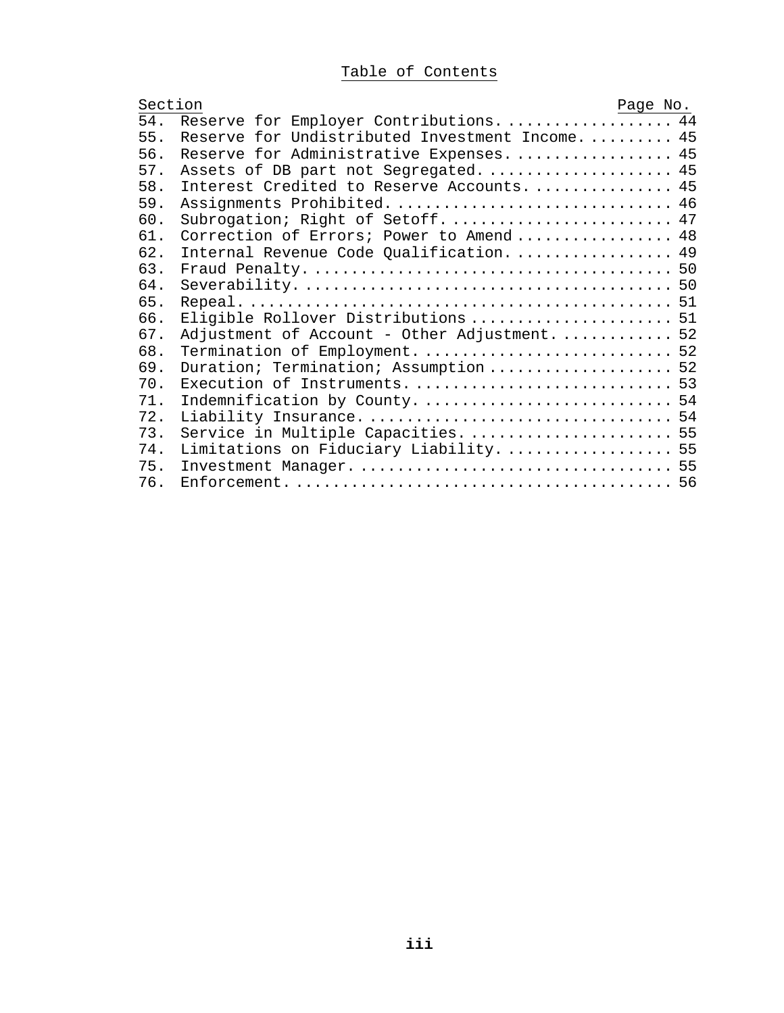# Table of Contents

| Section                                               | Page No. |
|-------------------------------------------------------|----------|
| Reserve for Employer Contributions.  44<br>54.        |          |
| 55.<br>Reserve for Undistributed Investment Income 45 |          |
| 56.<br>Reserve for Administrative Expenses 45         |          |
| 57.<br>Assets of DB part not Segregated.  45          |          |
| 58.<br>Interest Credited to Reserve Accounts.  45     |          |
| 59.<br>Assignments Prohibited 46                      |          |
| 60.<br>Subrogation; Right of Setoff 47                |          |
| Correction of Errors; Power to Amend 48<br>61.        |          |
| 62.<br>Internal Revenue Code Qualification 49         |          |
| 63.                                                   |          |
| 64.                                                   |          |
| 65.                                                   |          |
| Eligible Rollover Distributions  51<br>66.            |          |
| 67.<br>Adjustment of Account - Other Adjustment.  52  |          |
| Termination of Employment.  52<br>68.                 |          |
| 69.<br>Duration; Termination; Assumption  52          |          |
| 70.<br>Execution of Instruments.  53                  |          |
| 71.                                                   |          |
| 72.                                                   |          |
| 73.                                                   |          |
| 74.<br>Limitations on Fiduciary Liability.  55        |          |
| 75.                                                   |          |
| 76.                                                   |          |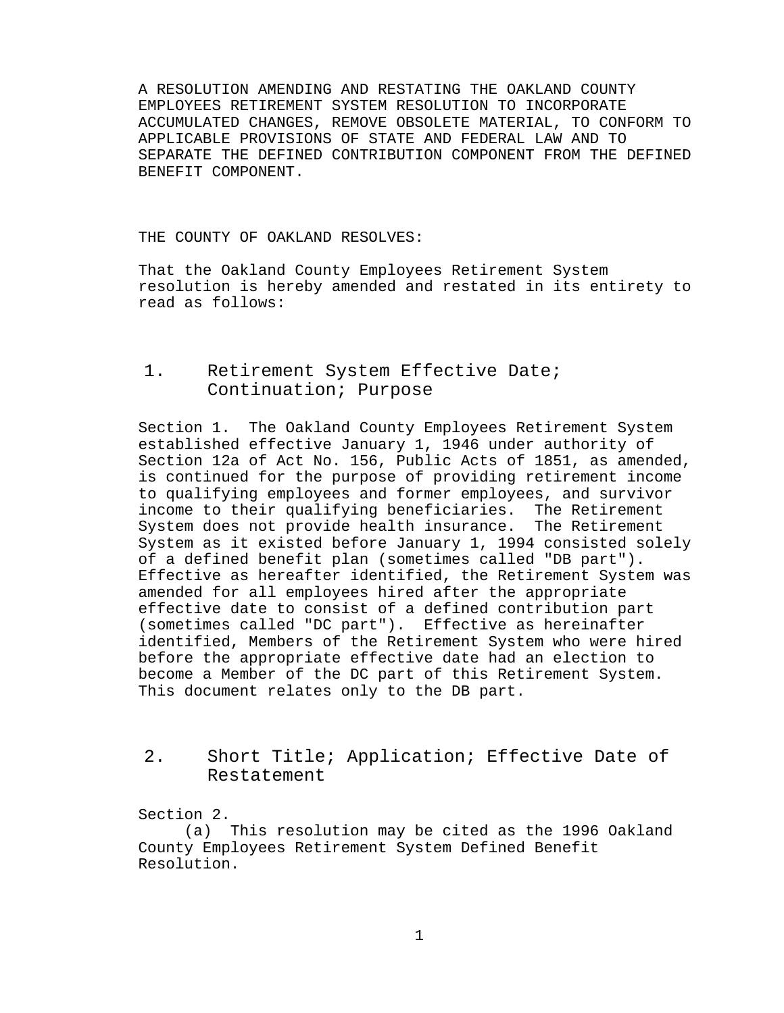A RESOLUTION AMENDING AND RESTATING THE OAKLAND COUNTY EMPLOYEES RETIREMENT SYSTEM RESOLUTION TO INCORPORATE ACCUMULATED CHANGES, REMOVE OBSOLETE MATERIAL, TO CONFORM TO APPLICABLE PROVISIONS OF STATE AND FEDERAL LAW AND TO SEPARATE THE DEFINED CONTRIBUTION COMPONENT FROM THE DEFINED BENEFIT COMPONENT.

THE COUNTY OF OAKLAND RESOLVES:

That the Oakland County Employees Retirement System resolution is hereby amended and restated in its entirety to read as follows:

# <span id="page-7-0"></span>1. Retirement System Effective Date; Continuation; Purpose

Section 1. The Oakland County Employees Retirement System established effective January 1, 1946 under authority of Section 12a of Act No. 156, Public Acts of 1851, as amended, is continued for the purpose of providing retirement income to qualifying employees and former employees, and survivor income to their qualifying beneficiaries. The Retirement<br>System does not provide health insurance. The Retirement System does not provide health insurance. System as it existed before January 1, 1994 consisted solely of a defined benefit plan (sometimes called "DB part"). Effective as hereafter identified, the Retirement System was amended for all employees hired after the appropriate effective date to consist of a defined contribution part (sometimes called "DC part"). Effective as hereinafter identified, Members of the Retirement System who were hired before the appropriate effective date had an election to become a Member of the DC part of this Retirement System. This document relates only to the DB part.

# <span id="page-7-1"></span>2. Short Title; Application; Effective Date of Restatement

Section 2.

(a) This resolution may be cited as the 1996 Oakland County Employees Retirement System Defined Benefit Resolution.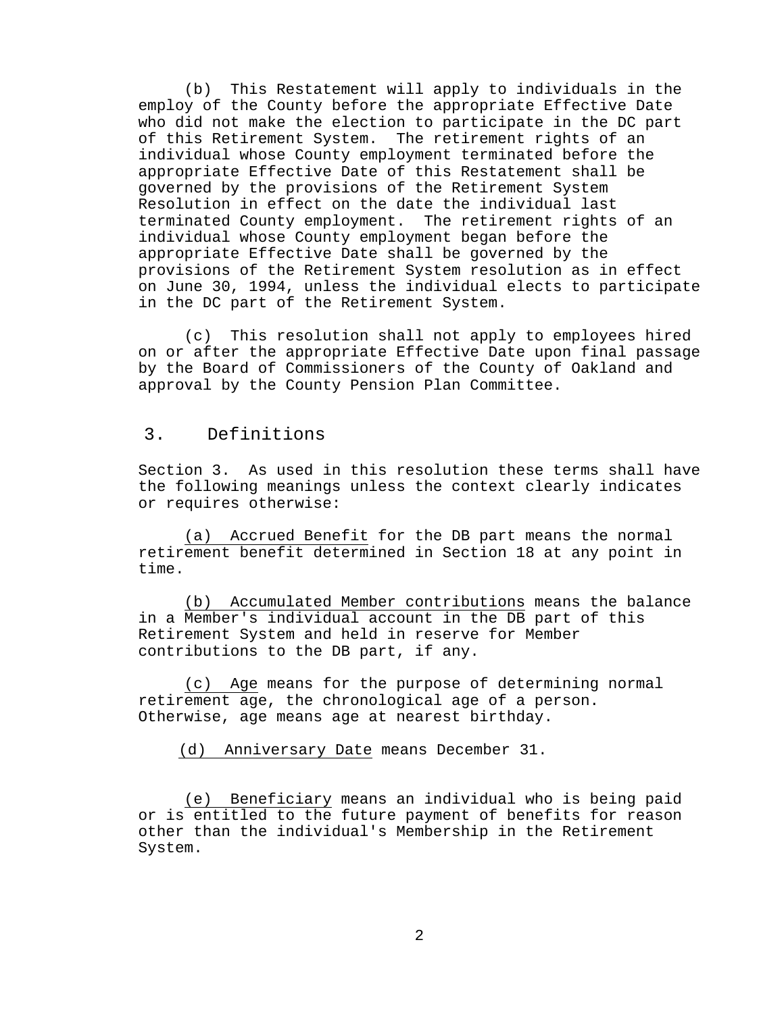(b) This Restatement will apply to individuals in the employ of the County before the appropriate Effective Date who did not make the election to participate in the DC part of this Retirement System. The retirement rights of an individual whose County employment terminated before the appropriate Effective Date of this Restatement shall be governed by the provisions of the Retirement System Resolution in effect on the date the individual last terminated County employment. The retirement rights of an individual whose County employment began before the appropriate Effective Date shall be governed by the provisions of the Retirement System resolution as in effect on June 30, 1994, unless the individual elects to participate in the DC part of the Retirement System.

(c) This resolution shall not apply to employees hired on or after the appropriate Effective Date upon final passage by the Board of Commissioners of the County of Oakland and approval by the County Pension Plan Committee.

## <span id="page-8-0"></span>3. Definitions

Section 3. As used in this resolution these terms shall have the following meanings unless the context clearly indicates or requires otherwise:

<span id="page-8-1"></span>(a) Accrued Benefit for the DB part means the normal retirement benefit determined in Section 18 at any point in time.

<span id="page-8-2"></span>(b) Accumulated Member contributions means the balance in a Member's individual account in the DB part of this Retirement System and held in reserve for Member contributions to the DB part, if any.

<span id="page-8-3"></span>(c) Age means for the purpose of determining normal retirement age, the chronological age of a person. Otherwise, age means age at nearest birthday.

<span id="page-8-4"></span>(d) Anniversary Date means December 31.

<span id="page-8-5"></span>(e) Beneficiary means an individual who is being paid or is entitled to the future payment of benefits for reason other than the individual's Membership in the Retirement System.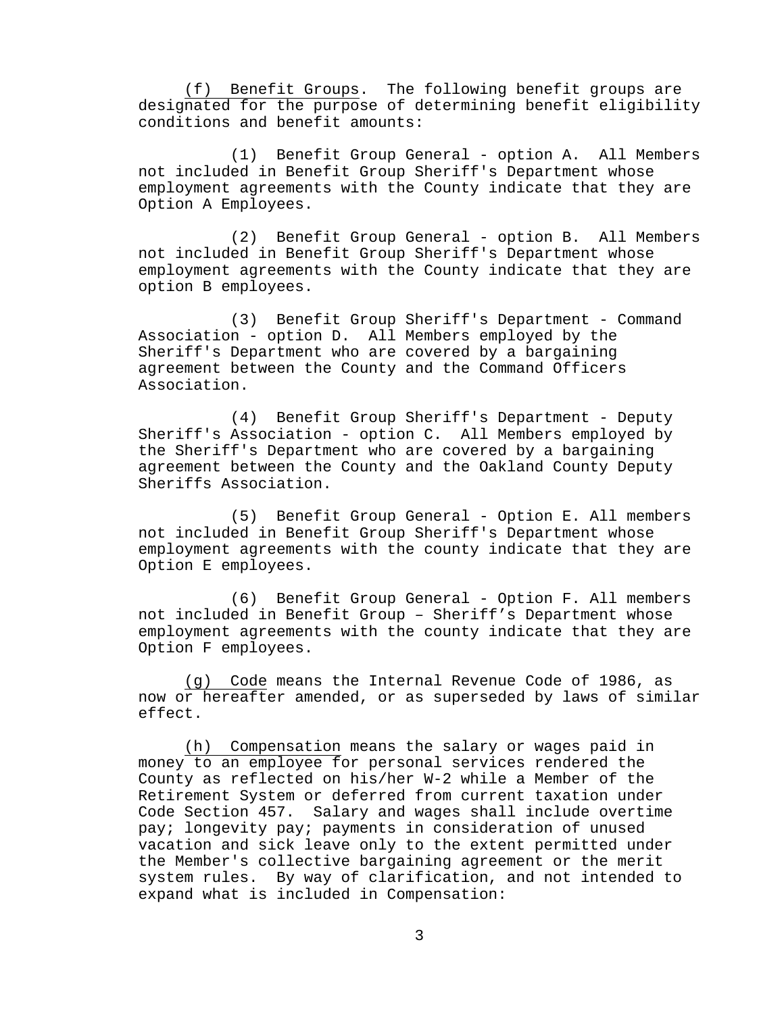<span id="page-9-0"></span>(f) Benefit Groups. The following benefit groups are designated for the purpose of determining benefit eligibility conditions and benefit amounts:

(1) Benefit Group General - option A. All Members not included in Benefit Group Sheriff's Department whose employment agreements with the County indicate that they are Option A Employees.

(2) Benefit Group General - option B. All Members not included in Benefit Group Sheriff's Department whose employment agreements with the County indicate that they are option B employees.

(3) Benefit Group Sheriff's Department - Command Association - option D. All Members employed by the Sheriff's Department who are covered by a bargaining agreement between the County and the Command Officers Association.

(4) Benefit Group Sheriff's Department - Deputy Sheriff's Association - option C. All Members employed by the Sheriff's Department who are covered by a bargaining agreement between the County and the Oakland County Deputy Sheriffs Association.

(5) Benefit Group General - Option E. All members not included in Benefit Group Sheriff's Department whose employment agreements with the county indicate that they are Option E employees.

(6) Benefit Group General - Option F. All members not included in Benefit Group – Sheriff's Department whose employment agreements with the county indicate that they are Option F employees.

<span id="page-9-1"></span>(g) Code means the Internal Revenue Code of 1986, as now or hereafter amended, or as superseded by laws of similar effect.

<span id="page-9-2"></span>(h) Compensation means the salary or wages paid in money to an employee for personal services rendered the County as reflected on his/her W-2 while a Member of the Retirement System or deferred from current taxation under Code Section 457. Salary and wages shall include overtime pay; longevity pay; payments in consideration of unused vacation and sick leave only to the extent permitted under the Member's collective bargaining agreement or the merit system rules. By way of clarification, and not intended to expand what is included in Compensation: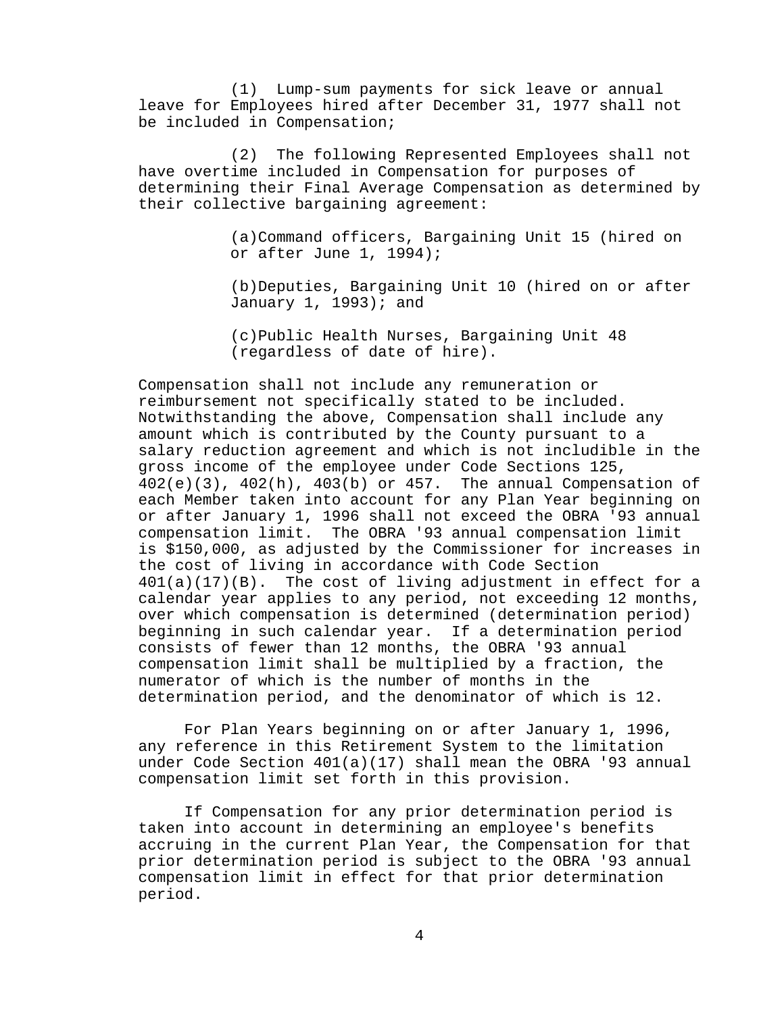(1) Lump-sum payments for sick leave or annual leave for Employees hired after December 31, 1977 shall not be included in Compensation;

(2) The following Represented Employees shall not have overtime included in Compensation for purposes of determining their Final Average Compensation as determined by their collective bargaining agreement:

> (a)Command officers, Bargaining Unit 15 (hired on or after June 1, 1994);

(b)Deputies, Bargaining Unit 10 (hired on or after January 1, 1993); and

(c)Public Health Nurses, Bargaining Unit 48 (regardless of date of hire).

Compensation shall not include any remuneration or reimbursement not specifically stated to be included. Notwithstanding the above, Compensation shall include any amount which is contributed by the County pursuant to a salary reduction agreement and which is not includible in the gross income of the employee under Code Sections 125,  $402(e)(3)$ ,  $402(h)$ ,  $403(b)$  or  $457$ . The annual Compensation of each Member taken into account for any Plan Year beginning on or after January 1, 1996 shall not exceed the OBRA '93 annual compensation limit. The OBRA '93 annual compensation limit is \$150,000, as adjusted by the Commissioner for increases in the cost of living in accordance with Code Section 401(a)(17)(B). The cost of living adjustment in effect for a calendar year applies to any period, not exceeding 12 months, over which compensation is determined (determination period) beginning in such calendar year. If a determination period consists of fewer than 12 months, the OBRA '93 annual compensation limit shall be multiplied by a fraction, the numerator of which is the number of months in the determination period, and the denominator of which is 12.

For Plan Years beginning on or after January 1, 1996, any reference in this Retirement System to the limitation under Code Section 401(a)(17) shall mean the OBRA '93 annual compensation limit set forth in this provision.

If Compensation for any prior determination period is taken into account in determining an employee's benefits accruing in the current Plan Year, the Compensation for that prior determination period is subject to the OBRA '93 annual compensation limit in effect for that prior determination period.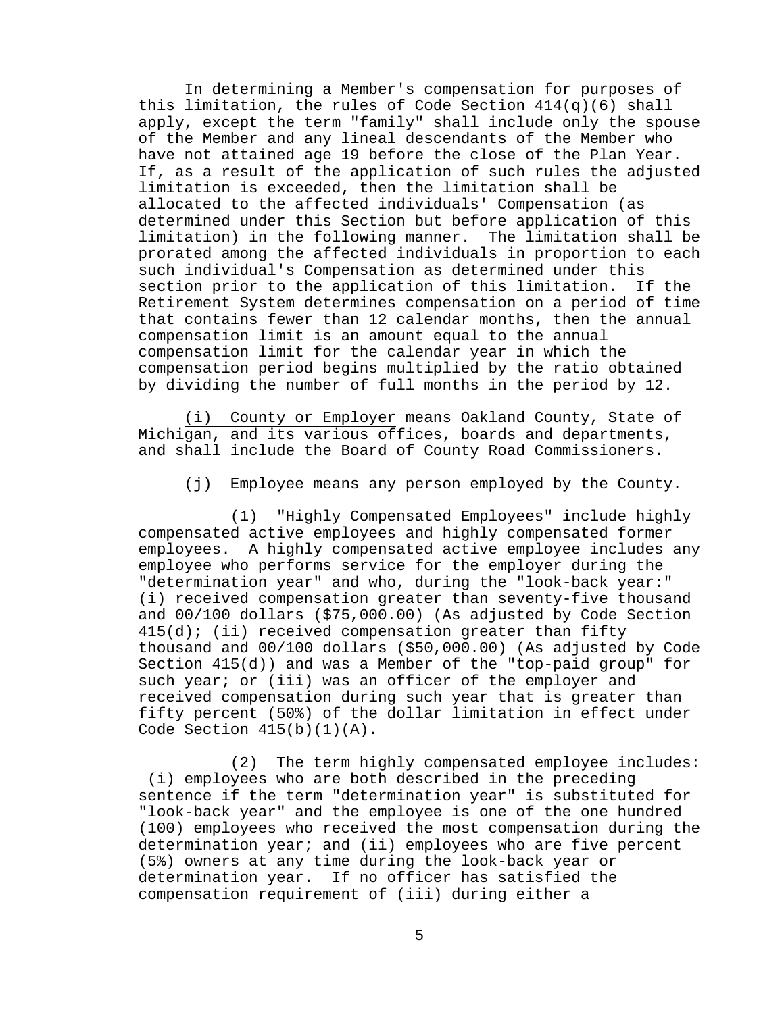In determining a Member's compensation for purposes of this limitation, the rules of Code Section 414(q)(6) shall apply, except the term "family" shall include only the spouse of the Member and any lineal descendants of the Member who have not attained age 19 before the close of the Plan Year. If, as a result of the application of such rules the adjusted limitation is exceeded, then the limitation shall be allocated to the affected individuals' Compensation (as determined under this Section but before application of this limitation) in the following manner. The limitation shall be prorated among the affected individuals in proportion to each such individual's Compensation as determined under this<br>section prior to the application of this limitation. If the section prior to the application of this limitation. Retirement System determines compensation on a period of time that contains fewer than 12 calendar months, then the annual compensation limit is an amount equal to the annual compensation limit for the calendar year in which the compensation period begins multiplied by the ratio obtained by dividing the number of full months in the period by 12.

<span id="page-11-0"></span>(i) County or Employer means Oakland County, State of Michigan, and its various offices, boards and departments, and shall include the Board of County Road Commissioners.

(j) Employee means any person employed by the County.

<span id="page-11-1"></span>(1) "Highly Compensated Employees" include highly compensated active employees and highly compensated former employees. A highly compensated active employee includes any employee who performs service for the employer during the "determination year" and who, during the "look-back year:" (i) received compensation greater than seventy-five thousand and 00/100 dollars (\$75,000.00) (As adjusted by Code Section  $415(d)$ ; (ii) received compensation greater than fifty thousand and 00/100 dollars (\$50,000.00) (As adjusted by Code Section 415(d)) and was a Member of the "top-paid group" for such year; or (iii) was an officer of the employer and received compensation during such year that is greater than fifty percent (50%) of the dollar limitation in effect under Code Section  $415(b)(1)(A)$ .

(2) The term highly compensated employee includes: (i) employees who are both described in the preceding sentence if the term "determination year" is substituted for "look-back year" and the employee is one of the one hundred (100) employees who received the most compensation during the determination year; and (ii) employees who are five percent (5%) owners at any time during the look-back year or determination year. If no officer has satisfied the compensation requirement of (iii) during either a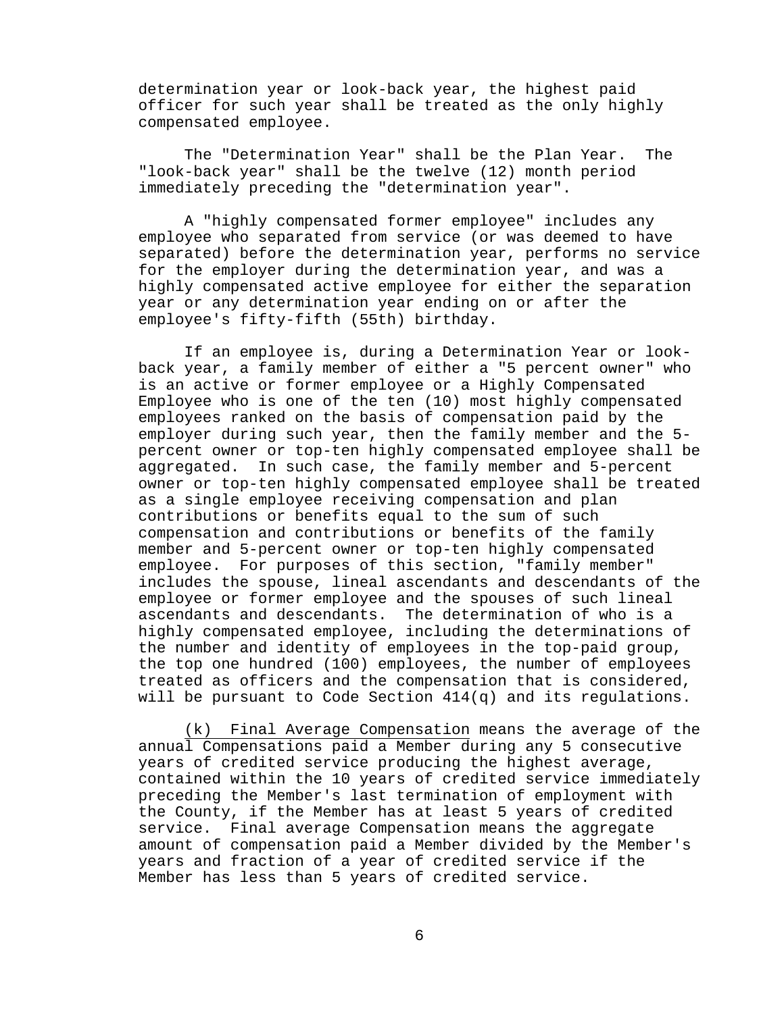determination year or look-back year, the highest paid officer for such year shall be treated as the only highly compensated employee.

The "Determination Year" shall be the Plan Year. The "look-back year" shall be the twelve (12) month period immediately preceding the "determination year".

A "highly compensated former employee" includes any employee who separated from service (or was deemed to have separated) before the determination year, performs no service for the employer during the determination year, and was a highly compensated active employee for either the separation year or any determination year ending on or after the employee's fifty-fifth (55th) birthday.

If an employee is, during a Determination Year or lookback year, a family member of either a "5 percent owner" who is an active or former employee or a Highly Compensated Employee who is one of the ten (10) most highly compensated employees ranked on the basis of compensation paid by the employer during such year, then the family member and the 5 percent owner or top-ten highly compensated employee shall be aggregated. In such case, the family member and 5-percent owner or top-ten highly compensated employee shall be treated as a single employee receiving compensation and plan contributions or benefits equal to the sum of such compensation and contributions or benefits of the family member and 5-percent owner or top-ten highly compensated employee. For purposes of this section, "family member" includes the spouse, lineal ascendants and descendants of the employee or former employee and the spouses of such lineal ascendants and descendants. The determination of who is a highly compensated employee, including the determinations of the number and identity of employees in the top-paid group, the top one hundred (100) employees, the number of employees treated as officers and the compensation that is considered, will be pursuant to Code Section 414(q) and its regulations.

<span id="page-12-0"></span>(k) Final Average Compensation means the average of the annual Compensations paid a Member during any 5 consecutive years of credited service producing the highest average, contained within the 10 years of credited service immediately preceding the Member's last termination of employment with the County, if the Member has at least 5 years of credited service. Final average Compensation means the aggregate amount of compensation paid a Member divided by the Member's years and fraction of a year of credited service if the Member has less than 5 years of credited service.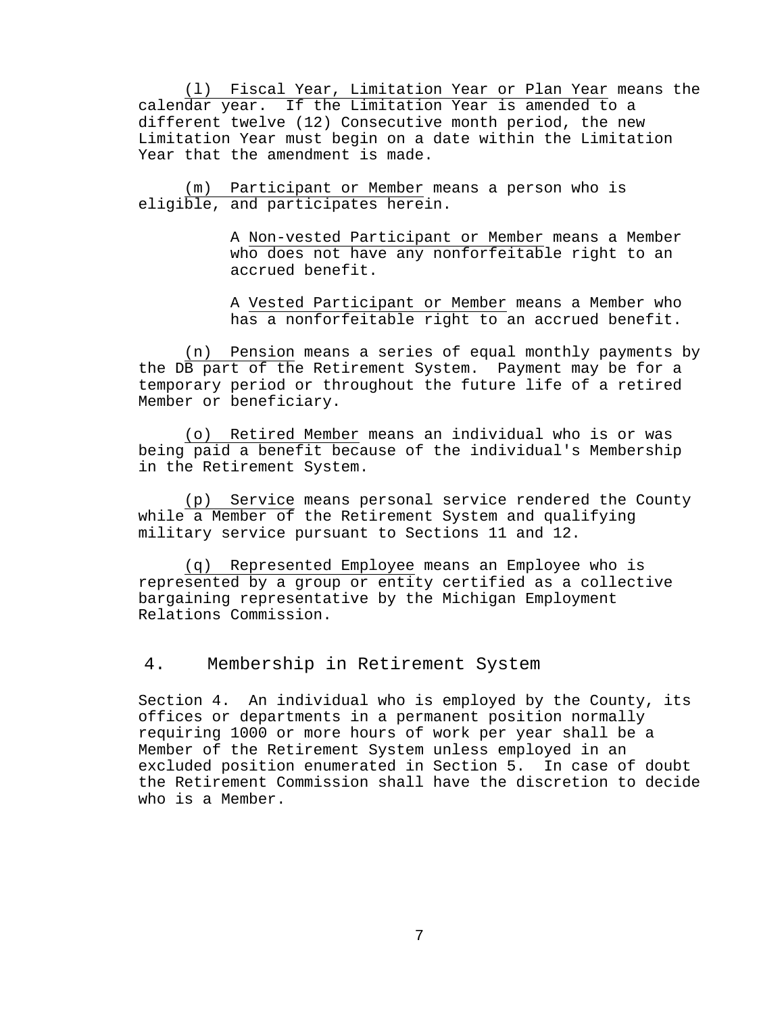<span id="page-13-0"></span>(l) Fiscal Year, Limitation Year or Plan Year means the calendar year. If the Limitation Year is amended to a different twelve (12) Consecutive month period, the new Limitation Year must begin on a date within the Limitation Year that the amendment is made.

<span id="page-13-1"></span>(m) Participant or Member means a person who is eligible, and participates herein.

> A Non-vested Participant or Member means a Member who does not have any nonforfeitable right to an accrued benefit.

> A Vested Participant or Member means a Member who has a nonforfeitable right to an accrued benefit.

<span id="page-13-2"></span>(n) Pension means a series of equal monthly payments by the DB part of the Retirement System. Payment may be for a temporary period or throughout the future life of a retired Member or beneficiary.

<span id="page-13-3"></span>(o) Retired Member means an individual who is or was being paid a benefit because of the individual's Membership in the Retirement System.

<span id="page-13-4"></span>(p) Service means personal service rendered the County while a Member of the Retirement System and qualifying military service pursuant to Sections 11 and 12.

<span id="page-13-5"></span>(q) Represented Employee means an Employee who is represented by a group or entity certified as a collective bargaining representative by the Michigan Employment Relations Commission.

<span id="page-13-6"></span>4. Membership in Retirement System

Section 4. An individual who is employed by the County, its offices or departments in a permanent position normally requiring 1000 or more hours of work per year shall be a Member of the Retirement System unless employed in an excluded position enumerated in Section 5. In case of doubt the Retirement Commission shall have the discretion to decide who is a Member.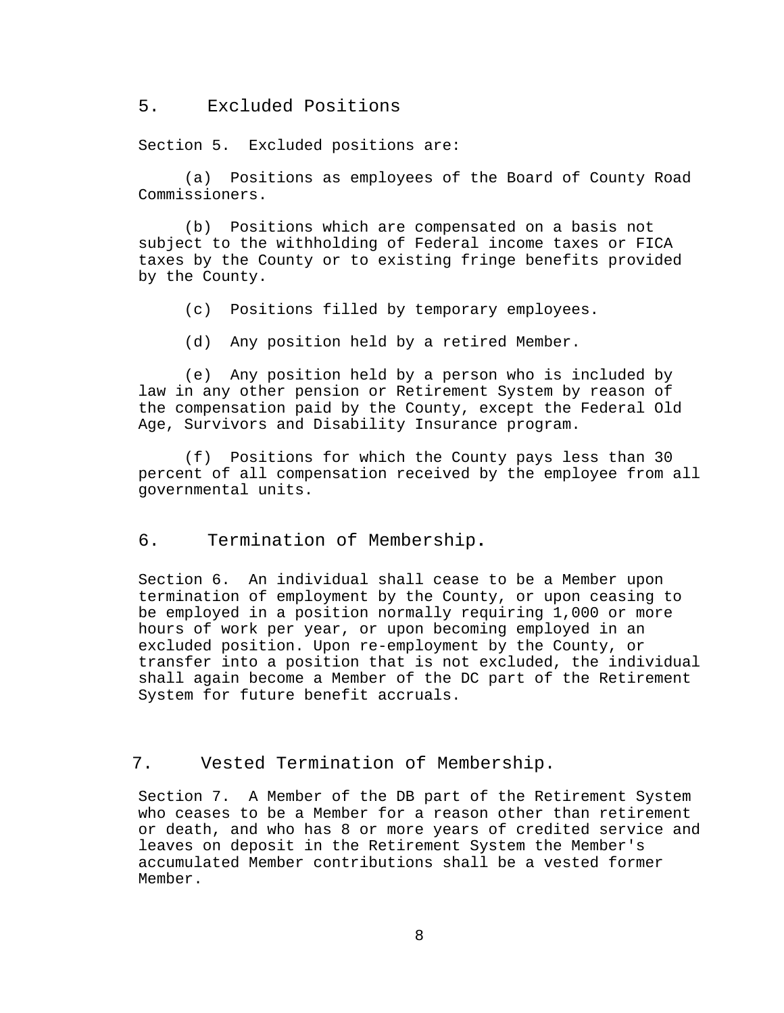<span id="page-14-0"></span>5. Excluded Positions

Section 5. Excluded positions are:

(a) Positions as employees of the Board of County Road Commissioners.

(b) Positions which are compensated on a basis not subject to the withholding of Federal income taxes or FICA taxes by the County or to existing fringe benefits provided by the County.

- (c) Positions filled by temporary employees.
- (d) Any position held by a retired Member.

(e) Any position held by a person who is included by law in any other pension or Retirement System by reason of the compensation paid by the County, except the Federal Old Age, Survivors and Disability Insurance program.

(f) Positions for which the County pays less than 30 percent of all compensation received by the employee from all governmental units.

### <span id="page-14-1"></span>6. Termination of Membership**.**

Section 6. An individual shall cease to be a Member upon termination of employment by the County, or upon ceasing to be employed in a position normally requiring 1,000 or more hours of work per year, or upon becoming employed in an excluded position. Upon re-employment by the County, or transfer into a position that is not excluded, the individual shall again become a Member of the DC part of the Retirement System for future benefit accruals.

## <span id="page-14-2"></span>7. Vested Termination of Membership.

Section 7. A Member of the DB part of the Retirement System who ceases to be a Member for a reason other than retirement or death, and who has 8 or more years of credited service and leaves on deposit in the Retirement System the Member's accumulated Member contributions shall be a vested former Member.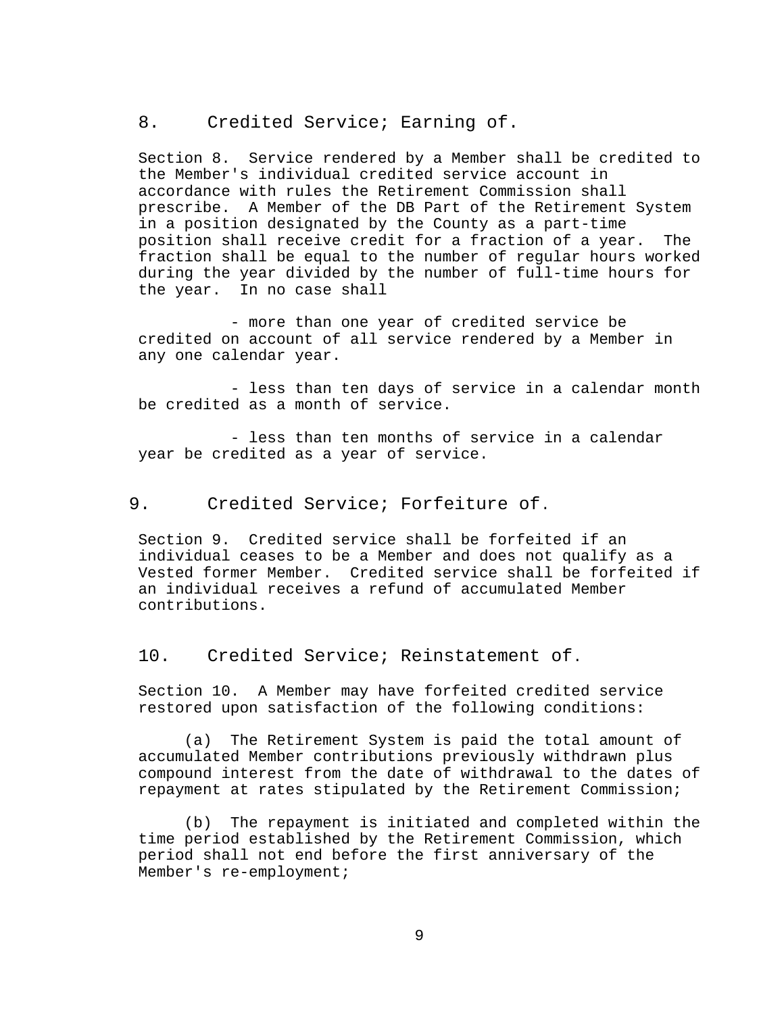<span id="page-15-0"></span>8. Credited Service; Earning of.

Section 8. Service rendered by a Member shall be credited to the Member's individual credited service account in accordance with rules the Retirement Commission shall prescribe. A Member of the DB Part of the Retirement System in a position designated by the County as a part-time position shall receive credit for a fraction of a year. The fraction shall be equal to the number of regular hours worked during the year divided by the number of full-time hours for the year. In no case shall

- more than one year of credited service be credited on account of all service rendered by a Member in any one calendar year.

- less than ten days of service in a calendar month be credited as a month of service.

- less than ten months of service in a calendar year be credited as a year of service.

### <span id="page-15-1"></span>9. Credited Service; Forfeiture of.

Section 9. Credited service shall be forfeited if an individual ceases to be a Member and does not qualify as a Vested former Member. Credited service shall be forfeited if an individual receives a refund of accumulated Member contributions.

<span id="page-15-2"></span>10. Credited Service; Reinstatement of.

Section 10. A Member may have forfeited credited service restored upon satisfaction of the following conditions:

(a) The Retirement System is paid the total amount of accumulated Member contributions previously withdrawn plus compound interest from the date of withdrawal to the dates of repayment at rates stipulated by the Retirement Commission;

(b) The repayment is initiated and completed within the time period established by the Retirement Commission, which period shall not end before the first anniversary of the Member's re-employment;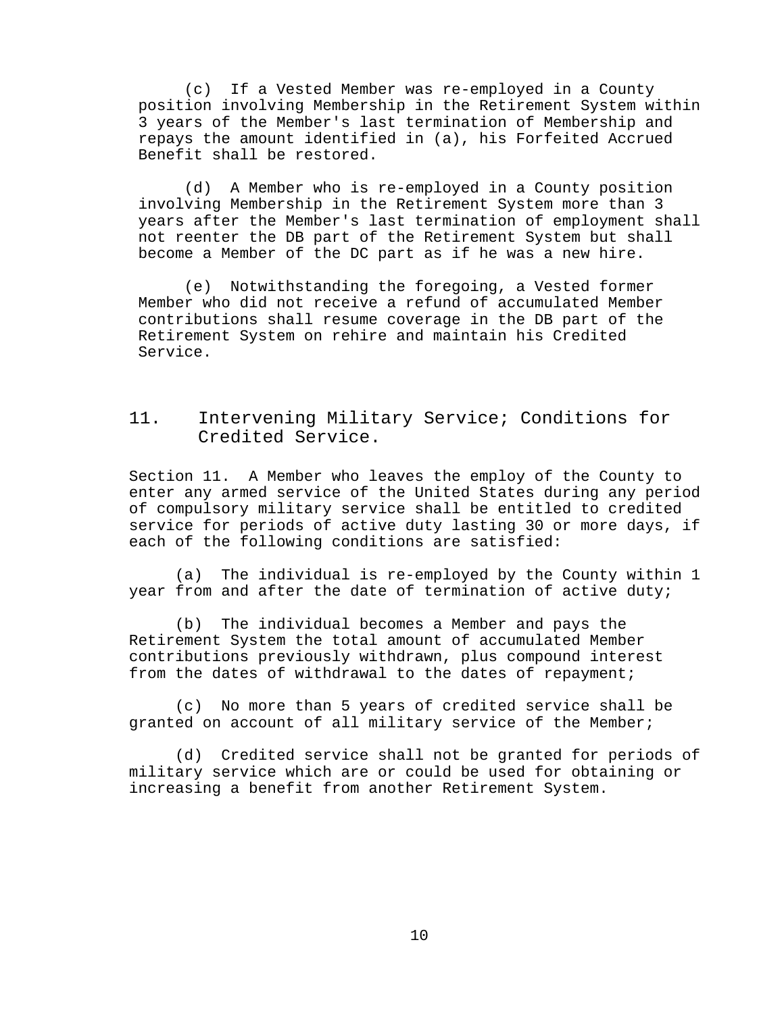(c) If a Vested Member was re-employed in a County position involving Membership in the Retirement System within 3 years of the Member's last termination of Membership and repays the amount identified in (a), his Forfeited Accrued Benefit shall be restored.

(d) A Member who is re-employed in a County position involving Membership in the Retirement System more than 3 years after the Member's last termination of employment shall not reenter the DB part of the Retirement System but shall become a Member of the DC part as if he was a new hire.

(e) Notwithstanding the foregoing, a Vested former Member who did not receive a refund of accumulated Member contributions shall resume coverage in the DB part of the Retirement System on rehire and maintain his Credited Service.

# <span id="page-16-0"></span>11. Intervening Military Service; Conditions for Credited Service.

Section 11. A Member who leaves the employ of the County to enter any armed service of the United States during any period of compulsory military service shall be entitled to credited service for periods of active duty lasting 30 or more days, if each of the following conditions are satisfied:

(a) The individual is re-employed by the County within 1 year from and after the date of termination of active duty;

(b) The individual becomes a Member and pays the Retirement System the total amount of accumulated Member contributions previously withdrawn, plus compound interest from the dates of withdrawal to the dates of repayment;

(c) No more than 5 years of credited service shall be granted on account of all military service of the Member;

(d) Credited service shall not be granted for periods of military service which are or could be used for obtaining or increasing a benefit from another Retirement System.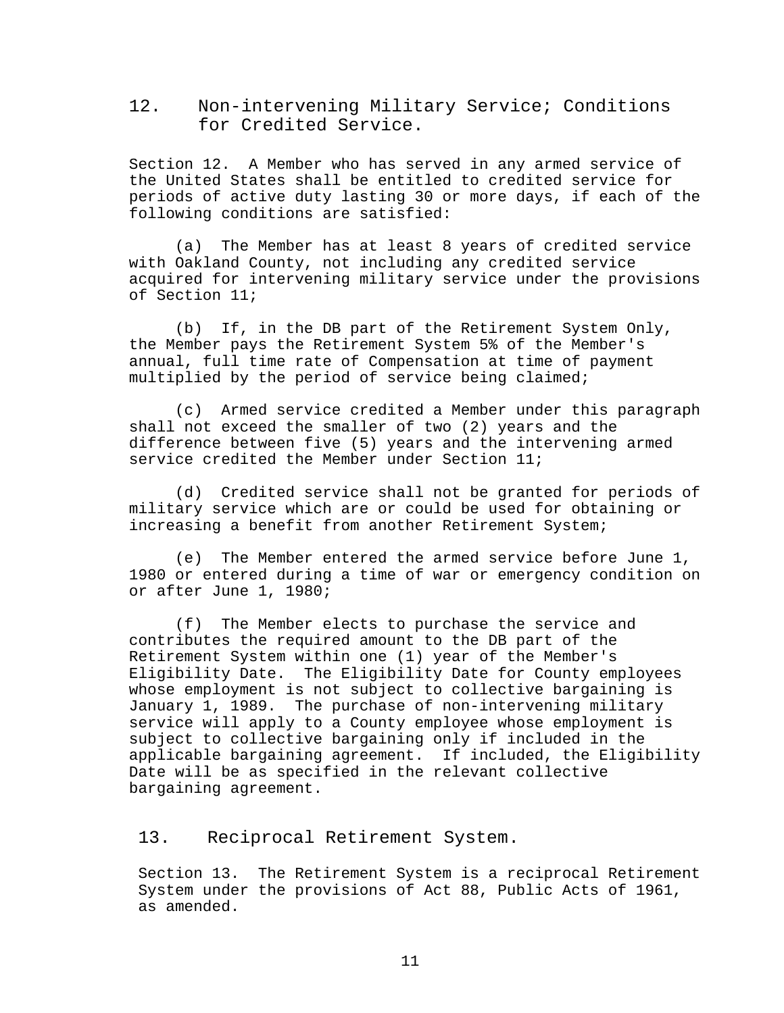<span id="page-17-0"></span>12. Non-intervening Military Service; Conditions for Credited Service.

Section 12. A Member who has served in any armed service of the United States shall be entitled to credited service for periods of active duty lasting 30 or more days, if each of the following conditions are satisfied:

(a) The Member has at least 8 years of credited service with Oakland County, not including any credited service acquired for intervening military service under the provisions of Section 11;

(b) If, in the DB part of the Retirement System Only, the Member pays the Retirement System 5% of the Member's annual, full time rate of Compensation at time of payment multiplied by the period of service being claimed;

(c) Armed service credited a Member under this paragraph shall not exceed the smaller of two (2) years and the difference between five (5) years and the intervening armed service credited the Member under Section 11;

(d) Credited service shall not be granted for periods of military service which are or could be used for obtaining or increasing a benefit from another Retirement System;

(e) The Member entered the armed service before June 1, 1980 or entered during a time of war or emergency condition on or after June 1, 1980;

(f) The Member elects to purchase the service and contributes the required amount to the DB part of the Retirement System within one (1) year of the Member's Eligibility Date. The Eligibility Date for County employees whose employment is not subject to collective bargaining is January 1, 1989. The purchase of non-intervening military service will apply to a County employee whose employment is subject to collective bargaining only if included in the applicable bargaining agreement. If included, the Eligibility Date will be as specified in the relevant collective bargaining agreement.

<span id="page-17-1"></span>13. Reciprocal Retirement System.

Section 13. The Retirement System is a reciprocal Retirement System under the provisions of Act 88, Public Acts of 1961, as amended.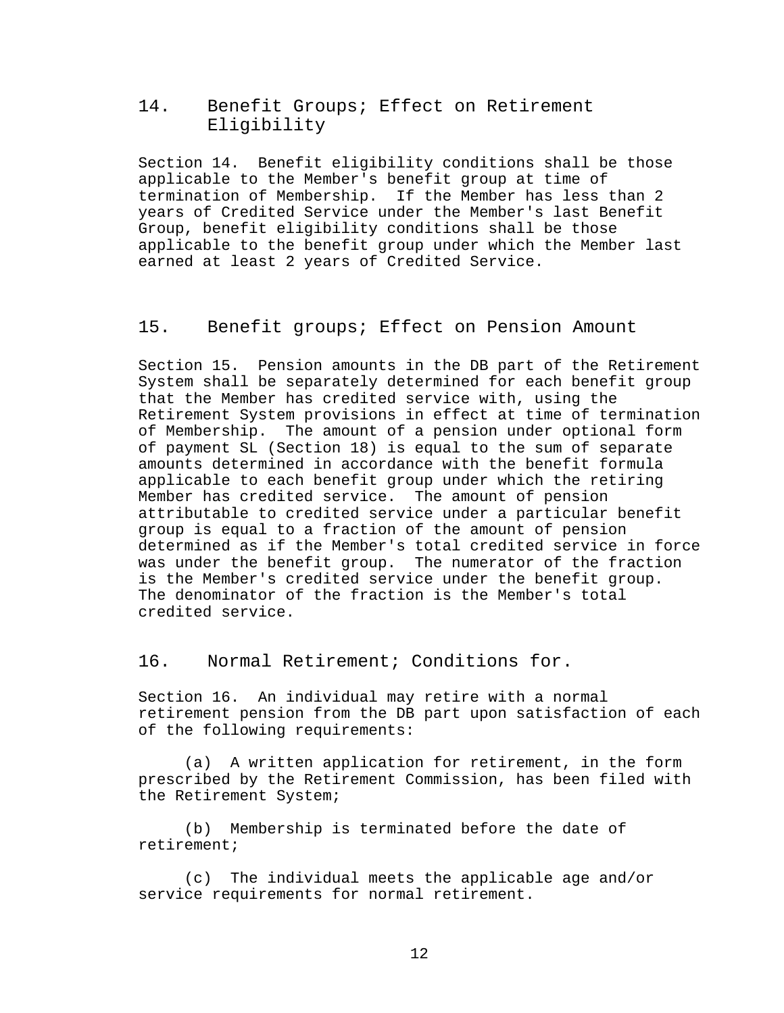## <span id="page-18-0"></span>14. Benefit Groups; Effect on Retirement Eligibility

Section 14. Benefit eligibility conditions shall be those applicable to the Member's benefit group at time of termination of Membership. If the Member has less than 2 years of Credited Service under the Member's last Benefit Group, benefit eligibility conditions shall be those applicable to the benefit group under which the Member last earned at least 2 years of Credited Service.

### <span id="page-18-1"></span>15. Benefit groups; Effect on Pension Amount

Section 15. Pension amounts in the DB part of the Retirement System shall be separately determined for each benefit group that the Member has credited service with, using the Retirement System provisions in effect at time of termination of Membership. The amount of a pension under optional form of payment SL (Section 18) is equal to the sum of separate amounts determined in accordance with the benefit formula applicable to each benefit group under which the retiring Member has credited service. The amount of pension attributable to credited service under a particular benefit group is equal to a fraction of the amount of pension determined as if the Member's total credited service in force was under the benefit group. The numerator of the fraction is the Member's credited service under the benefit group. The denominator of the fraction is the Member's total credited service.

<span id="page-18-2"></span>16. Normal Retirement; Conditions for.

Section 16. An individual may retire with a normal retirement pension from the DB part upon satisfaction of each of the following requirements:

(a) A written application for retirement, in the form prescribed by the Retirement Commission, has been filed with the Retirement System;

(b) Membership is terminated before the date of retirement;

(c) The individual meets the applicable age and/or service requirements for normal retirement.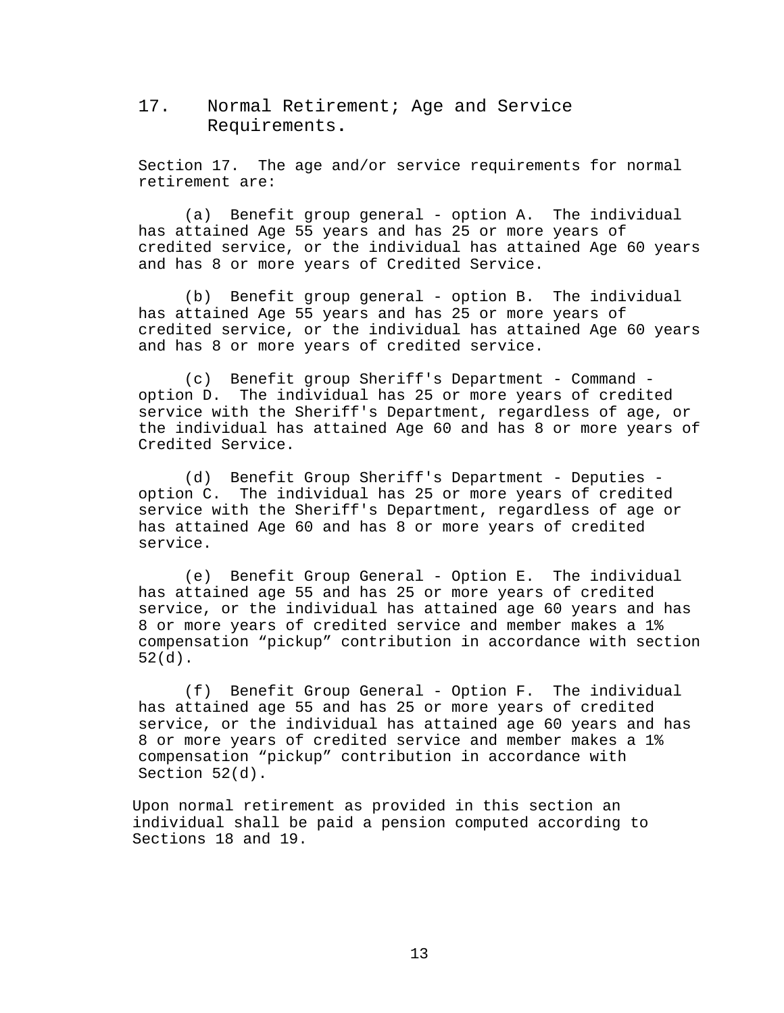<span id="page-19-0"></span>17. Normal Retirement; Age and Service Requirements**.**

Section 17. The age and/or service requirements for normal retirement are:

(a) Benefit group general - option A. The individual has attained Age 55 years and has 25 or more years of credited service, or the individual has attained Age 60 years and has 8 or more years of Credited Service.

(b) Benefit group general - option B. The individual has attained Age 55 years and has 25 or more years of credited service, or the individual has attained Age 60 years and has 8 or more years of credited service.

(c) Benefit group Sheriff's Department - Command option D. The individual has 25 or more years of credited service with the Sheriff's Department, regardless of age, or the individual has attained Age 60 and has 8 or more years of Credited Service.

(d) Benefit Group Sheriff's Department - Deputies option C. The individual has 25 or more years of credited service with the Sheriff's Department, regardless of age or has attained Age 60 and has 8 or more years of credited service.

(e) Benefit Group General - Option E. The individual has attained age 55 and has 25 or more years of credited service, or the individual has attained age 60 years and has 8 or more years of credited service and member makes a 1% compensation "pickup" contribution in accordance with section 52(d).

(f) Benefit Group General - Option F. The individual has attained age 55 and has 25 or more years of credited service, or the individual has attained age 60 years and has 8 or more years of credited service and member makes a 1% compensation "pickup" contribution in accordance with Section 52(d).

Upon normal retirement as provided in this section an individual shall be paid a pension computed according to Sections 18 and 19.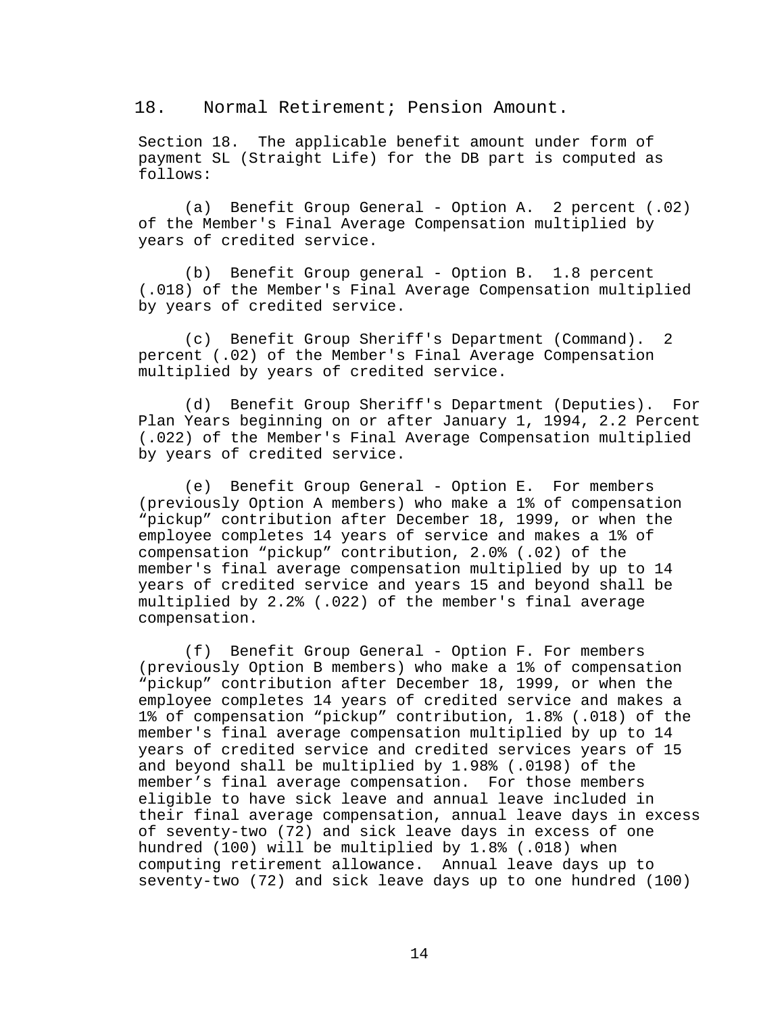<span id="page-20-0"></span>18. Normal Retirement; Pension Amount.

Section 18. The applicable benefit amount under form of payment SL (Straight Life) for the DB part is computed as follows:

(a) Benefit Group General - Option A. 2 percent (.02) of the Member's Final Average Compensation multiplied by years of credited service.

(b) Benefit Group general - Option B. 1.8 percent (.018) of the Member's Final Average Compensation multiplied by years of credited service.

(c) Benefit Group Sheriff's Department (Command). 2 percent (.02) of the Member's Final Average Compensation multiplied by years of credited service.

(d) Benefit Group Sheriff's Department (Deputies). For Plan Years beginning on or after January 1, 1994, 2.2 Percent (.022) of the Member's Final Average Compensation multiplied by years of credited service.

(e) Benefit Group General - Option E. For members (previously Option A members) who make a 1% of compensation "pickup" contribution after December 18, 1999, or when the employee completes 14 years of service and makes a 1% of compensation "pickup" contribution, 2.0% (.02) of the member's final average compensation multiplied by up to 14 years of credited service and years 15 and beyond shall be multiplied by 2.2% (.022) of the member's final average compensation.

(f) Benefit Group General - Option F. For members (previously Option B members) who make a 1% of compensation "pickup" contribution after December 18, 1999, or when the employee completes 14 years of credited service and makes a 1% of compensation "pickup" contribution, 1.8% (.018) of the member's final average compensation multiplied by up to 14 years of credited service and credited services years of 15 and beyond shall be multiplied by 1.98% (.0198) of the member's final average compensation. For those members eligible to have sick leave and annual leave included in their final average compensation, annual leave days in excess of seventy-two (72) and sick leave days in excess of one hundred (100) will be multiplied by 1.8% (.018) when computing retirement allowance. Annual leave days up to seventy-two (72) and sick leave days up to one hundred (100)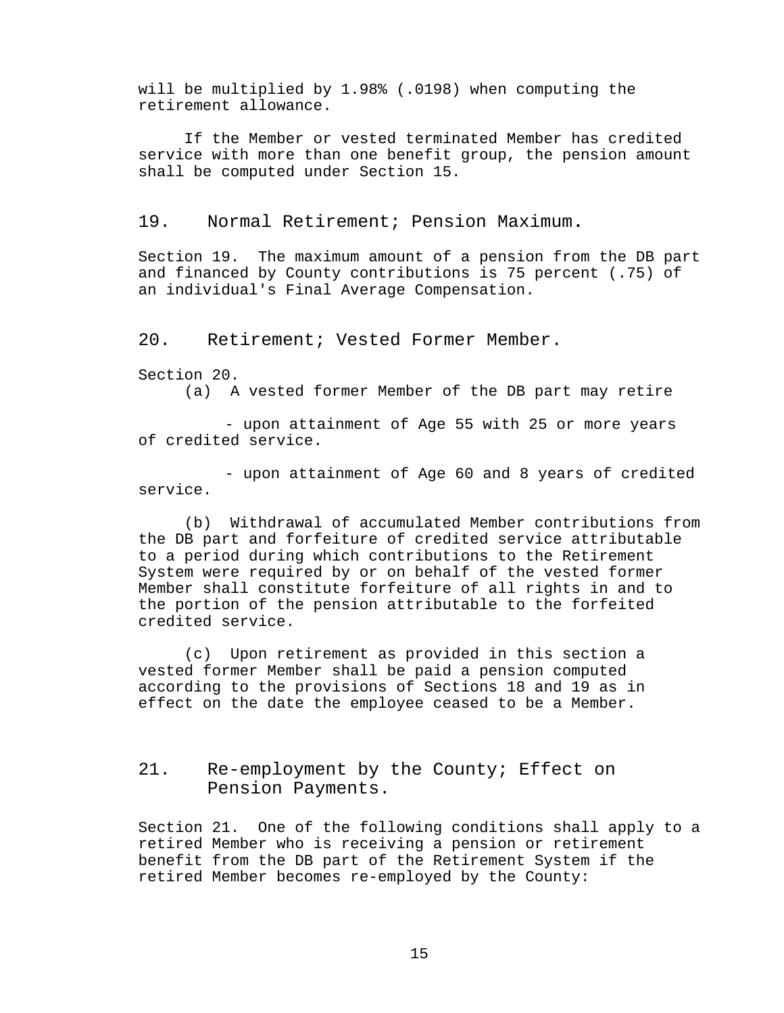will be multiplied by 1.98% (.0198) when computing the retirement allowance.

If the Member or vested terminated Member has credited service with more than one benefit group, the pension amount shall be computed under Section 15.

<span id="page-21-0"></span>19. Normal Retirement; Pension Maximum**.**

Section 19. The maximum amount of a pension from the DB part and financed by County contributions is 75 percent (.75) of an individual's Final Average Compensation.

<span id="page-21-1"></span>20. Retirement; Vested Former Member.

Section 20.<br>(a)  $A$ 

A vested former Member of the DB part may retire

- upon attainment of Age 55 with 25 or more years of credited service.

- upon attainment of Age 60 and 8 years of credited service.

(b) Withdrawal of accumulated Member contributions from the DB part and forfeiture of credited service attributable to a period during which contributions to the Retirement System were required by or on behalf of the vested former Member shall constitute forfeiture of all rights in and to the portion of the pension attributable to the forfeited credited service.

(c) Upon retirement as provided in this section a vested former Member shall be paid a pension computed according to the provisions of Sections 18 and 19 as in effect on the date the employee ceased to be a Member.

<span id="page-21-2"></span>21. Re-employment by the County; Effect on Pension Payments.

Section 21. One of the following conditions shall apply to a retired Member who is receiving a pension or retirement benefit from the DB part of the Retirement System if the retired Member becomes re-employed by the County: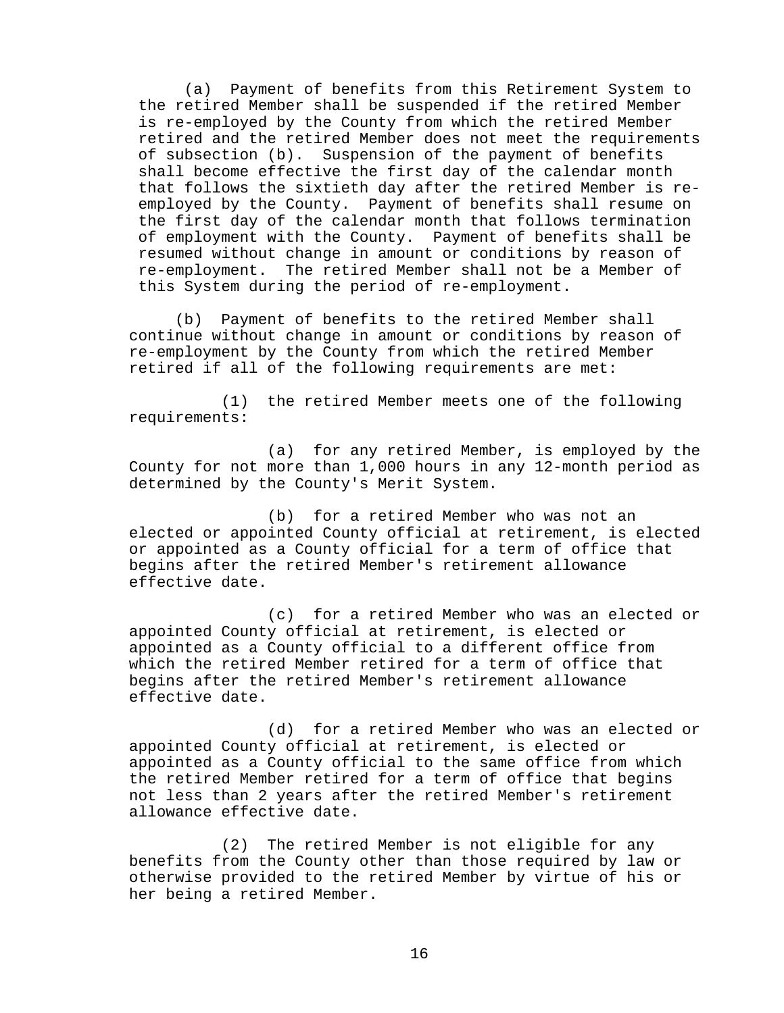(a) Payment of benefits from this Retirement System to the retired Member shall be suspended if the retired Member is re-employed by the County from which the retired Member retired and the retired Member does not meet the requirements of subsection (b). Suspension of the payment of benefits shall become effective the first day of the calendar month that follows the sixtieth day after the retired Member is reemployed by the County. Payment of benefits shall resume on the first day of the calendar month that follows termination of employment with the County. Payment of benefits shall be resumed without change in amount or conditions by reason of re-employment. The retired Member shall not be a Member of this System during the period of re-employment.

(b) Payment of benefits to the retired Member shall continue without change in amount or conditions by reason of re-employment by the County from which the retired Member retired if all of the following requirements are met:

(1) the retired Member meets one of the following requirements:

(a) for any retired Member, is employed by the County for not more than 1,000 hours in any 12-month period as determined by the County's Merit System.

(b) for a retired Member who was not an elected or appointed County official at retirement, is elected or appointed as a County official for a term of office that begins after the retired Member's retirement allowance effective date.

(c) for a retired Member who was an elected or appointed County official at retirement, is elected or appointed as a County official to a different office from which the retired Member retired for a term of office that begins after the retired Member's retirement allowance effective date.

(d) for a retired Member who was an elected or appointed County official at retirement, is elected or appointed as a County official to the same office from which the retired Member retired for a term of office that begins not less than 2 years after the retired Member's retirement allowance effective date.

(2) The retired Member is not eligible for any benefits from the County other than those required by law or otherwise provided to the retired Member by virtue of his or her being a retired Member.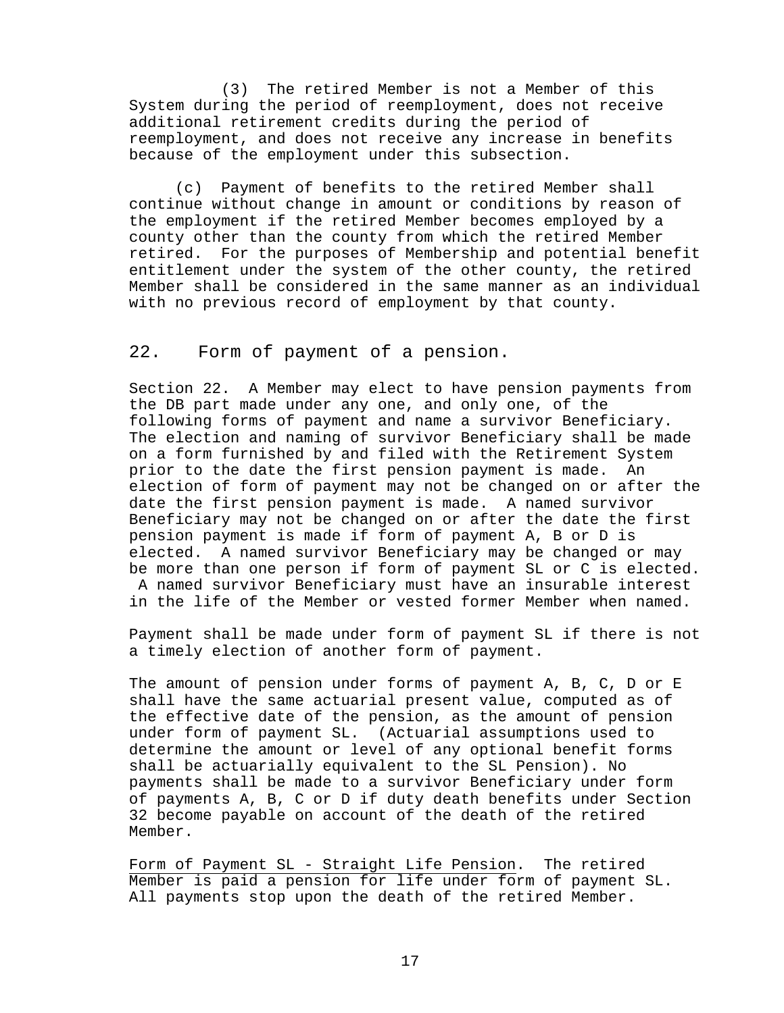(3) The retired Member is not a Member of this System during the period of reemployment, does not receive additional retirement credits during the period of reemployment, and does not receive any increase in benefits because of the employment under this subsection.

(c) Payment of benefits to the retired Member shall continue without change in amount or conditions by reason of the employment if the retired Member becomes employed by a county other than the county from which the retired Member retired. For the purposes of Membership and potential benefit entitlement under the system of the other county, the retired Member shall be considered in the same manner as an individual with no previous record of employment by that county.

## <span id="page-23-0"></span>22. Form of payment of a pension.

Section 22. A Member may elect to have pension payments from the DB part made under any one, and only one, of the following forms of payment and name a survivor Beneficiary. The election and naming of survivor Beneficiary shall be made on a form furnished by and filed with the Retirement System<br>prior to the date the first pension payment is made. An prior to the date the first pension payment is made. election of form of payment may not be changed on or after the date the first pension payment is made. A named survivor Beneficiary may not be changed on or after the date the first pension payment is made if form of payment A, B or D is elected. A named survivor Beneficiary may be changed or may be more than one person if form of payment SL or C is elected. A named survivor Beneficiary must have an insurable interest in the life of the Member or vested former Member when named.

Payment shall be made under form of payment SL if there is not a timely election of another form of payment.

The amount of pension under forms of payment A, B, C, D or E shall have the same actuarial present value, computed as of the effective date of the pension, as the amount of pension under form of payment SL. (Actuarial assumptions used to determine the amount or level of any optional benefit forms shall be actuarially equivalent to the SL Pension). No payments shall be made to a survivor Beneficiary under form of payments A, B, C or D if duty death benefits under Section 32 become payable on account of the death of the retired Member.

Form of Payment SL - Straight Life Pension. The retired Member is paid a pension for life under form of payment SL. All payments stop upon the death of the retired Member.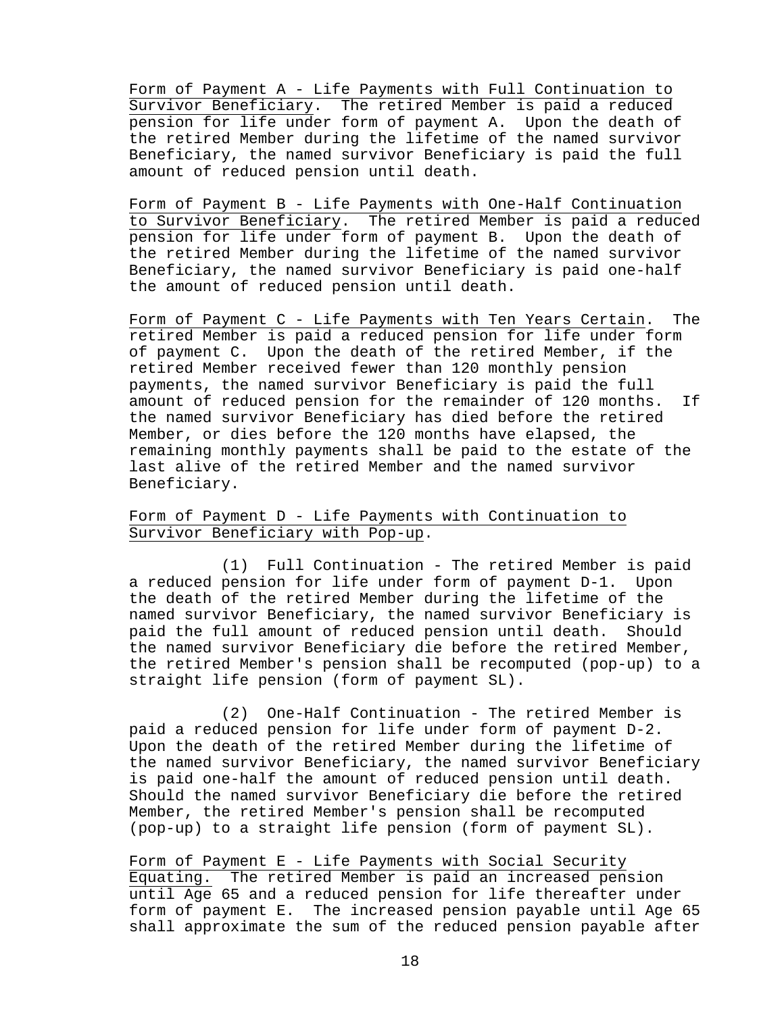Form of Payment A - Life Payments with Full Continuation to Survivor Beneficiary. The retired Member is paid a reduced pension for life under form of payment A. Upon the death of the retired Member during the lifetime of the named survivor Beneficiary, the named survivor Beneficiary is paid the full amount of reduced pension until death.

Form of Payment B - Life Payments with One-Half Continuation to Survivor Beneficiary. The retired Member is paid a reduced pension for life under form of payment B. Upon the death of the retired Member during the lifetime of the named survivor Beneficiary, the named survivor Beneficiary is paid one-half the amount of reduced pension until death.

Form of Payment C - Life Payments with Ten Years Certain. The retired Member is paid a reduced pension for life under form of payment C. Upon the death of the retired Member, if the retired Member received fewer than 120 monthly pension payments, the named survivor Beneficiary is paid the full amount of reduced pension for the remainder of 120 months. If the named survivor Beneficiary has died before the retired Member, or dies before the 120 months have elapsed, the remaining monthly payments shall be paid to the estate of the last alive of the retired Member and the named survivor Beneficiary.

### Form of Payment D - Life Payments with Continuation to Survivor Beneficiary with Pop-up.

(1) Full Continuation - The retired Member is paid a reduced pension for life under form of payment D-1. Upon the death of the retired Member during the lifetime of the named survivor Beneficiary, the named survivor Beneficiary is paid the full amount of reduced pension until death. Should the named survivor Beneficiary die before the retired Member, the retired Member's pension shall be recomputed (pop-up) to a straight life pension (form of payment SL).

(2) One-Half Continuation - The retired Member is paid a reduced pension for life under form of payment D-2. Upon the death of the retired Member during the lifetime of the named survivor Beneficiary, the named survivor Beneficiary is paid one-half the amount of reduced pension until death. Should the named survivor Beneficiary die before the retired Member, the retired Member's pension shall be recomputed (pop-up) to a straight life pension (form of payment SL).

Form of Payment E - Life Payments with Social Security Equating. The retired Member is paid an increased pension until Age 65 and a reduced pension for life thereafter under form of payment E. The increased pension payable until Age 65 shall approximate the sum of the reduced pension payable after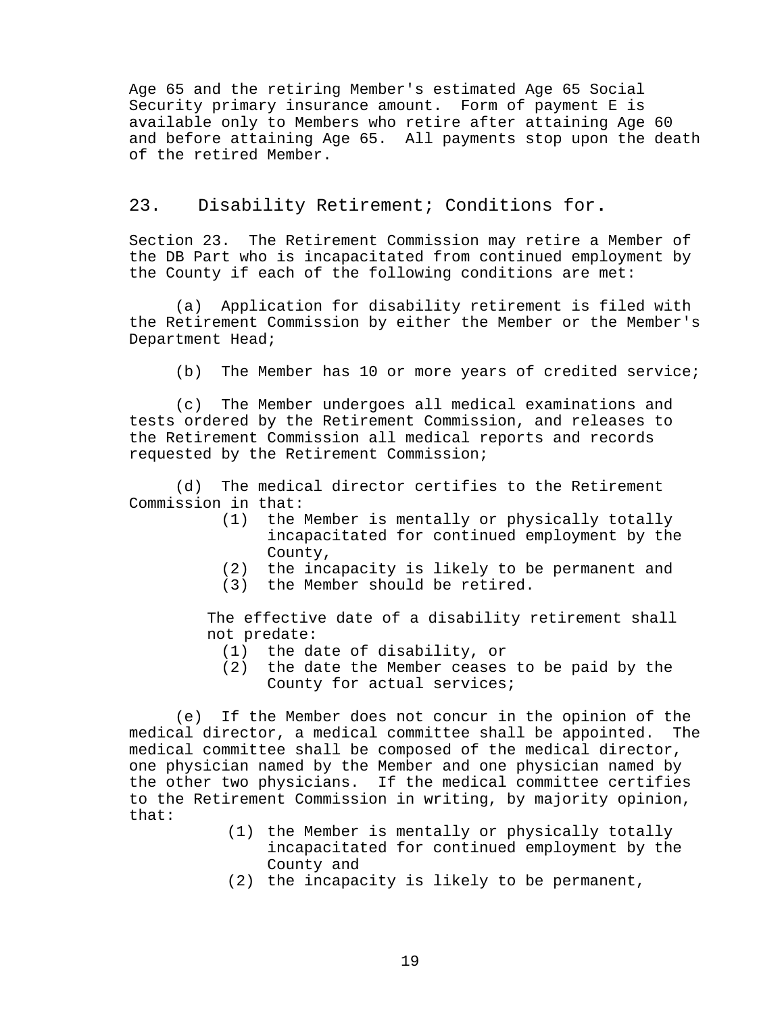Age 65 and the retiring Member's estimated Age 65 Social Security primary insurance amount. Form of payment E is available only to Members who retire after attaining Age 60 and before attaining Age 65. All payments stop upon the death of the retired Member.

### <span id="page-25-0"></span>23. Disability Retirement; Conditions for**.**

Section 23. The Retirement Commission may retire a Member of the DB Part who is incapacitated from continued employment by the County if each of the following conditions are met:

(a) Application for disability retirement is filed with the Retirement Commission by either the Member or the Member's Department Head;

(b) The Member has 10 or more years of credited service;

(c) The Member undergoes all medical examinations and tests ordered by the Retirement Commission, and releases to the Retirement Commission all medical reports and records requested by the Retirement Commission;

(d) The medical director certifies to the Retirement Commission in that:

- (1) the Member is mentally or physically totally incapacitated for continued employment by the County,
- (2) the incapacity is likely to be permanent and
- (3) the Member should be retired.

The effective date of a disability retirement shall not predate:

- 
- (1) the date of disability, or the date the Member ceases to be paid by the County for actual services;

(e) If the Member does not concur in the opinion of the<br>al director, a medical committee shall be appointed. The medical director, a medical committee shall be appointed. medical committee shall be composed of the medical director, one physician named by the Member and one physician named by the other two physicians. If the medical committee certifies to the Retirement Commission in writing, by majority opinion, that:

- (1) the Member is mentally or physically totally incapacitated for continued employment by the County and
- (2) the incapacity is likely to be permanent,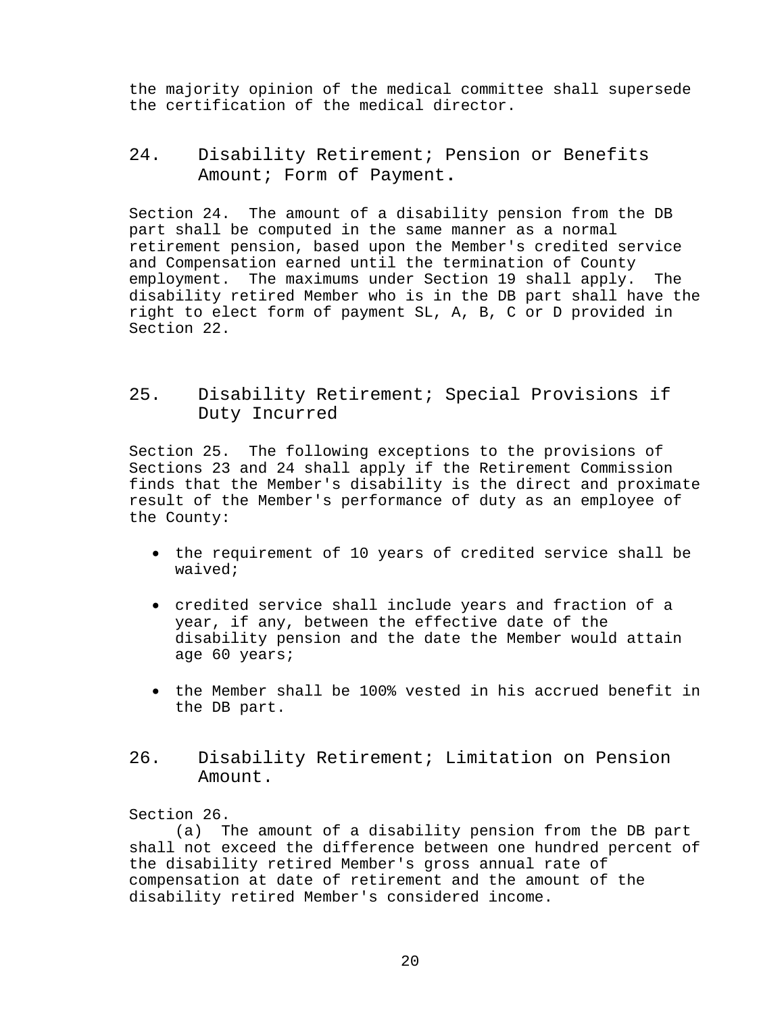the majority opinion of the medical committee shall supersede the certification of the medical director.

# <span id="page-26-0"></span>24. Disability Retirement; Pension or Benefits Amount; Form of Payment**.**

Section 24. The amount of a disability pension from the DB part shall be computed in the same manner as a normal retirement pension, based upon the Member's credited service and Compensation earned until the termination of County employment. The maximums under Section 19 shall apply. The disability retired Member who is in the DB part shall have the right to elect form of payment SL, A, B, C or D provided in Section 22.

# <span id="page-26-1"></span>25. Disability Retirement; Special Provisions if Duty Incurred

Section 25. The following exceptions to the provisions of Sections 23 and 24 shall apply if the Retirement Commission finds that the Member's disability is the direct and proximate result of the Member's performance of duty as an employee of the County:

- the requirement of 10 years of credited service shall be waived;
- credited service shall include years and fraction of a year, if any, between the effective date of the disability pension and the date the Member would attain age 60 years;
- the Member shall be 100% vested in his accrued benefit in the DB part.
- <span id="page-26-2"></span>26. Disability Retirement; Limitation on Pension Amount.

### Section 26.

(a) The amount of a disability pension from the DB part shall not exceed the difference between one hundred percent of the disability retired Member's gross annual rate of compensation at date of retirement and the amount of the disability retired Member's considered income.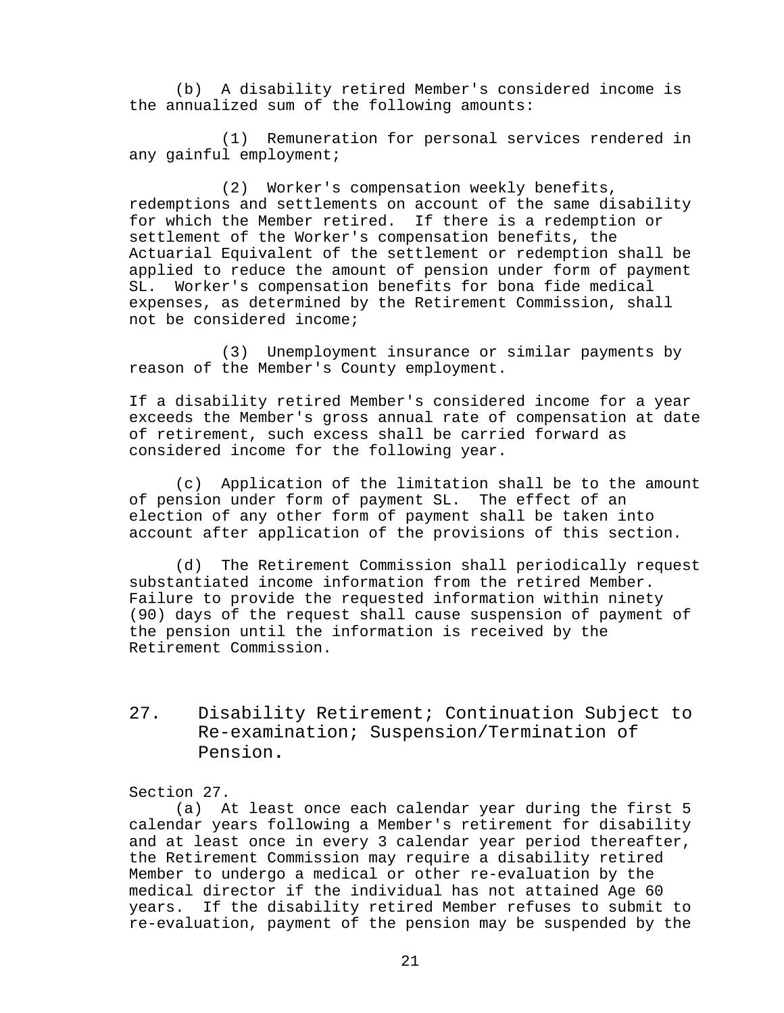(b) A disability retired Member's considered income is the annualized sum of the following amounts:

(1) Remuneration for personal services rendered in any gainful employment;

(2) Worker's compensation weekly benefits, redemptions and settlements on account of the same disability for which the Member retired. If there is a redemption or settlement of the Worker's compensation benefits, the Actuarial Equivalent of the settlement or redemption shall be applied to reduce the amount of pension under form of payment<br>SL. Worker's compensation benefits for bona fide medical Worker's compensation benefits for bona fide medical expenses, as determined by the Retirement Commission, shall not be considered income;

(3) Unemployment insurance or similar payments by reason of the Member's County employment.

If a disability retired Member's considered income for a year exceeds the Member's gross annual rate of compensation at date of retirement, such excess shall be carried forward as considered income for the following year.

(c) Application of the limitation shall be to the amount of pension under form of payment SL. The effect of an election of any other form of payment shall be taken into account after application of the provisions of this section.

(d) The Retirement Commission shall periodically request substantiated income information from the retired Member. Failure to provide the requested information within ninety (90) days of the request shall cause suspension of payment of the pension until the information is received by the Retirement Commission.

<span id="page-27-0"></span>27. Disability Retirement; Continuation Subject to Re-examination; Suspension/Termination of Pension**.**

#### Section 27.

(a) At least once each calendar year during the first 5 calendar years following a Member's retirement for disability and at least once in every 3 calendar year period thereafter, the Retirement Commission may require a disability retired Member to undergo a medical or other re-evaluation by the medical director if the individual has not attained Age 60 years. If the disability retired Member refuses to submit to re-evaluation, payment of the pension may be suspended by the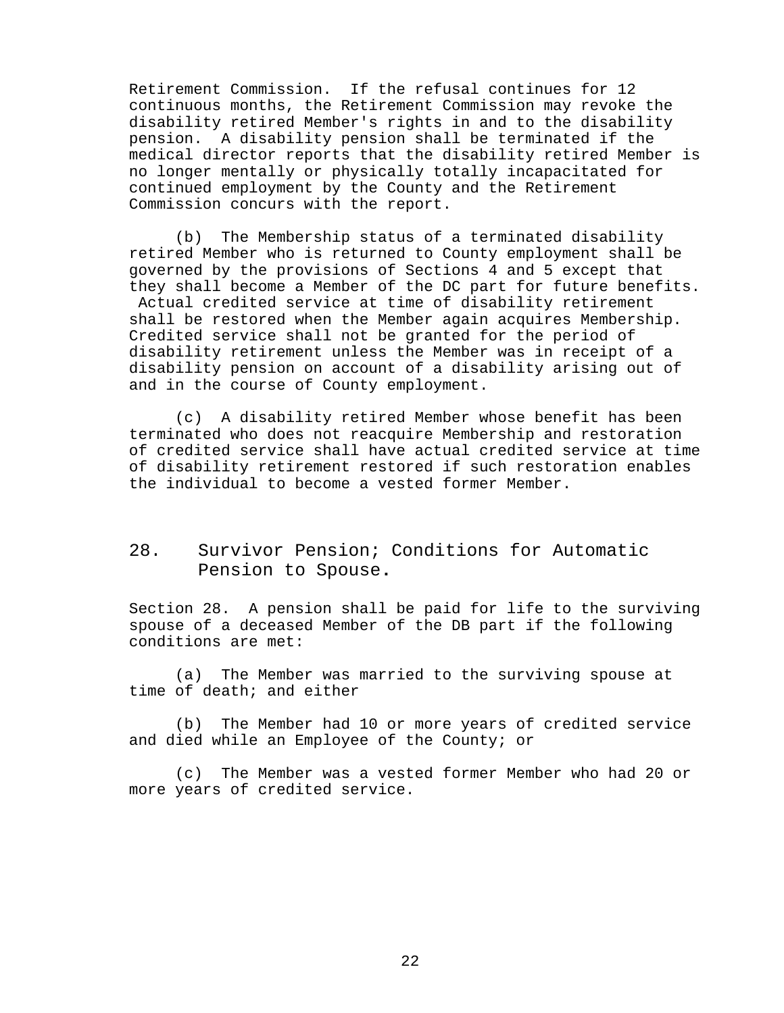Retirement Commission. If the refusal continues for 12 continuous months, the Retirement Commission may revoke the disability retired Member's rights in and to the disability pension. A disability pension shall be terminated if the medical director reports that the disability retired Member is no longer mentally or physically totally incapacitated for continued employment by the County and the Retirement Commission concurs with the report.

(b) The Membership status of a terminated disability retired Member who is returned to County employment shall be governed by the provisions of Sections 4 and 5 except that they shall become a Member of the DC part for future benefits. Actual credited service at time of disability retirement shall be restored when the Member again acquires Membership. Credited service shall not be granted for the period of disability retirement unless the Member was in receipt of a disability pension on account of a disability arising out of and in the course of County employment.

(c) A disability retired Member whose benefit has been terminated who does not reacquire Membership and restoration of credited service shall have actual credited service at time of disability retirement restored if such restoration enables the individual to become a vested former Member.

# <span id="page-28-0"></span>28. Survivor Pension; Conditions for Automatic Pension to Spouse**.**

Section 28. A pension shall be paid for life to the surviving spouse of a deceased Member of the DB part if the following conditions are met:

(a) The Member was married to the surviving spouse at time of death; and either

(b) The Member had 10 or more years of credited service and died while an Employee of the County; or

(c) The Member was a vested former Member who had 20 or more years of credited service.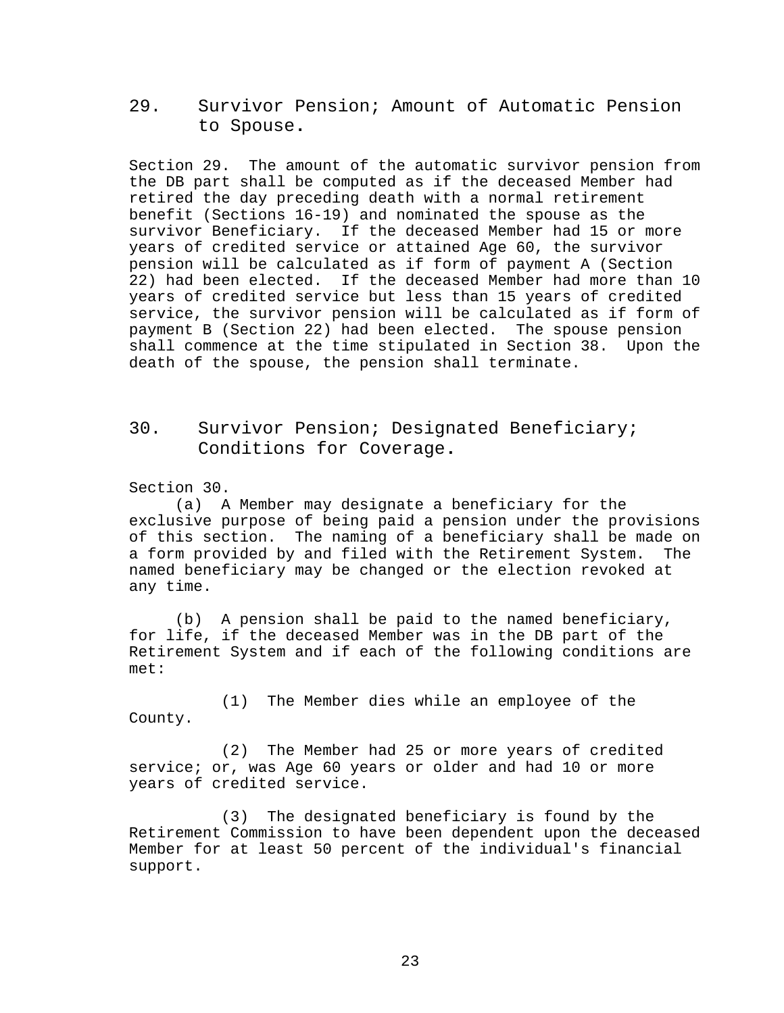<span id="page-29-0"></span>29. Survivor Pension; Amount of Automatic Pension to Spouse**.**

Section 29. The amount of the automatic survivor pension from the DB part shall be computed as if the deceased Member had retired the day preceding death with a normal retirement benefit (Sections 16-19) and nominated the spouse as the survivor Beneficiary. If the deceased Member had 15 or more years of credited service or attained Age 60, the survivor pension will be calculated as if form of payment A (Section 22) had been elected. If the deceased Member had more than 10 years of credited service but less than 15 years of credited service, the survivor pension will be calculated as if form of payment B (Section 22) had been elected. The spouse pension shall commence at the time stipulated in Section 38. Upon the death of the spouse, the pension shall terminate.

# <span id="page-29-1"></span>30. Survivor Pension; Designated Beneficiary; Conditions for Coverage**.**

Section 30.

(a) A Member may designate a beneficiary for the exclusive purpose of being paid a pension under the provisions of this section. The naming of a beneficiary shall be made on<br>a form provided by and filed with the Retirement System. The a form provided by and filed with the Retirement System. named beneficiary may be changed or the election revoked at any time.

(b) A pension shall be paid to the named beneficiary, for life, if the deceased Member was in the DB part of the Retirement System and if each of the following conditions are met:

(1) The Member dies while an employee of the County.

(2) The Member had 25 or more years of credited service; or, was Age 60 years or older and had 10 or more years of credited service.

(3) The designated beneficiary is found by the Retirement Commission to have been dependent upon the deceased Member for at least 50 percent of the individual's financial support.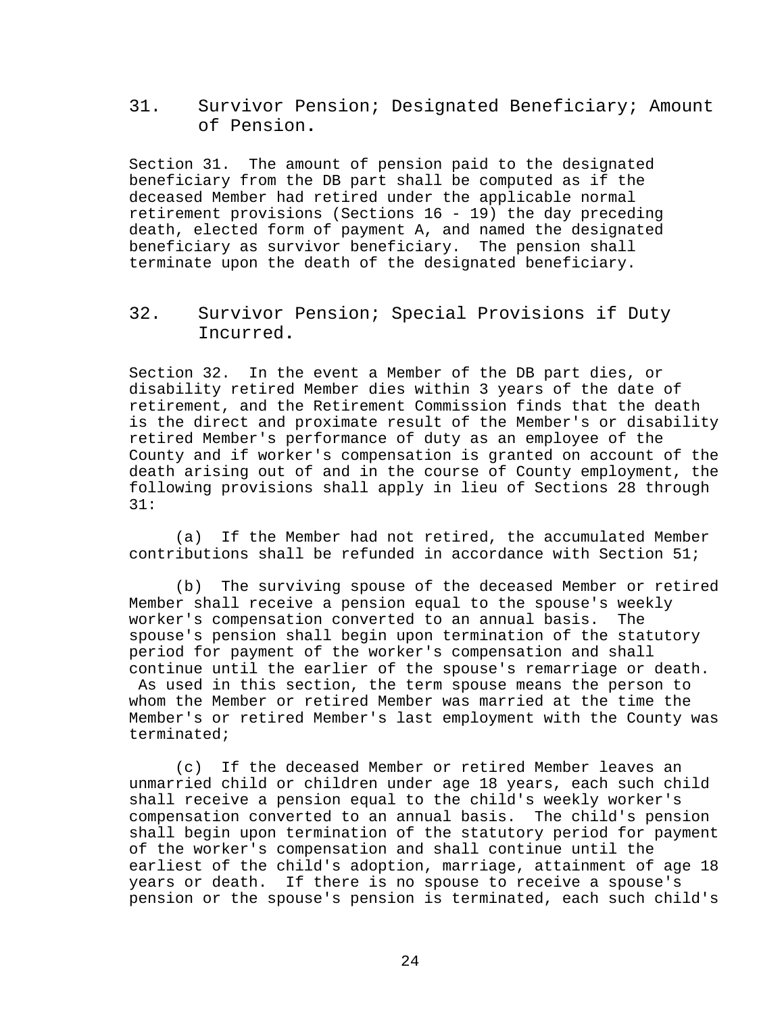<span id="page-30-0"></span>31. Survivor Pension; Designated Beneficiary; Amount of Pension**.**

Section 31. The amount of pension paid to the designated beneficiary from the DB part shall be computed as if the deceased Member had retired under the applicable normal retirement provisions (Sections 16 - 19) the day preceding death, elected form of payment A, and named the designated beneficiary as survivor beneficiary. The pension shall terminate upon the death of the designated beneficiary.

<span id="page-30-1"></span>32. Survivor Pension; Special Provisions if Duty Incurred**.**

Section 32. In the event a Member of the DB part dies, or disability retired Member dies within 3 years of the date of retirement, and the Retirement Commission finds that the death is the direct and proximate result of the Member's or disability retired Member's performance of duty as an employee of the County and if worker's compensation is granted on account of the death arising out of and in the course of County employment, the following provisions shall apply in lieu of Sections 28 through 31:

(a) If the Member had not retired, the accumulated Member contributions shall be refunded in accordance with Section 51;

(b) The surviving spouse of the deceased Member or retired Member shall receive a pension equal to the spouse's weekly worker's compensation converted to an annual basis. The spouse's pension shall begin upon termination of the statutory period for payment of the worker's compensation and shall continue until the earlier of the spouse's remarriage or death. As used in this section, the term spouse means the person to whom the Member or retired Member was married at the time the Member's or retired Member's last employment with the County was terminated;

(c) If the deceased Member or retired Member leaves an unmarried child or children under age 18 years, each such child shall receive a pension equal to the child's weekly worker's compensation converted to an annual basis. The child's pension shall begin upon termination of the statutory period for payment of the worker's compensation and shall continue until the earliest of the child's adoption, marriage, attainment of age 18 years or death. If there is no spouse to receive a spouse's pension or the spouse's pension is terminated, each such child's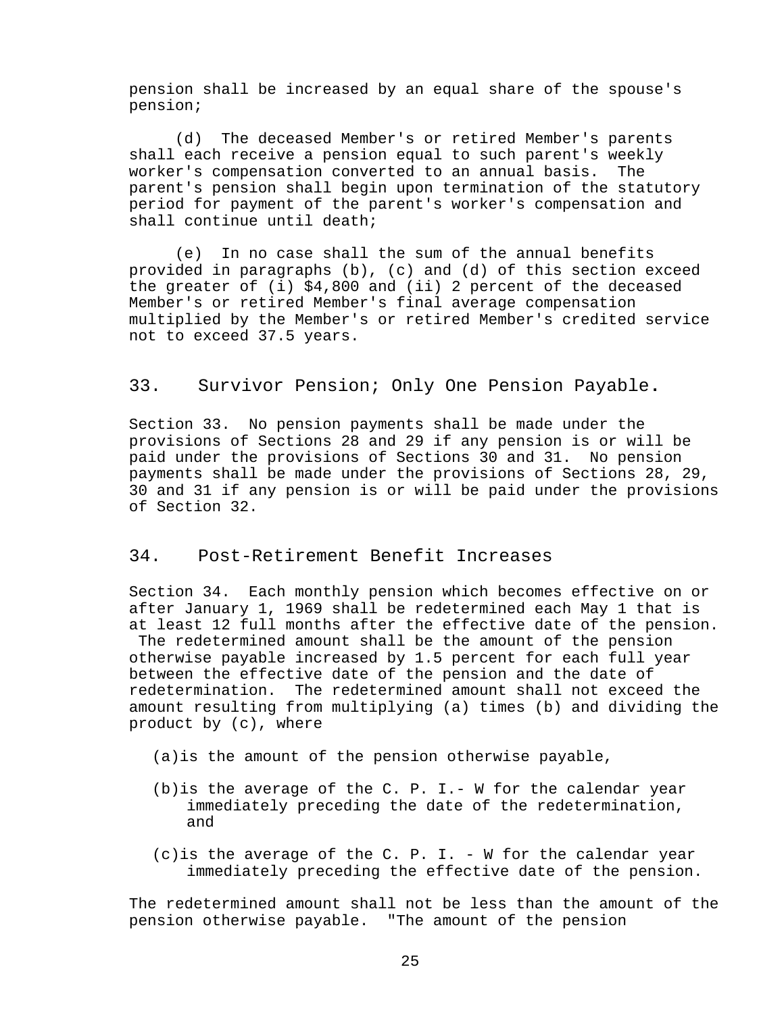pension shall be increased by an equal share of the spouse's pension;

(d) The deceased Member's or retired Member's parents shall each receive a pension equal to such parent's weekly worker's compensation converted to an annual basis. The parent's pension shall begin upon termination of the statutory period for payment of the parent's worker's compensation and shall continue until death;

(e) In no case shall the sum of the annual benefits provided in paragraphs (b), (c) and (d) of this section exceed the greater of (i) \$4,800 and (ii) 2 percent of the deceased Member's or retired Member's final average compensation multiplied by the Member's or retired Member's credited service not to exceed 37.5 years.

## <span id="page-31-0"></span>33. Survivor Pension; Only One Pension Payable**.**

Section 33. No pension payments shall be made under the provisions of Sections 28 and 29 if any pension is or will be paid under the provisions of Sections 30 and 31. No pension payments shall be made under the provisions of Sections 28, 29, 30 and 31 if any pension is or will be paid under the provisions of Section 32.

## <span id="page-31-1"></span>34. Post-Retirement Benefit Increases

Section 34. Each monthly pension which becomes effective on or after January 1, 1969 shall be redetermined each May 1 that is at least 12 full months after the effective date of the pension. The redetermined amount shall be the amount of the pension otherwise payable increased by 1.5 percent for each full year between the effective date of the pension and the date of redetermination. The redetermined amount shall not exceed the amount resulting from multiplying (a) times (b) and dividing the product by (c), where

- (a)is the amount of the pension otherwise payable,
- (b)is the average of the C. P. I.- W for the calendar year immediately preceding the date of the redetermination, and
- (c)is the average of the C. P. I. W for the calendar year immediately preceding the effective date of the pension.

The redetermined amount shall not be less than the amount of the pension otherwise payable. "The amount of the pension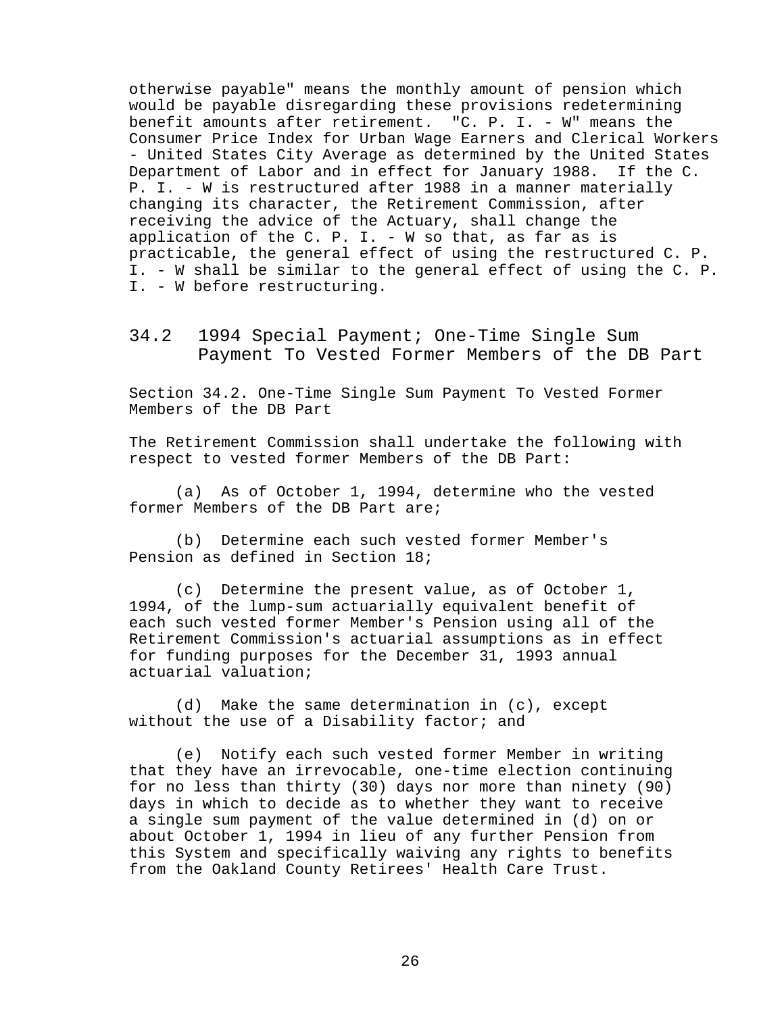otherwise payable" means the monthly amount of pension which would be payable disregarding these provisions redetermining benefit amounts after retirement. "C. P. I. - W" means the Consumer Price Index for Urban Wage Earners and Clerical Workers - United States City Average as determined by the United States Department of Labor and in effect for January 1988. If the C. P. I. - W is restructured after 1988 in a manner materially changing its character, the Retirement Commission, after receiving the advice of the Actuary, shall change the application of the C. P. I. - W so that, as far as is practicable, the general effect of using the restructured C. P. I. - W shall be similar to the general effect of using the C. P. I. - W before restructuring.

<span id="page-32-0"></span>34.2 1994 Special Payment; One-Time Single Sum Payment To Vested Former Members of the DB Part

Section 34.2. One-Time Single Sum Payment To Vested Former Members of the DB Part

The Retirement Commission shall undertake the following with respect to vested former Members of the DB Part:

(a) As of October 1, 1994, determine who the vested former Members of the DB Part are;

(b) Determine each such vested former Member's Pension as defined in Section 18;

(c) Determine the present value, as of October 1, 1994, of the lump-sum actuarially equivalent benefit of each such vested former Member's Pension using all of the Retirement Commission's actuarial assumptions as in effect for funding purposes for the December 31, 1993 annual actuarial valuation;

(d) Make the same determination in (c), except without the use of a Disability factor; and

(e) Notify each such vested former Member in writing that they have an irrevocable, one-time election continuing for no less than thirty (30) days nor more than ninety (90) days in which to decide as to whether they want to receive a single sum payment of the value determined in (d) on or about October 1, 1994 in lieu of any further Pension from this System and specifically waiving any rights to benefits from the Oakland County Retirees' Health Care Trust.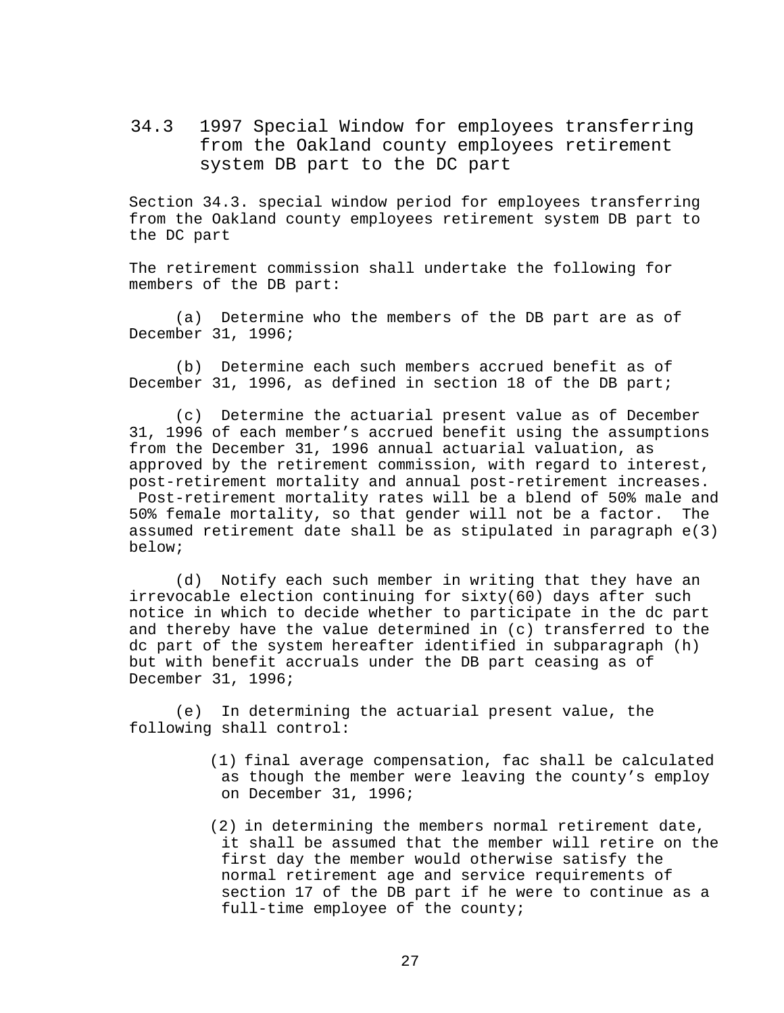<span id="page-33-0"></span>34.3 1997 Special Window for employees transferring from the Oakland county employees retirement system DB part to the DC part

Section 34.3. special window period for employees transferring from the Oakland county employees retirement system DB part to the DC part

The retirement commission shall undertake the following for members of the DB part:

(a) Determine who the members of the DB part are as of December 31, 1996;

(b) Determine each such members accrued benefit as of December 31, 1996, as defined in section 18 of the DB part;

(c) Determine the actuarial present value as of December 31, 1996 of each member's accrued benefit using the assumptions from the December 31, 1996 annual actuarial valuation, as approved by the retirement commission, with regard to interest, post-retirement mortality and annual post-retirement increases.

Post-retirement mortality rates will be a blend of 50% male and 50% female mortality, so that gender will not be a factor. The assumed retirement date shall be as stipulated in paragraph e(3) below;

(d) Notify each such member in writing that they have an irrevocable election continuing for sixty(60) days after such notice in which to decide whether to participate in the dc part and thereby have the value determined in (c) transferred to the dc part of the system hereafter identified in subparagraph (h) but with benefit accruals under the DB part ceasing as of December 31, 1996;

(e) In determining the actuarial present value, the following shall control:

> (1) final average compensation, fac shall be calculated as though the member were leaving the county's employ on December 31, 1996;

> (2) in determining the members normal retirement date, it shall be assumed that the member will retire on the first day the member would otherwise satisfy the normal retirement age and service requirements of section 17 of the DB part if he were to continue as a full-time employee of the county;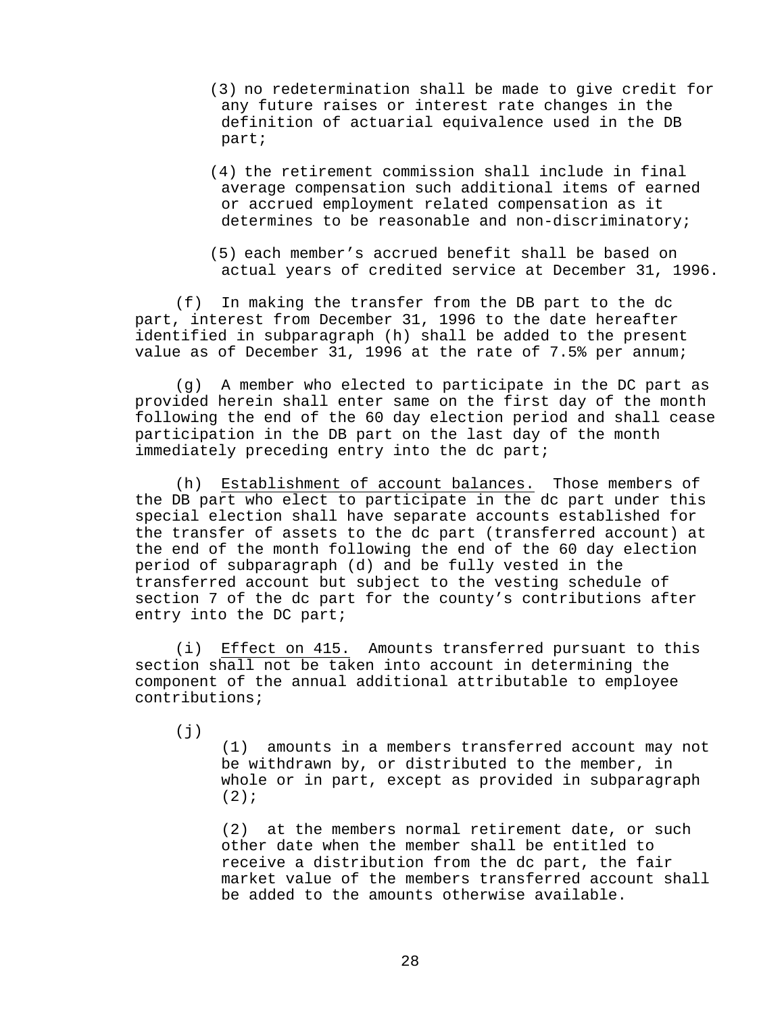- (3) no redetermination shall be made to give credit for any future raises or interest rate changes in the definition of actuarial equivalence used in the DB part;
- (4) the retirement commission shall include in final average compensation such additional items of earned or accrued employment related compensation as it determines to be reasonable and non-discriminatory;
- (5) each member's accrued benefit shall be based on actual years of credited service at December 31, 1996.

(f) In making the transfer from the DB part to the dc part, interest from December 31, 1996 to the date hereafter identified in subparagraph (h) shall be added to the present value as of December 31, 1996 at the rate of 7.5% per annum;

(g) A member who elected to participate in the DC part as provided herein shall enter same on the first day of the month following the end of the 60 day election period and shall cease participation in the DB part on the last day of the month immediately preceding entry into the dc part;

(h) Establishment of account balances. Those members of the DB part who elect to participate in the dc part under this special election shall have separate accounts established for the transfer of assets to the dc part (transferred account) at the end of the month following the end of the 60 day election period of subparagraph (d) and be fully vested in the transferred account but subject to the vesting schedule of section 7 of the dc part for the county's contributions after entry into the DC part;

(i) Effect on 415. Amounts transferred pursuant to this section shall not be taken into account in determining the component of the annual additional attributable to employee contributions;

 $(j)$ 

(1) amounts in a members transferred account may not be withdrawn by, or distributed to the member, in whole or in part, except as provided in subparagraph  $(2)$ ;

(2) at the members normal retirement date, or such other date when the member shall be entitled to receive a distribution from the dc part, the fair market value of the members transferred account shall be added to the amounts otherwise available.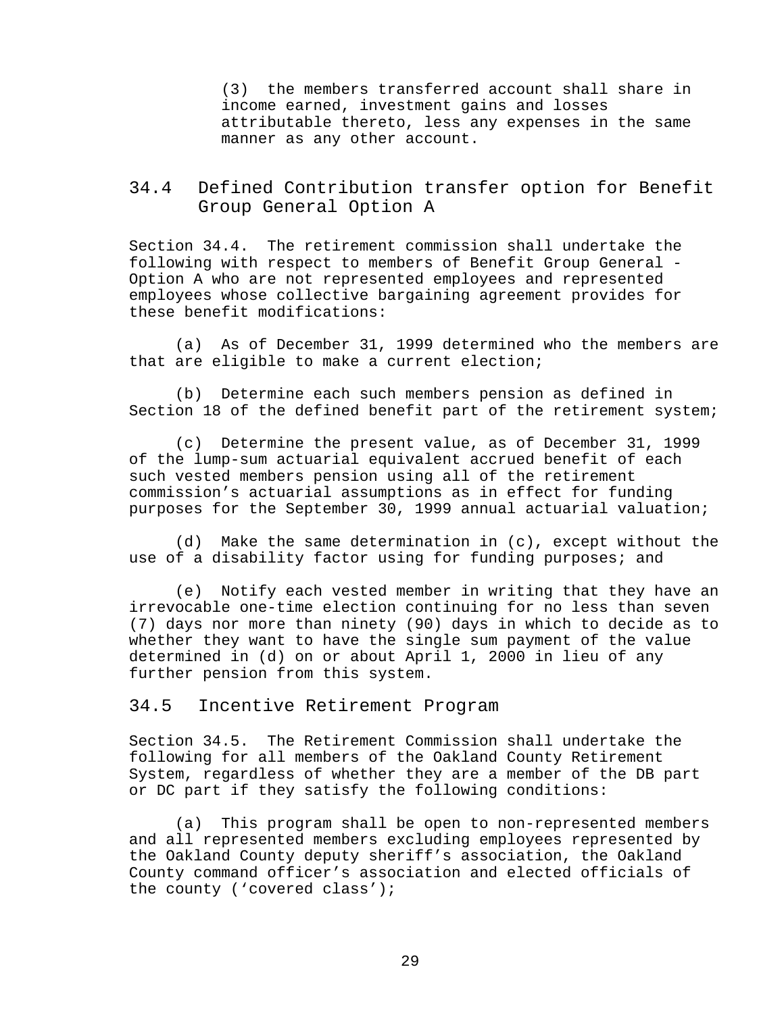(3) the members transferred account shall share in income earned, investment gains and losses attributable thereto, less any expenses in the same manner as any other account.

# <span id="page-35-0"></span>34.4 Defined Contribution transfer option for Benefit Group General Option A

Section 34.4. The retirement commission shall undertake the following with respect to members of Benefit Group General - Option A who are not represented employees and represented employees whose collective bargaining agreement provides for these benefit modifications:

(a) As of December 31, 1999 determined who the members are that are eligible to make a current election;

(b) Determine each such members pension as defined in Section 18 of the defined benefit part of the retirement system;

(c) Determine the present value, as of December 31, 1999 of the lump-sum actuarial equivalent accrued benefit of each such vested members pension using all of the retirement commission's actuarial assumptions as in effect for funding purposes for the September 30, 1999 annual actuarial valuation;

(d) Make the same determination in (c), except without the use of a disability factor using for funding purposes; and

(e) Notify each vested member in writing that they have an irrevocable one-time election continuing for no less than seven (7) days nor more than ninety (90) days in which to decide as to whether they want to have the single sum payment of the value determined in (d) on or about April 1, 2000 in lieu of any further pension from this system.

### <span id="page-35-1"></span>34.5 Incentive Retirement Program

Section 34.5. The Retirement Commission shall undertake the following for all members of the Oakland County Retirement System, regardless of whether they are a member of the DB part or DC part if they satisfy the following conditions:

(a) This program shall be open to non-represented members and all represented members excluding employees represented by the Oakland County deputy sheriff's association, the Oakland County command officer's association and elected officials of the county ('covered class');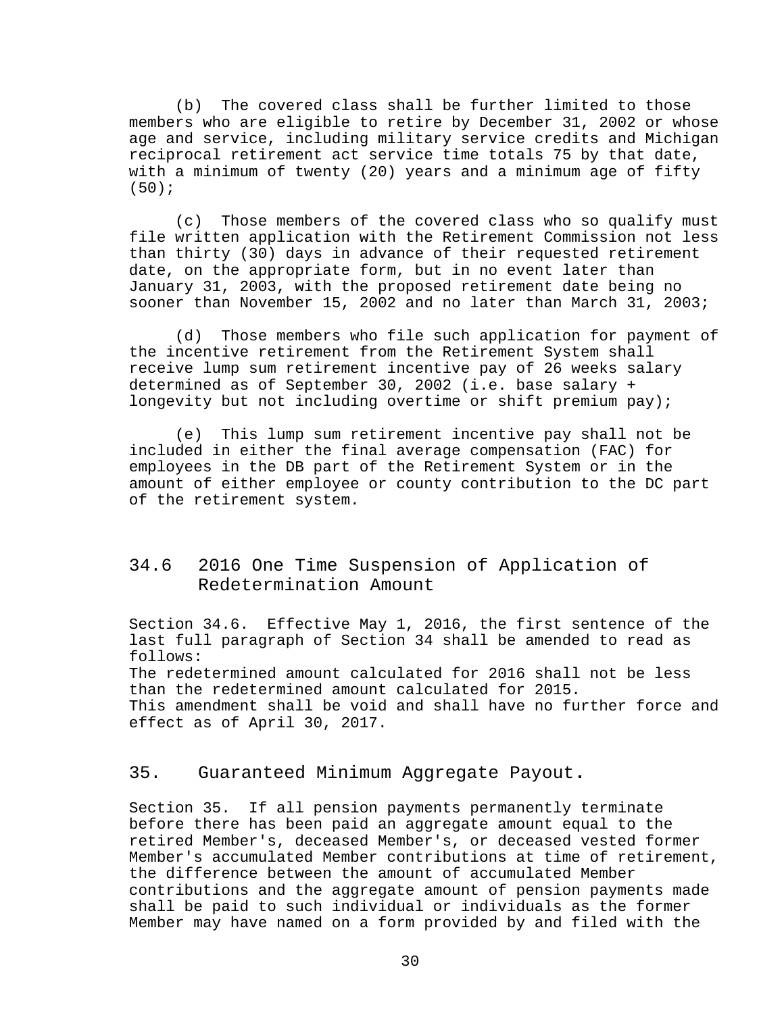(b) The covered class shall be further limited to those members who are eligible to retire by December 31, 2002 or whose age and service, including military service credits and Michigan reciprocal retirement act service time totals 75 by that date, with a minimum of twenty (20) years and a minimum age of fifty (50);

(c) Those members of the covered class who so qualify must file written application with the Retirement Commission not less than thirty (30) days in advance of their requested retirement date, on the appropriate form, but in no event later than January 31, 2003, with the proposed retirement date being no sooner than November 15, 2002 and no later than March 31, 2003;

(d) Those members who file such application for payment of the incentive retirement from the Retirement System shall receive lump sum retirement incentive pay of 26 weeks salary determined as of September 30, 2002 (i.e. base salary + longevity but not including overtime or shift premium pay);

(e) This lump sum retirement incentive pay shall not be included in either the final average compensation (FAC) for employees in the DB part of the Retirement System or in the amount of either employee or county contribution to the DC part of the retirement system.

# <span id="page-36-0"></span>34.6 2016 One Time Suspension of Application of Redetermination Amount

Section 34.6. Effective May 1, 2016, the first sentence of the last full paragraph of Section 34 shall be amended to read as follows: The redetermined amount calculated for 2016 shall not be less than the redetermined amount calculated for 2015. This amendment shall be void and shall have no further force and

effect as of April 30, 2017.

## <span id="page-36-1"></span>35. Guaranteed Minimum Aggregate Payout**.**

Section 35. If all pension payments permanently terminate before there has been paid an aggregate amount equal to the retired Member's, deceased Member's, or deceased vested former Member's accumulated Member contributions at time of retirement, the difference between the amount of accumulated Member contributions and the aggregate amount of pension payments made shall be paid to such individual or individuals as the former Member may have named on a form provided by and filed with the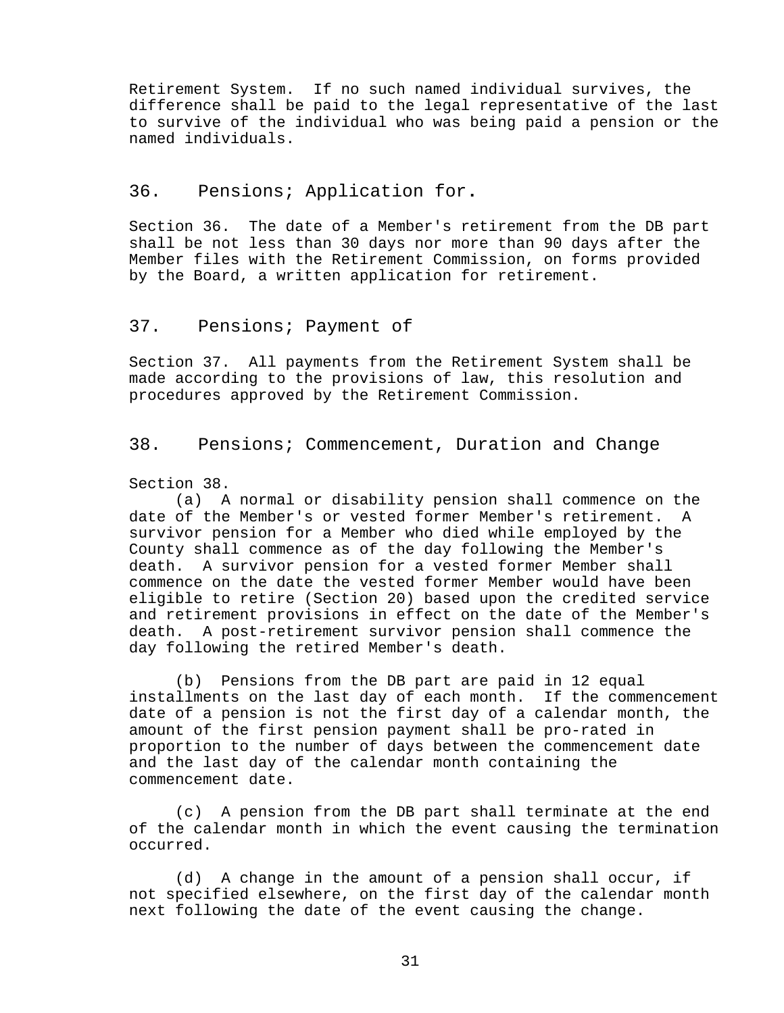Retirement System. If no such named individual survives, the difference shall be paid to the legal representative of the last to survive of the individual who was being paid a pension or the named individuals.

# <span id="page-37-0"></span>36. Pensions; Application for**.**

Section 36. The date of a Member's retirement from the DB part shall be not less than 30 days nor more than 90 days after the Member files with the Retirement Commission, on forms provided by the Board, a written application for retirement.

### <span id="page-37-1"></span>37. Pensions; Payment of

Section 37. All payments from the Retirement System shall be made according to the provisions of law, this resolution and procedures approved by the Retirement Commission.

## <span id="page-37-2"></span>38. Pensions; Commencement, Duration and Change

# Section 38.<br>(a)  $A$

A normal or disability pension shall commence on the date of the Member's or vested former Member's retirement. A survivor pension for a Member who died while employed by the County shall commence as of the day following the Member's death. A survivor pension for a vested former Member shall commence on the date the vested former Member would have been eligible to retire (Section 20) based upon the credited service and retirement provisions in effect on the date of the Member's death. A post-retirement survivor pension shall commence the day following the retired Member's death.

(b) Pensions from the DB part are paid in 12 equal installments on the last day of each month. If the commencement date of a pension is not the first day of a calendar month, the amount of the first pension payment shall be pro-rated in proportion to the number of days between the commencement date and the last day of the calendar month containing the commencement date.

(c) A pension from the DB part shall terminate at the end of the calendar month in which the event causing the termination occurred.

(d) A change in the amount of a pension shall occur, if not specified elsewhere, on the first day of the calendar month next following the date of the event causing the change.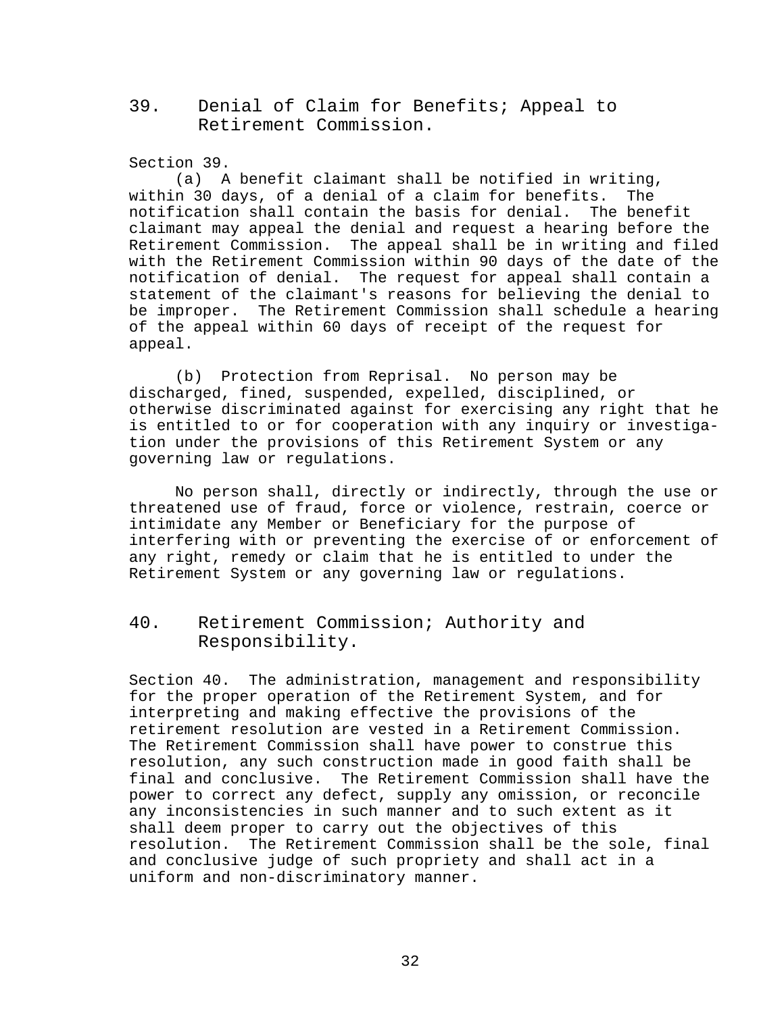<span id="page-38-0"></span>39. Denial of Claim for Benefits; Appeal to Retirement Commission.

Section 39.

(a) A benefit claimant shall be notified in writing,<br>n 30 days, of a denial of a claim for benefits. The within 30 days, of a denial of a claim for benefits. notification shall contain the basis for denial. The benefit claimant may appeal the denial and request a hearing before the Retirement Commission. The appeal shall be in writing and filed with the Retirement Commission within 90 days of the date of the notification of denial. The request for appeal shall contain a statement of the claimant's reasons for believing the denial to be improper. The Retirement Commission shall schedule a hearing of the appeal within 60 days of receipt of the request for appeal.

(b) Protection from Reprisal. No person may be discharged, fined, suspended, expelled, disciplined, or otherwise discriminated against for exercising any right that he is entitled to or for cooperation with any inquiry or investigation under the provisions of this Retirement System or any governing law or regulations.

No person shall, directly or indirectly, through the use or threatened use of fraud, force or violence, restrain, coerce or intimidate any Member or Beneficiary for the purpose of interfering with or preventing the exercise of or enforcement of any right, remedy or claim that he is entitled to under the Retirement System or any governing law or regulations.

# <span id="page-38-1"></span>40. Retirement Commission; Authority and Responsibility.

Section 40. The administration, management and responsibility for the proper operation of the Retirement System, and for interpreting and making effective the provisions of the retirement resolution are vested in a Retirement Commission. The Retirement Commission shall have power to construe this resolution, any such construction made in good faith shall be final and conclusive. The Retirement Commission shall have the power to correct any defect, supply any omission, or reconcile any inconsistencies in such manner and to such extent as it shall deem proper to carry out the objectives of this resolution. The Retirement Commission shall be the sole, final and conclusive judge of such propriety and shall act in a uniform and non-discriminatory manner.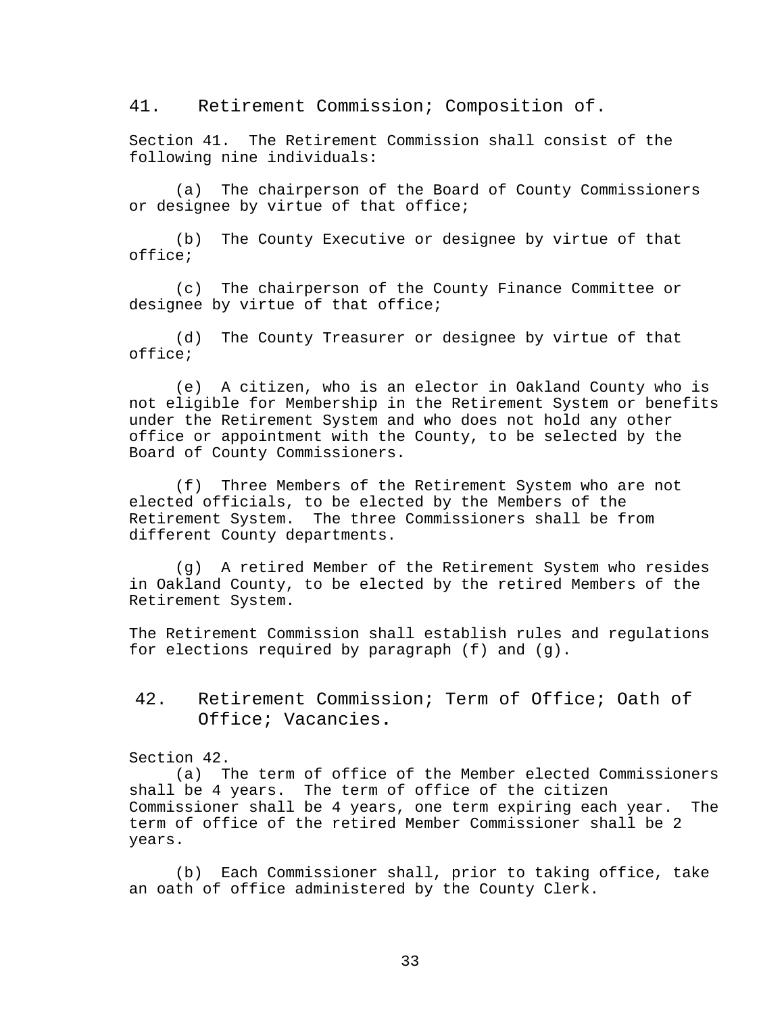<span id="page-39-0"></span>41. Retirement Commission; Composition of.

Section 41. The Retirement Commission shall consist of the following nine individuals:

(a) The chairperson of the Board of County Commissioners or designee by virtue of that office;

(b) The County Executive or designee by virtue of that office;

(c) The chairperson of the County Finance Committee or designee by virtue of that office;

(d) The County Treasurer or designee by virtue of that office;

(e) A citizen, who is an elector in Oakland County who is not eligible for Membership in the Retirement System or benefits under the Retirement System and who does not hold any other office or appointment with the County, to be selected by the Board of County Commissioners.

(f) Three Members of the Retirement System who are not elected officials, to be elected by the Members of the Retirement System. The three Commissioners shall be from different County departments.

(g) A retired Member of the Retirement System who resides in Oakland County, to be elected by the retired Members of the Retirement System.

The Retirement Commission shall establish rules and regulations for elections required by paragraph (f) and (g).

<span id="page-39-1"></span>42. Retirement Commission; Term of Office; Oath of Office; Vacancies**.**

Section 42.

(a) The term of office of the Member elected Commissioners shall be 4 years. The term of office of the citizen Commissioner shall be 4 years, one term expiring each year. The term of office of the retired Member Commissioner shall be 2 years.

(b) Each Commissioner shall, prior to taking office, take an oath of office administered by the County Clerk.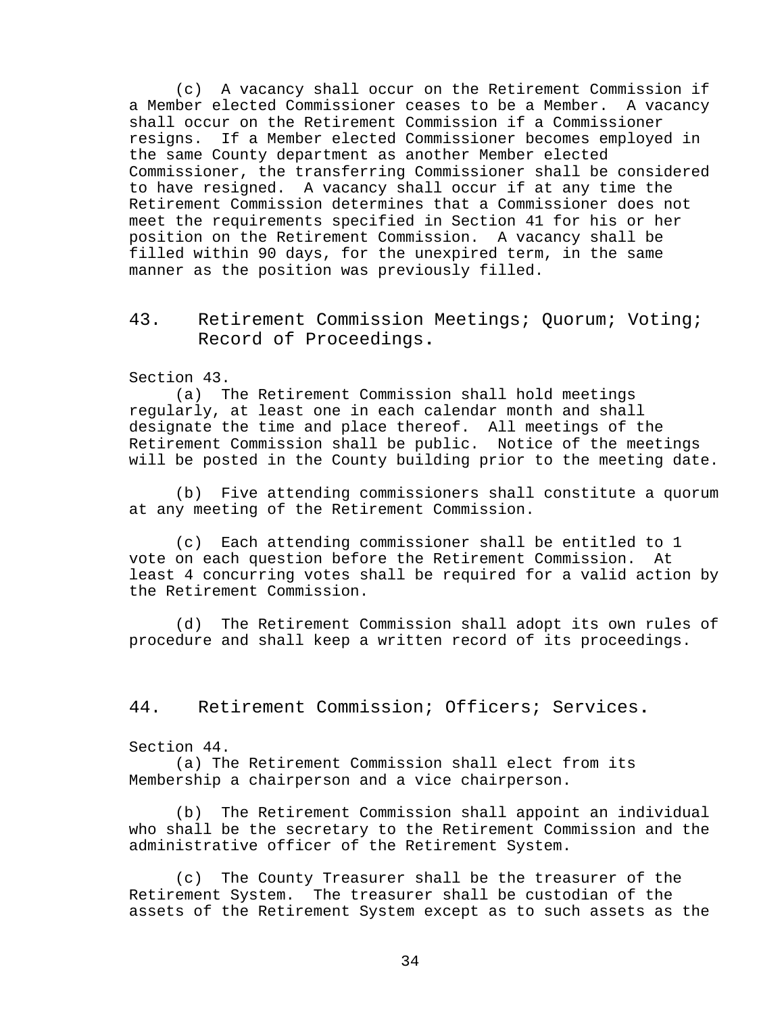(c) A vacancy shall occur on the Retirement Commission if a Member elected Commissioner ceases to be a Member. A vacancy shall occur on the Retirement Commission if a Commissioner resigns. If a Member elected Commissioner becomes employed in the same County department as another Member elected Commissioner, the transferring Commissioner shall be considered to have resigned. A vacancy shall occur if at any time the Retirement Commission determines that a Commissioner does not meet the requirements specified in Section 41 for his or her position on the Retirement Commission. A vacancy shall be filled within 90 days, for the unexpired term, in the same manner as the position was previously filled.

<span id="page-40-0"></span>43. Retirement Commission Meetings; Quorum; Voting; Record of Proceedings**.**

Section 43.

(a) The Retirement Commission shall hold meetings regularly, at least one in each calendar month and shall designate the time and place thereof. All meetings of the Retirement Commission shall be public. Notice of the meetings will be posted in the County building prior to the meeting date.

(b) Five attending commissioners shall constitute a quorum at any meeting of the Retirement Commission.

(c) Each attending commissioner shall be entitled to 1 vote on each question before the Retirement Commission. At least 4 concurring votes shall be required for a valid action by the Retirement Commission.

(d) The Retirement Commission shall adopt its own rules of procedure and shall keep a written record of its proceedings.

<span id="page-40-1"></span>44. Retirement Commission; Officers; Services**.**

Section 44.

(a) The Retirement Commission shall elect from its Membership a chairperson and a vice chairperson.

(b) The Retirement Commission shall appoint an individual who shall be the secretary to the Retirement Commission and the administrative officer of the Retirement System.

(c) The County Treasurer shall be the treasurer of the Retirement System. The treasurer shall be custodian of the assets of the Retirement System except as to such assets as the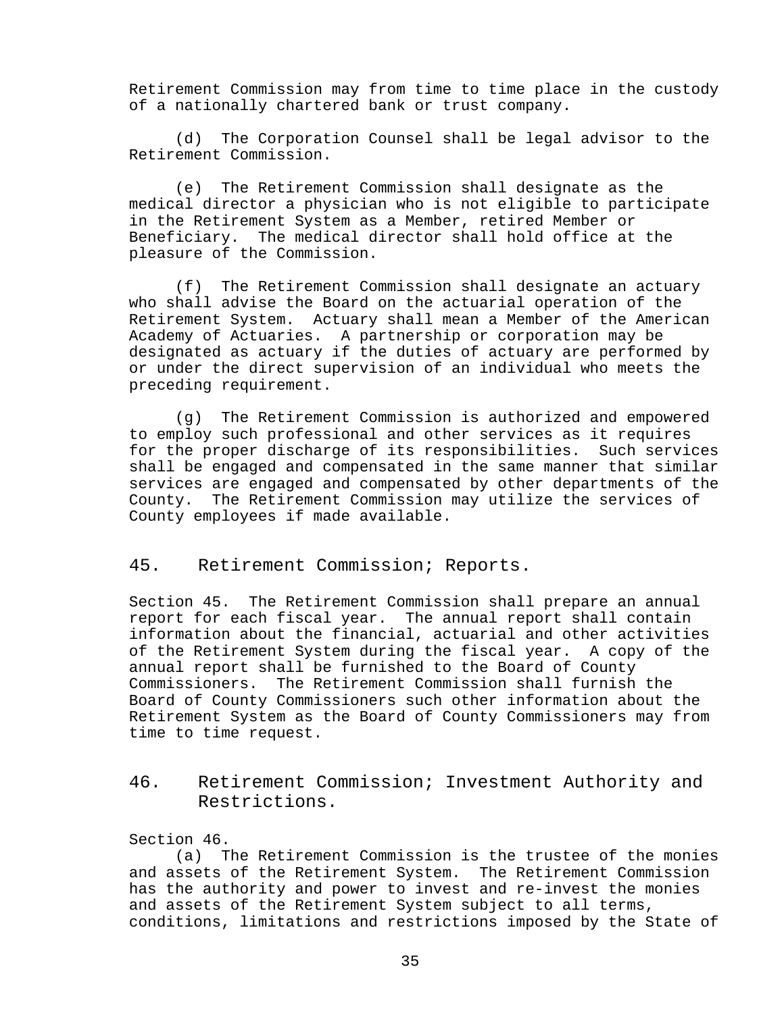Retirement Commission may from time to time place in the custody of a nationally chartered bank or trust company.

(d) The Corporation Counsel shall be legal advisor to the Retirement Commission.

(e) The Retirement Commission shall designate as the medical director a physician who is not eligible to participate in the Retirement System as a Member, retired Member or Beneficiary. The medical director shall hold office at the pleasure of the Commission.

(f) The Retirement Commission shall designate an actuary who shall advise the Board on the actuarial operation of the Retirement System. Actuary shall mean a Member of the American Academy of Actuaries. A partnership or corporation may be designated as actuary if the duties of actuary are performed by or under the direct supervision of an individual who meets the preceding requirement.

(g) The Retirement Commission is authorized and empowered to employ such professional and other services as it requires for the proper discharge of its responsibilities. Such services shall be engaged and compensated in the same manner that similar services are engaged and compensated by other departments of the County. The Retirement Commission may utilize the services of County employees if made available.

<span id="page-41-0"></span>45. Retirement Commission; Reports.

Section 45. The Retirement Commission shall prepare an annual report for each fiscal year. The annual report shall contain information about the financial, actuarial and other activities of the Retirement System during the fiscal year. A copy of the annual report shall be furnished to the Board of County Commissioners. The Retirement Commission shall furnish the Board of County Commissioners such other information about the Retirement System as the Board of County Commissioners may from time to time request.

<span id="page-41-1"></span>46. Retirement Commission; Investment Authority and Restrictions.

Section 46.

(a) The Retirement Commission is the trustee of the monies and assets of the Retirement System. The Retirement Commission has the authority and power to invest and re-invest the monies and assets of the Retirement System subject to all terms, conditions, limitations and restrictions imposed by the State of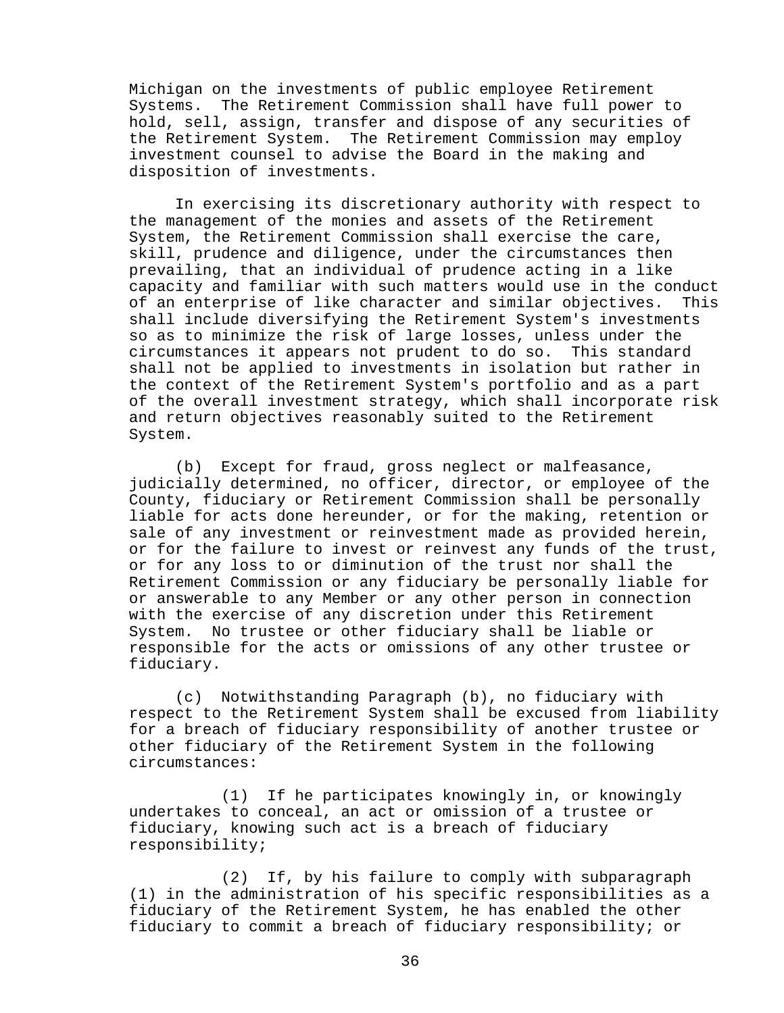Michigan on the investments of public employee Retirement Systems. The Retirement Commission shall have full power to hold, sell, assign, transfer and dispose of any securities of the Retirement System. The Retirement Commission may employ investment counsel to advise the Board in the making and disposition of investments.

In exercising its discretionary authority with respect to the management of the monies and assets of the Retirement System, the Retirement Commission shall exercise the care, skill, prudence and diligence, under the circumstances then prevailing, that an individual of prudence acting in a like capacity and familiar with such matters would use in the conduct<br>of an enterprise of like character and similar objectives. This of an enterprise of like character and similar objectives. shall include diversifying the Retirement System's investments so as to minimize the risk of large losses, unless under the circumstances it appears not prudent to do so. This standard shall not be applied to investments in isolation but rather in the context of the Retirement System's portfolio and as a part of the overall investment strategy, which shall incorporate risk and return objectives reasonably suited to the Retirement System.

(b) Except for fraud, gross neglect or malfeasance, judicially determined, no officer, director, or employee of the County, fiduciary or Retirement Commission shall be personally liable for acts done hereunder, or for the making, retention or sale of any investment or reinvestment made as provided herein, or for the failure to invest or reinvest any funds of the trust, or for any loss to or diminution of the trust nor shall the Retirement Commission or any fiduciary be personally liable for or answerable to any Member or any other person in connection with the exercise of any discretion under this Retirement System. No trustee or other fiduciary shall be liable or responsible for the acts or omissions of any other trustee or fiduciary.

(c) Notwithstanding Paragraph (b), no fiduciary with respect to the Retirement System shall be excused from liability for a breach of fiduciary responsibility of another trustee or other fiduciary of the Retirement System in the following circumstances:

(1) If he participates knowingly in, or knowingly undertakes to conceal, an act or omission of a trustee or fiduciary, knowing such act is a breach of fiduciary responsibility;

(2) If, by his failure to comply with subparagraph (1) in the administration of his specific responsibilities as a fiduciary of the Retirement System, he has enabled the other fiduciary to commit a breach of fiduciary responsibility; or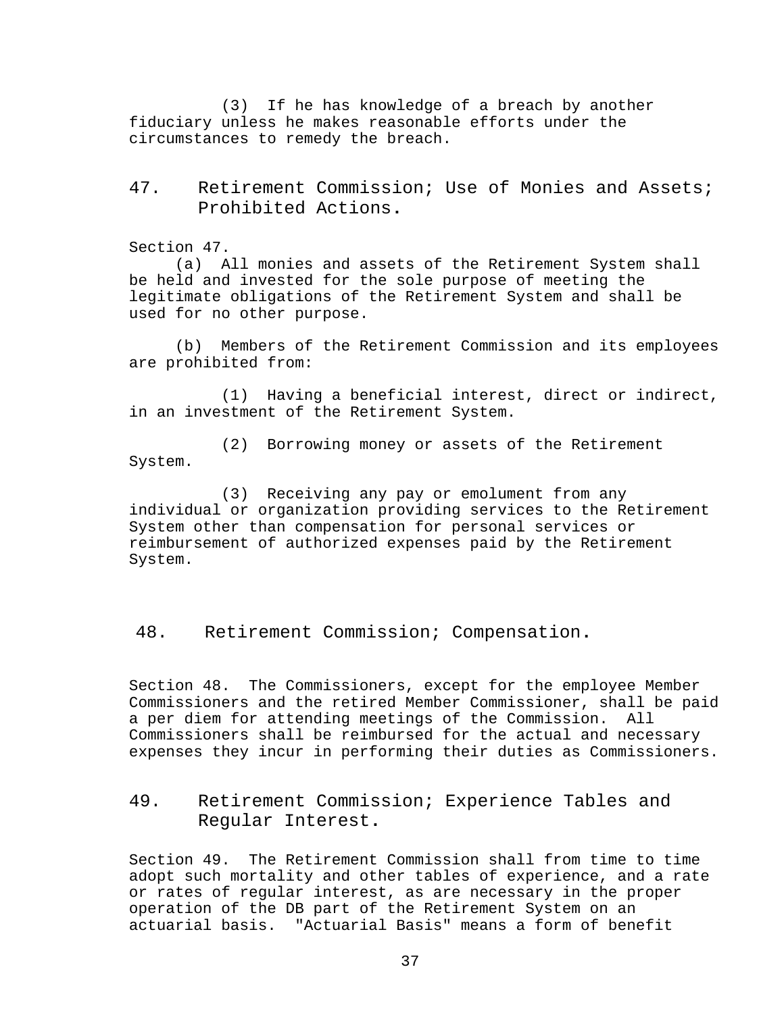(3) If he has knowledge of a breach by another fiduciary unless he makes reasonable efforts under the circumstances to remedy the breach.

# <span id="page-43-0"></span>47. Retirement Commission; Use of Monies and Assets; Prohibited Actions**.**

Section 47.

(a) All monies and assets of the Retirement System shall be held and invested for the sole purpose of meeting the legitimate obligations of the Retirement System and shall be used for no other purpose.

(b) Members of the Retirement Commission and its employees are prohibited from:

(1) Having a beneficial interest, direct or indirect, in an investment of the Retirement System.

(2) Borrowing money or assets of the Retirement System.

(3) Receiving any pay or emolument from any individual or organization providing services to the Retirement System other than compensation for personal services or reimbursement of authorized expenses paid by the Retirement System.

<span id="page-43-1"></span>48. Retirement Commission; Compensation**.**

Section 48. The Commissioners, except for the employee Member Commissioners and the retired Member Commissioner, shall be paid a per diem for attending meetings of the Commission. Commissioners shall be reimbursed for the actual and necessary expenses they incur in performing their duties as Commissioners.

# <span id="page-43-2"></span>49. Retirement Commission; Experience Tables and Regular Interest**.**

Section 49. The Retirement Commission shall from time to time adopt such mortality and other tables of experience, and a rate or rates of regular interest, as are necessary in the proper operation of the DB part of the Retirement System on an actuarial basis. "Actuarial Basis" means a form of benefit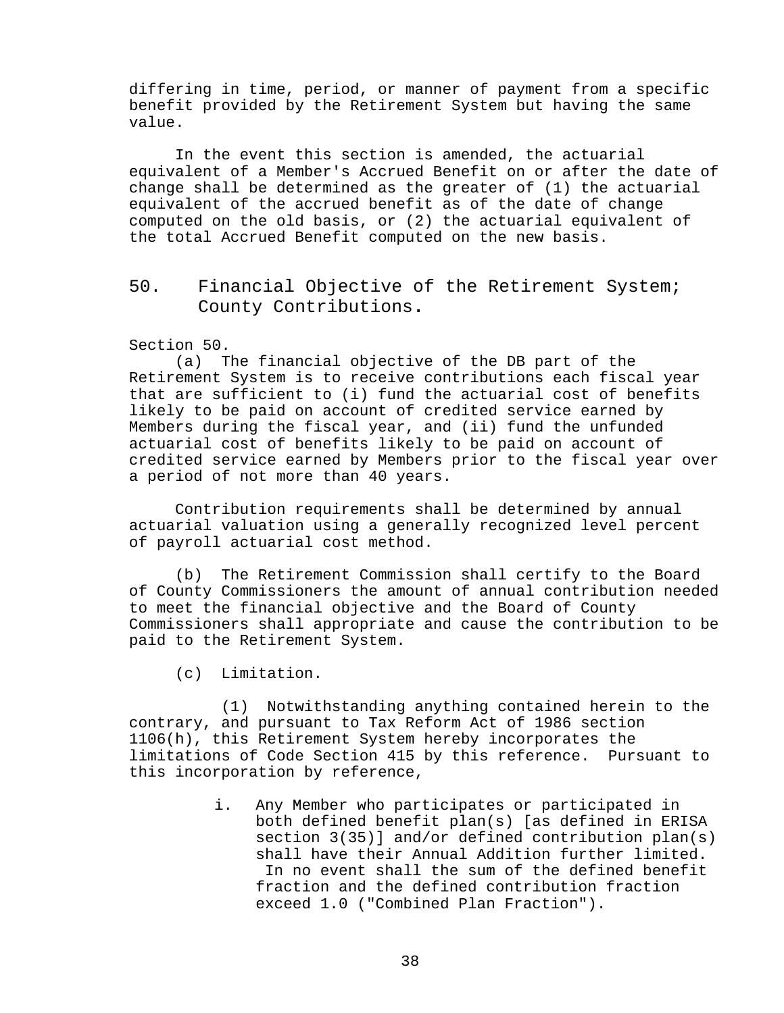differing in time, period, or manner of payment from a specific benefit provided by the Retirement System but having the same value.

In the event this section is amended, the actuarial equivalent of a Member's Accrued Benefit on or after the date of change shall be determined as the greater of (1) the actuarial equivalent of the accrued benefit as of the date of change computed on the old basis, or (2) the actuarial equivalent of the total Accrued Benefit computed on the new basis.

# <span id="page-44-0"></span>50. Financial Objective of the Retirement System; County Contributions**.**

# Section 50.<br>(a)  $T$

The financial objective of the DB part of the Retirement System is to receive contributions each fiscal year that are sufficient to (i) fund the actuarial cost of benefits likely to be paid on account of credited service earned by Members during the fiscal year, and (ii) fund the unfunded actuarial cost of benefits likely to be paid on account of credited service earned by Members prior to the fiscal year over a period of not more than 40 years.

Contribution requirements shall be determined by annual actuarial valuation using a generally recognized level percent of payroll actuarial cost method.

(b) The Retirement Commission shall certify to the Board of County Commissioners the amount of annual contribution needed to meet the financial objective and the Board of County Commissioners shall appropriate and cause the contribution to be paid to the Retirement System.

(c) Limitation.

(1) Notwithstanding anything contained herein to the contrary, and pursuant to Tax Reform Act of 1986 section 1106(h), this Retirement System hereby incorporates the limitations of Code Section 415 by this reference. Pursuant to this incorporation by reference,

> i. Any Member who participates or participated in both defined benefit plan(s) [as defined in ERISA section 3(35)] and/or defined contribution plan(s) shall have their Annual Addition further limited. In no event shall the sum of the defined benefit fraction and the defined contribution fraction exceed 1.0 ("Combined Plan Fraction").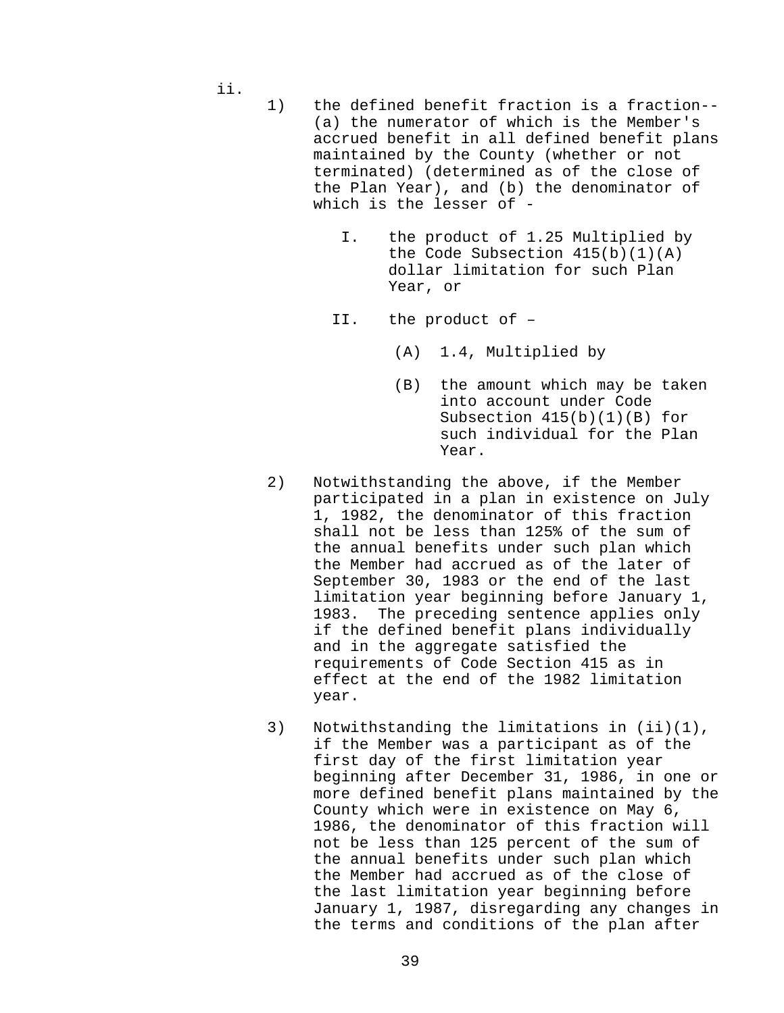ii.

- 1) the defined benefit fraction is a fraction-- (a) the numerator of which is the Member's accrued benefit in all defined benefit plans maintained by the County (whether or not terminated) (determined as of the close of the Plan Year), and (b) the denominator of which is the lesser of -
	- I. the product of 1.25 Multiplied by the Code Subsection  $415(b)(1)(A)$ dollar limitation for such Plan Year, or
	- II. the product of
		- (A) 1.4, Multiplied by
		- (B) the amount which may be taken into account under Code Subsection 415(b)(1)(B) for such individual for the Plan Year.
- 2) Notwithstanding the above, if the Member participated in a plan in existence on July 1, 1982, the denominator of this fraction shall not be less than 125% of the sum of the annual benefits under such plan which the Member had accrued as of the later of September 30, 1983 or the end of the last limitation year beginning before January 1, The preceding sentence applies only if the defined benefit plans individually and in the aggregate satisfied the requirements of Code Section 415 as in effect at the end of the 1982 limitation year.
- 3) Notwithstanding the limitations in (ii)(1), if the Member was a participant as of the first day of the first limitation year beginning after December 31, 1986, in one or more defined benefit plans maintained by the County which were in existence on May 6, 1986, the denominator of this fraction will not be less than 125 percent of the sum of the annual benefits under such plan which the Member had accrued as of the close of the last limitation year beginning before January 1, 1987, disregarding any changes in the terms and conditions of the plan after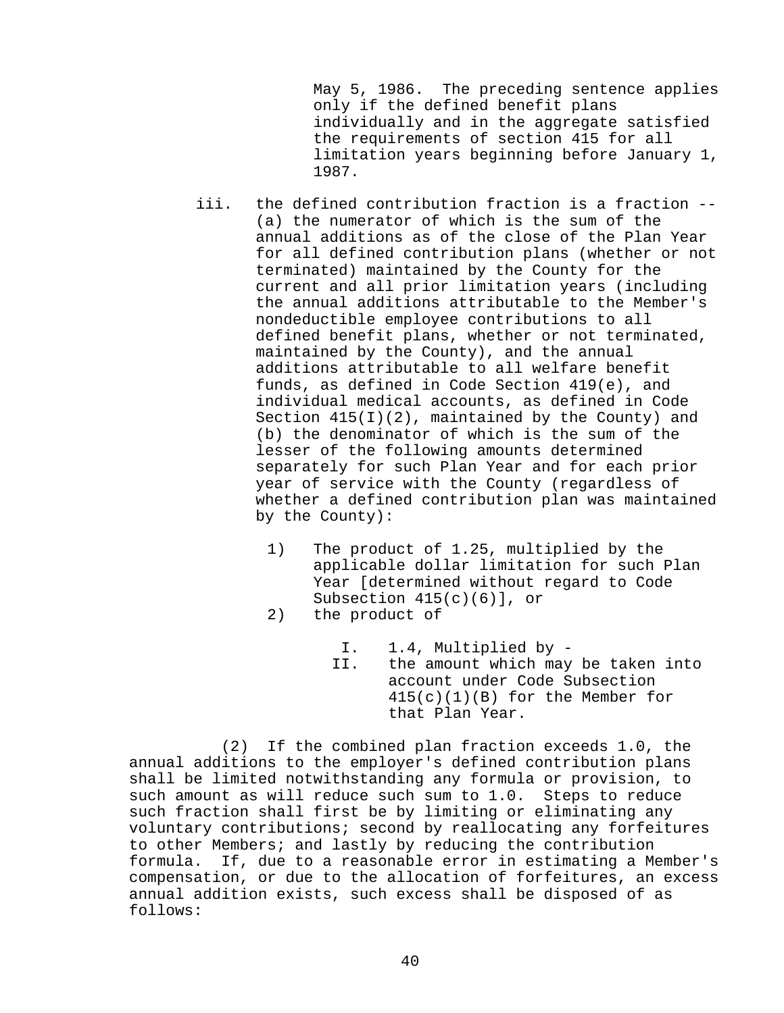May 5, 1986. The preceding sentence applies only if the defined benefit plans individually and in the aggregate satisfied the requirements of section 415 for all limitation years beginning before January 1, 1987.

- iii. the defined contribution fraction is a fraction -- (a) the numerator of which is the sum of the annual additions as of the close of the Plan Year for all defined contribution plans (whether or not terminated) maintained by the County for the current and all prior limitation years (including the annual additions attributable to the Member's nondeductible employee contributions to all defined benefit plans, whether or not terminated, maintained by the County), and the annual additions attributable to all welfare benefit funds, as defined in Code Section 419(e), and individual medical accounts, as defined in Code Section 415(I)(2), maintained by the County) and (b) the denominator of which is the sum of the lesser of the following amounts determined separately for such Plan Year and for each prior year of service with the County (regardless of whether a defined contribution plan was maintained by the County):
	- 1) The product of 1.25, multiplied by the applicable dollar limitation for such Plan Year [determined without regard to Code Subsection 415(c)(6)], or
	- 2) the product of

I. 1.4, Multiplied by -<br>II. the amount which may the amount which may be taken into account under Code Subsection 415(c)(1)(B) for the Member for that Plan Year.

(2) If the combined plan fraction exceeds 1.0, the annual additions to the employer's defined contribution plans shall be limited notwithstanding any formula or provision, to such amount as will reduce such sum to 1.0. Steps to reduce such fraction shall first be by limiting or eliminating any voluntary contributions; second by reallocating any forfeitures to other Members; and lastly by reducing the contribution formula. If, due to a reasonable error in estimating a Member's compensation, or due to the allocation of forfeitures, an excess annual addition exists, such excess shall be disposed of as follows: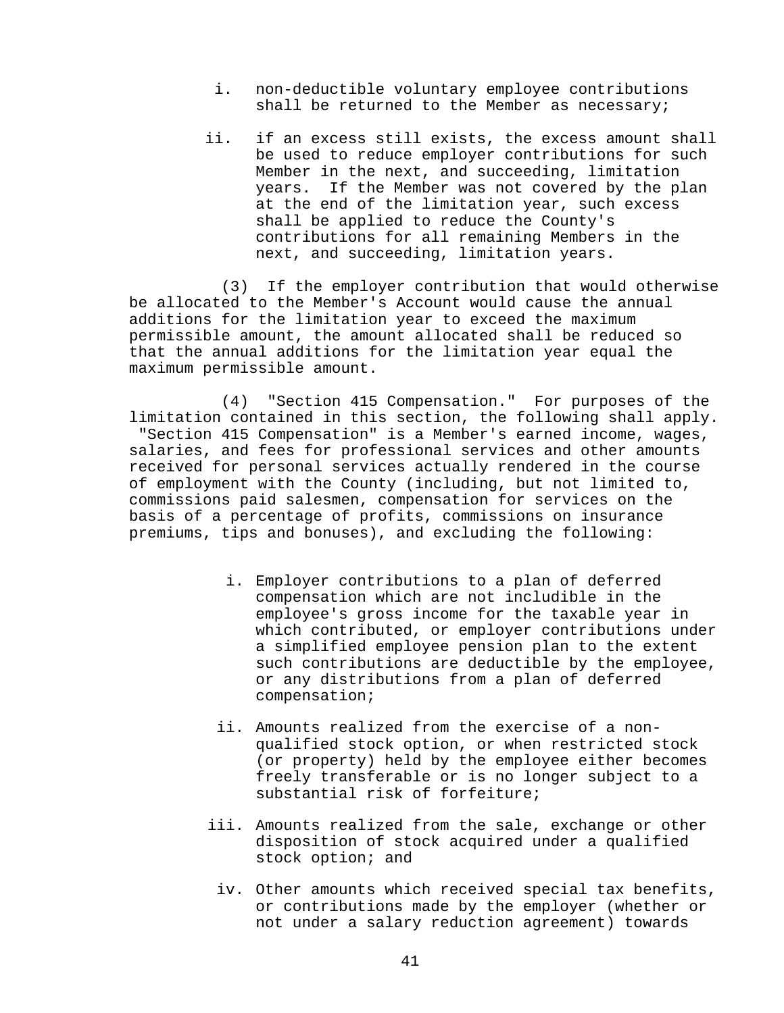- i. non-deductible voluntary employee contributions shall be returned to the Member as necessary;
- ii. if an excess still exists, the excess amount shall be used to reduce employer contributions for such Member in the next, and succeeding, limitation years. If the Member was not covered by the plan at the end of the limitation year, such excess shall be applied to reduce the County's contributions for all remaining Members in the next, and succeeding, limitation years.

(3) If the employer contribution that would otherwise be allocated to the Member's Account would cause the annual additions for the limitation year to exceed the maximum permissible amount, the amount allocated shall be reduced so that the annual additions for the limitation year equal the maximum permissible amount.

(4) "Section 415 Compensation." For purposes of the limitation contained in this section, the following shall apply. "Section 415 Compensation" is a Member's earned income, wages, salaries, and fees for professional services and other amounts received for personal services actually rendered in the course of employment with the County (including, but not limited to, commissions paid salesmen, compensation for services on the basis of a percentage of profits, commissions on insurance premiums, tips and bonuses), and excluding the following:

- i. Employer contributions to a plan of deferred compensation which are not includible in the employee's gross income for the taxable year in which contributed, or employer contributions under a simplified employee pension plan to the extent such contributions are deductible by the employee, or any distributions from a plan of deferred compensation;
- ii. Amounts realized from the exercise of a nonqualified stock option, or when restricted stock (or property) held by the employee either becomes freely transferable or is no longer subject to a substantial risk of forfeiture;
- iii. Amounts realized from the sale, exchange or other disposition of stock acquired under a qualified stock option; and
	- iv. Other amounts which received special tax benefits, or contributions made by the employer (whether or not under a salary reduction agreement) towards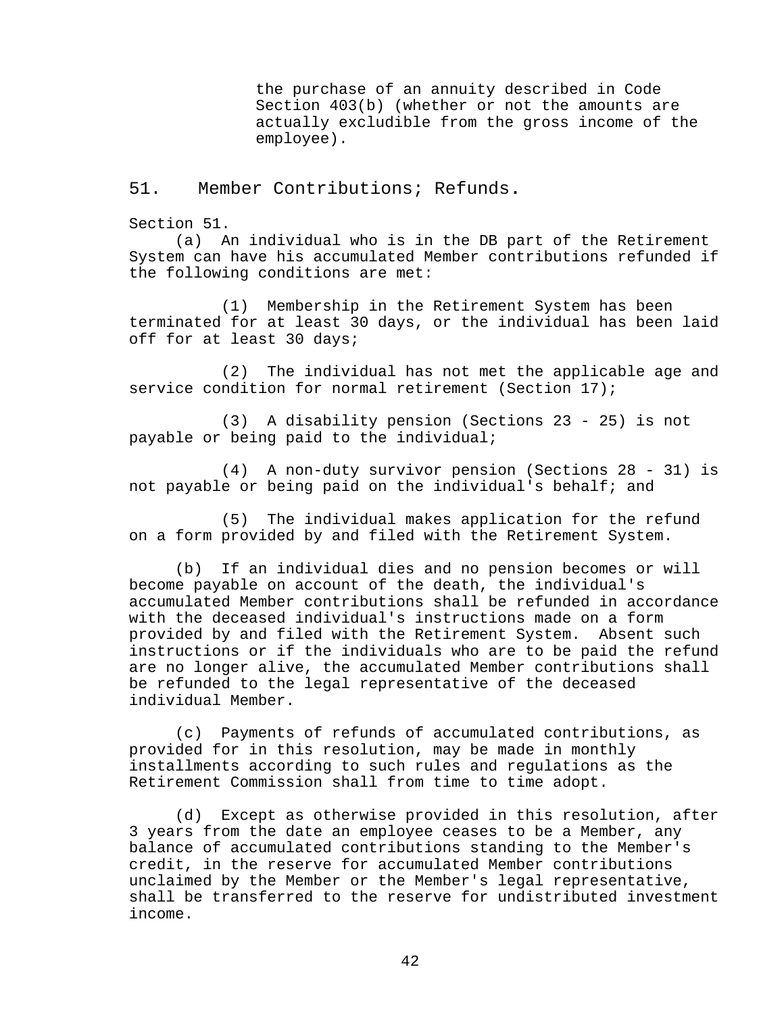the purchase of an annuity described in Code Section 403(b) (whether or not the amounts are actually excludible from the gross income of the employee).

<span id="page-48-0"></span>51. Member Contributions; Refunds**.**

Section 51.

(a) An individual who is in the DB part of the Retirement System can have his accumulated Member contributions refunded if the following conditions are met:

(1) Membership in the Retirement System has been terminated for at least 30 days, or the individual has been laid off for at least 30 days;

(2) The individual has not met the applicable age and service condition for normal retirement (Section 17);

(3) A disability pension (Sections 23 - 25) is not payable or being paid to the individual;

(4) A non-duty survivor pension (Sections 28 - 31) is not payable or being paid on the individual's behalf; and

(5) The individual makes application for the refund on a form provided by and filed with the Retirement System.

(b) If an individual dies and no pension becomes or will become payable on account of the death, the individual's accumulated Member contributions shall be refunded in accordance with the deceased individual's instructions made on a form provided by and filed with the Retirement System. Absent such instructions or if the individuals who are to be paid the refund are no longer alive, the accumulated Member contributions shall be refunded to the legal representative of the deceased individual Member.

(c) Payments of refunds of accumulated contributions, as provided for in this resolution, may be made in monthly installments according to such rules and regulations as the Retirement Commission shall from time to time adopt.

(d) Except as otherwise provided in this resolution, after 3 years from the date an employee ceases to be a Member, any balance of accumulated contributions standing to the Member's credit, in the reserve for accumulated Member contributions unclaimed by the Member or the Member's legal representative. shall be transferred to the reserve for undistributed investment income.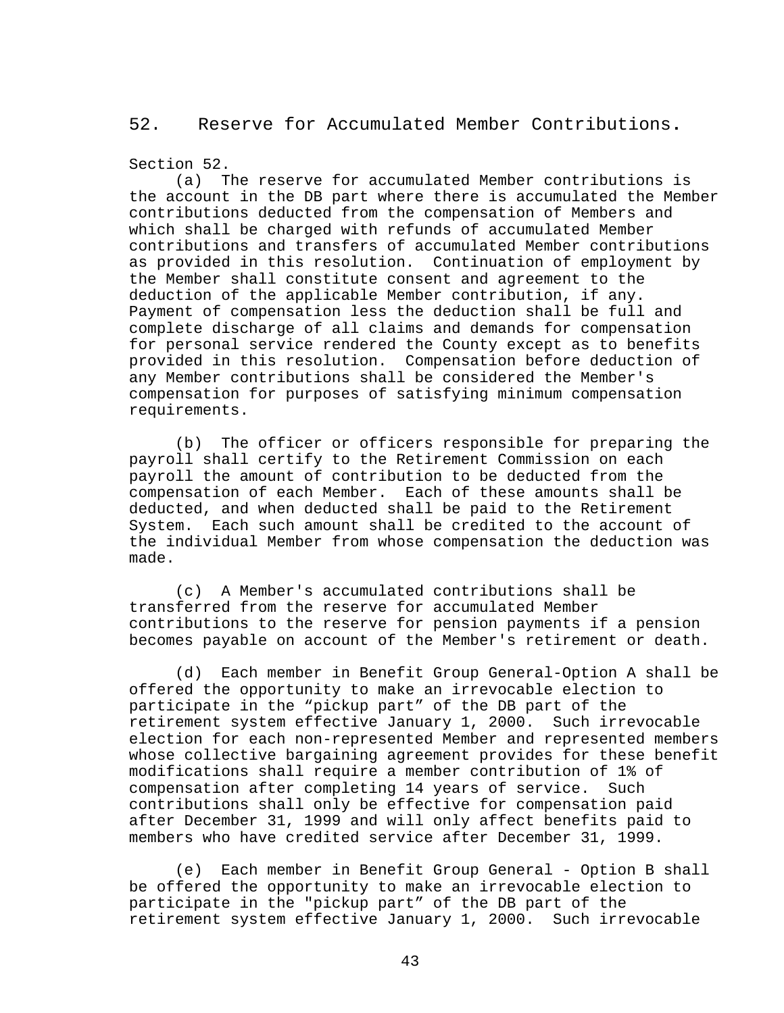## <span id="page-49-0"></span>52. Reserve for Accumulated Member Contributions**.**

### Section 52.

(a) The reserve for accumulated Member contributions is the account in the DB part where there is accumulated the Member contributions deducted from the compensation of Members and which shall be charged with refunds of accumulated Member contributions and transfers of accumulated Member contributions as provided in this resolution. Continuation of employment by the Member shall constitute consent and agreement to the deduction of the applicable Member contribution, if any. Payment of compensation less the deduction shall be full and complete discharge of all claims and demands for compensation for personal service rendered the County except as to benefits provided in this resolution. Compensation before deduction of any Member contributions shall be considered the Member's compensation for purposes of satisfying minimum compensation requirements.

(b) The officer or officers responsible for preparing the payroll shall certify to the Retirement Commission on each payroll the amount of contribution to be deducted from the compensation of each Member. Each of these amounts shall be deducted, and when deducted shall be paid to the Retirement System. Each such amount shall be credited to the account of the individual Member from whose compensation the deduction was made.

(c) A Member's accumulated contributions shall be transferred from the reserve for accumulated Member contributions to the reserve for pension payments if a pension becomes payable on account of the Member's retirement or death.

(d) Each member in Benefit Group General-Option A shall be offered the opportunity to make an irrevocable election to participate in the "pickup part" of the DB part of the retirement system effective January 1, 2000. Such irrevocable election for each non-represented Member and represented members whose collective bargaining agreement provides for these benefit modifications shall require a member contribution of 1% of compensation after completing 14 years of service. contributions shall only be effective for compensation paid after December 31, 1999 and will only affect benefits paid to members who have credited service after December 31, 1999.

(e) Each member in Benefit Group General - Option B shall be offered the opportunity to make an irrevocable election to participate in the "pickup part" of the DB part of the retirement system effective January 1, 2000. Such irrevocable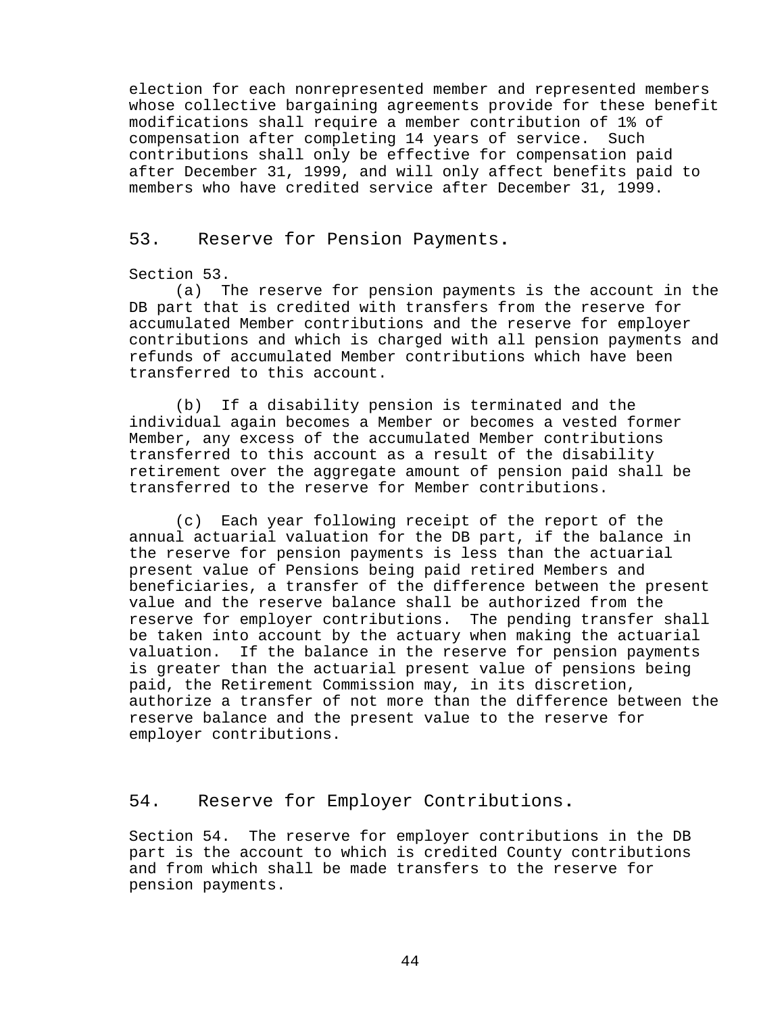election for each nonrepresented member and represented members whose collective bargaining agreements provide for these benefit modifications shall require a member contribution of 1% of compensation after completing 14 years of service. contributions shall only be effective for compensation paid after December 31, 1999, and will only affect benefits paid to members who have credited service after December 31, 1999.

## <span id="page-50-0"></span>53. Reserve for Pension Payments**.**

### Section 53.

(a) The reserve for pension payments is the account in the DB part that is credited with transfers from the reserve for accumulated Member contributions and the reserve for employer contributions and which is charged with all pension payments and refunds of accumulated Member contributions which have been transferred to this account.

(b) If a disability pension is terminated and the individual again becomes a Member or becomes a vested former Member, any excess of the accumulated Member contributions transferred to this account as a result of the disability retirement over the aggregate amount of pension paid shall be transferred to the reserve for Member contributions.

(c) Each year following receipt of the report of the annual actuarial valuation for the DB part, if the balance in the reserve for pension payments is less than the actuarial present value of Pensions being paid retired Members and beneficiaries, a transfer of the difference between the present value and the reserve balance shall be authorized from the reserve for employer contributions. The pending transfer shall be taken into account by the actuary when making the actuarial valuation. If the balance in the reserve for pension payments is greater than the actuarial present value of pensions being paid, the Retirement Commission may, in its discretion, authorize a transfer of not more than the difference between the reserve balance and the present value to the reserve for employer contributions.

## <span id="page-50-1"></span>54. Reserve for Employer Contributions**.**

Section 54. The reserve for employer contributions in the DB part is the account to which is credited County contributions and from which shall be made transfers to the reserve for pension payments.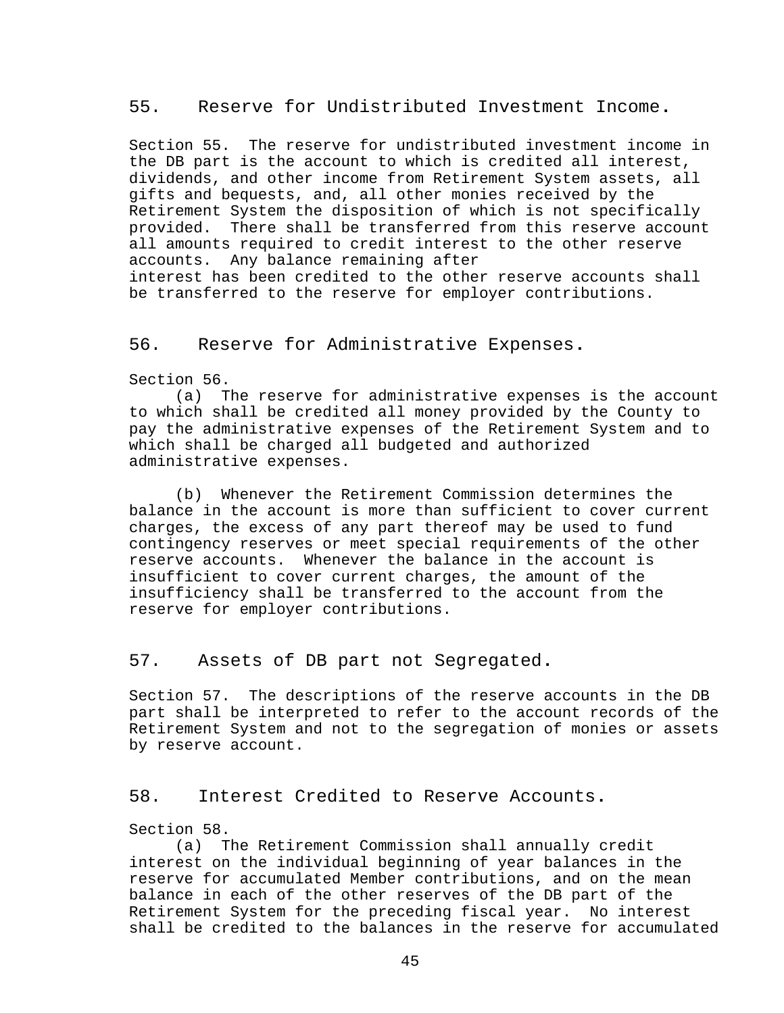### <span id="page-51-0"></span>55. Reserve for Undistributed Investment Income**.**

Section 55. The reserve for undistributed investment income in the DB part is the account to which is credited all interest, dividends, and other income from Retirement System assets, all gifts and bequests, and, all other monies received by the Retirement System the disposition of which is not specifically provided. There shall be transferred from this reserve account all amounts required to credit interest to the other reserve accounts. Any balance remaining after interest has been credited to the other reserve accounts shall be transferred to the reserve for employer contributions.

### <span id="page-51-1"></span>56. Reserve for Administrative Expenses**.**

Section 56.

(a) The reserve for administrative expenses is the account to which shall be credited all money provided by the County to pay the administrative expenses of the Retirement System and to which shall be charged all budgeted and authorized administrative expenses.

(b) Whenever the Retirement Commission determines the balance in the account is more than sufficient to cover current charges, the excess of any part thereof may be used to fund contingency reserves or meet special requirements of the other reserve accounts. Whenever the balance in the account is insufficient to cover current charges, the amount of the insufficiency shall be transferred to the account from the reserve for employer contributions.

## <span id="page-51-2"></span>57. Assets of DB part not Segregated**.**

Section 57. The descriptions of the reserve accounts in the DB part shall be interpreted to refer to the account records of the Retirement System and not to the segregation of monies or assets by reserve account.

### <span id="page-51-3"></span>58. Interest Credited to Reserve Accounts**.**

Section 58.

(a) The Retirement Commission shall annually credit interest on the individual beginning of year balances in the reserve for accumulated Member contributions, and on the mean balance in each of the other reserves of the DB part of the Retirement System for the preceding fiscal year. No interest shall be credited to the balances in the reserve for accumulated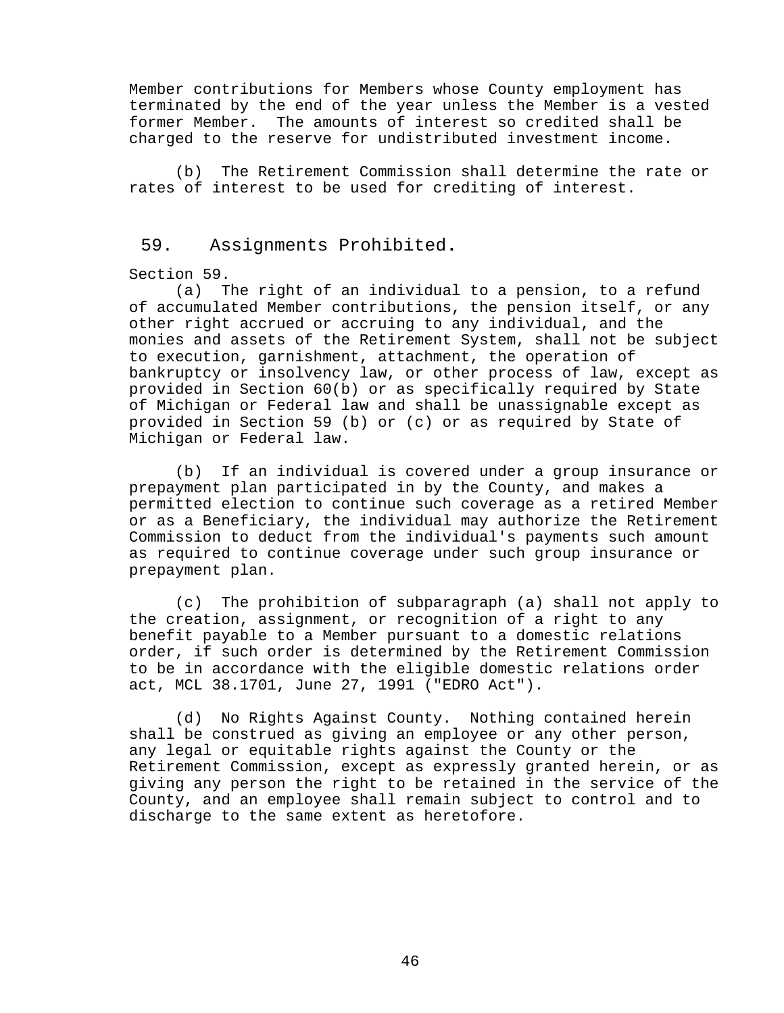Member contributions for Members whose County employment has terminated by the end of the year unless the Member is a vested former Member. The amounts of interest so credited shall be charged to the reserve for undistributed investment income.

(b) The Retirement Commission shall determine the rate or rates of interest to be used for crediting of interest.

## <span id="page-52-0"></span>59. Assignments Prohibited**.**

### Section 59.

(a) The right of an individual to a pension, to a refund of accumulated Member contributions, the pension itself, or any other right accrued or accruing to any individual, and the monies and assets of the Retirement System, shall not be subject to execution, garnishment, attachment, the operation of bankruptcy or insolvency law, or other process of law, except as provided in Section 60(b) or as specifically required by State of Michigan or Federal law and shall be unassignable except as provided in Section 59 (b) or (c) or as required by State of Michigan or Federal law.

(b) If an individual is covered under a group insurance or prepayment plan participated in by the County, and makes a permitted election to continue such coverage as a retired Member or as a Beneficiary, the individual may authorize the Retirement Commission to deduct from the individual's payments such amount as required to continue coverage under such group insurance or prepayment plan.

(c) The prohibition of subparagraph (a) shall not apply to the creation, assignment, or recognition of a right to any benefit payable to a Member pursuant to a domestic relations order, if such order is determined by the Retirement Commission to be in accordance with the eligible domestic relations order act, MCL 38.1701, June 27, 1991 ("EDRO Act").

(d) No Rights Against County. Nothing contained herein shall be construed as giving an employee or any other person, any legal or equitable rights against the County or the Retirement Commission, except as expressly granted herein, or as giving any person the right to be retained in the service of the County, and an employee shall remain subject to control and to discharge to the same extent as heretofore.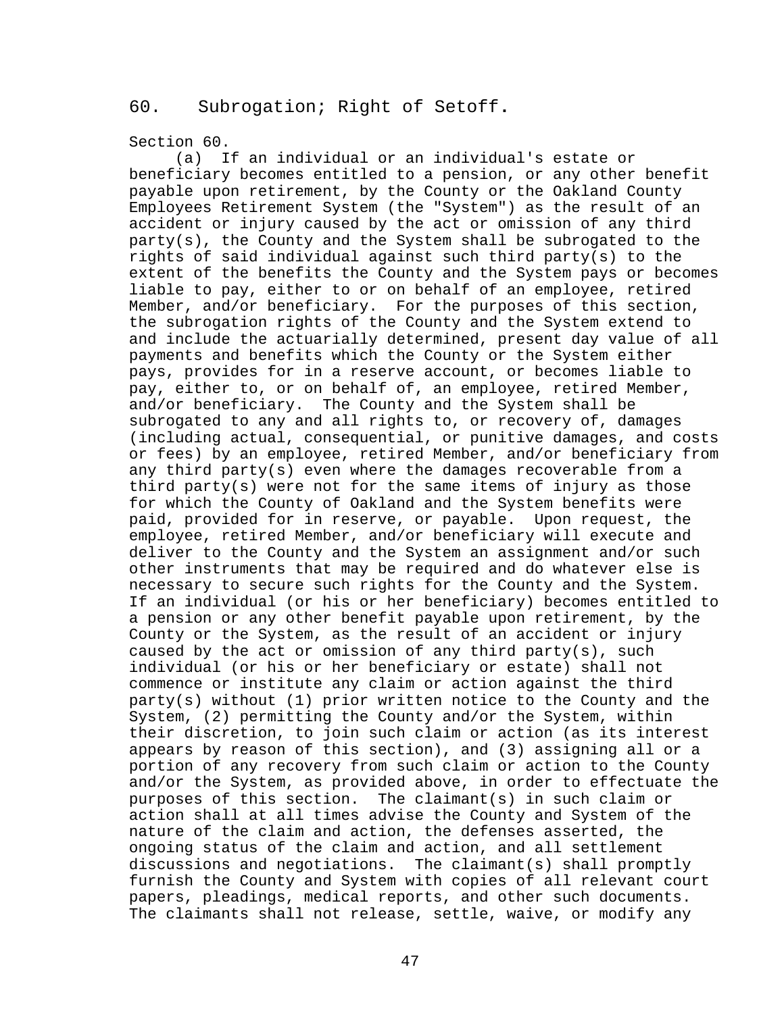## <span id="page-53-0"></span>60. Subrogation; Right of Setoff**.**

### Section 60.

(a) If an individual or an individual's estate or beneficiary becomes entitled to a pension, or any other benefit payable upon retirement, by the County or the Oakland County Employees Retirement System (the "System") as the result of an accident or injury caused by the act or omission of any third party(s), the County and the System shall be subrogated to the rights of said individual against such third party(s) to the extent of the benefits the County and the System pays or becomes liable to pay, either to or on behalf of an employee, retired Member, and/or beneficiary. For the purposes of this section, the subrogation rights of the County and the System extend to and include the actuarially determined, present day value of all payments and benefits which the County or the System either pays, provides for in a reserve account, or becomes liable to pay, either to, or on behalf of, an employee, retired Member, and/or beneficiary. The County and the System shall be subrogated to any and all rights to, or recovery of, damages (including actual, consequential, or punitive damages, and costs or fees) by an employee, retired Member, and/or beneficiary from any third party(s) even where the damages recoverable from a third party(s) were not for the same items of injury as those for which the County of Oakland and the System benefits were paid, provided for in reserve, or payable. Upon request, the employee, retired Member, and/or beneficiary will execute and deliver to the County and the System an assignment and/or such other instruments that may be required and do whatever else is necessary to secure such rights for the County and the System. If an individual (or his or her beneficiary) becomes entitled to a pension or any other benefit payable upon retirement, by the County or the System, as the result of an accident or injury caused by the act or omission of any third party(s), such individual (or his or her beneficiary or estate) shall not commence or institute any claim or action against the third party(s) without (1) prior written notice to the County and the System, (2) permitting the County and/or the System, within their discretion, to join such claim or action (as its interest appears by reason of this section), and (3) assigning all or a portion of any recovery from such claim or action to the County and/or the System, as provided above, in order to effectuate the purposes of this section. The claimant(s) in such claim or action shall at all times advise the County and System of the nature of the claim and action, the defenses asserted, the ongoing status of the claim and action, and all settlement discussions and negotiations. The claimant(s) shall promptly furnish the County and System with copies of all relevant court papers, pleadings, medical reports, and other such documents. The claimants shall not release, settle, waive, or modify any

47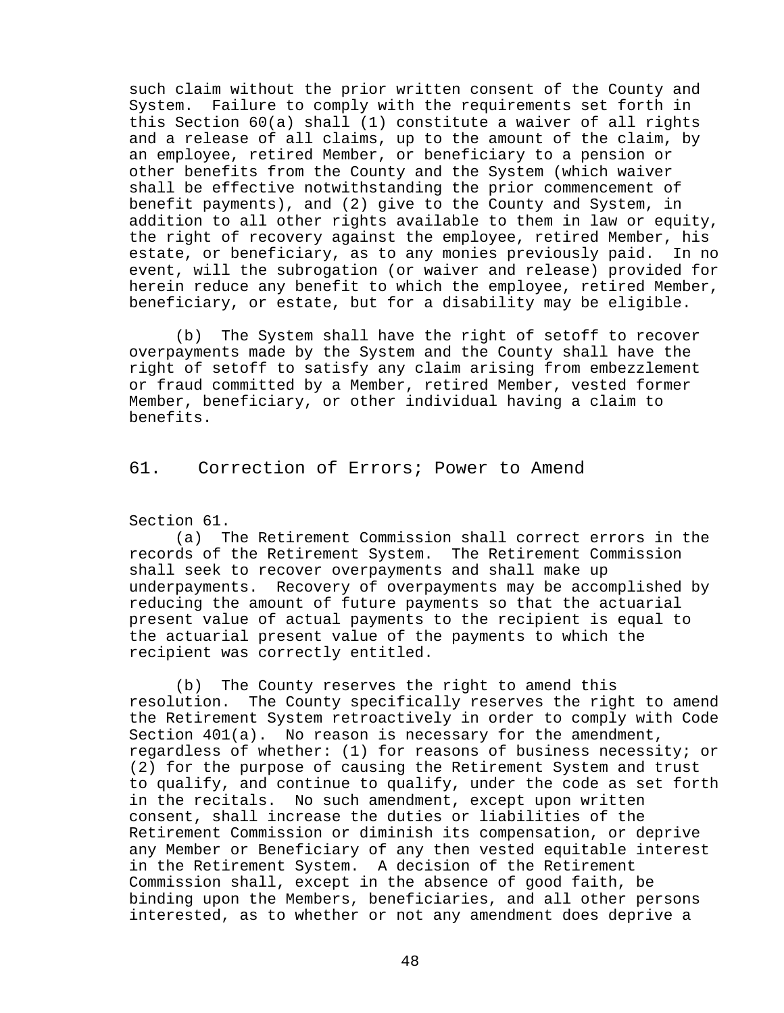such claim without the prior written consent of the County and System. Failure to comply with the requirements set forth in this Section 60(a) shall (1) constitute a waiver of all rights and a release of all claims, up to the amount of the claim, by an employee, retired Member, or beneficiary to a pension or other benefits from the County and the System (which waiver shall be effective notwithstanding the prior commencement of benefit payments), and (2) give to the County and System, in addition to all other rights available to them in law or equity, the right of recovery against the employee, retired Member, his estate, or beneficiary, as to any monies previously paid. In no event, will the subrogation (or waiver and release) provided for herein reduce any benefit to which the employee, retired Member, beneficiary, or estate, but for a disability may be eligible.

<span id="page-54-0"></span>(b) The System shall have the right of setoff to recover overpayments made by the System and the County shall have the right of setoff to satisfy any claim arising from embezzlement or fraud committed by a Member, retired Member, vested former Member, beneficiary, or other individual having a claim to benefits.

61. Correction of Errors; Power to Amend

Section 61.

(a) The Retirement Commission shall correct errors in the records of the Retirement System. The Retirement Commission shall seek to recover overpayments and shall make up underpayments. Recovery of overpayments may be accomplished by reducing the amount of future payments so that the actuarial present value of actual payments to the recipient is equal to the actuarial present value of the payments to which the recipient was correctly entitled.

(b) The County reserves the right to amend this resolution. The County specifically reserves the right The County specifically reserves the right to amend the Retirement System retroactively in order to comply with Code Section 401(a). No reason is necessary for the amendment, regardless of whether: (1) for reasons of business necessity; or (2) for the purpose of causing the Retirement System and trust to qualify, and continue to qualify, under the code as set forth in the recitals. No such amendment, except upon written consent, shall increase the duties or liabilities of the Retirement Commission or diminish its compensation, or deprive any Member or Beneficiary of any then vested equitable interest in the Retirement System. A decision of the Retirement Commission shall, except in the absence of good faith, be binding upon the Members, beneficiaries, and all other persons interested, as to whether or not any amendment does deprive a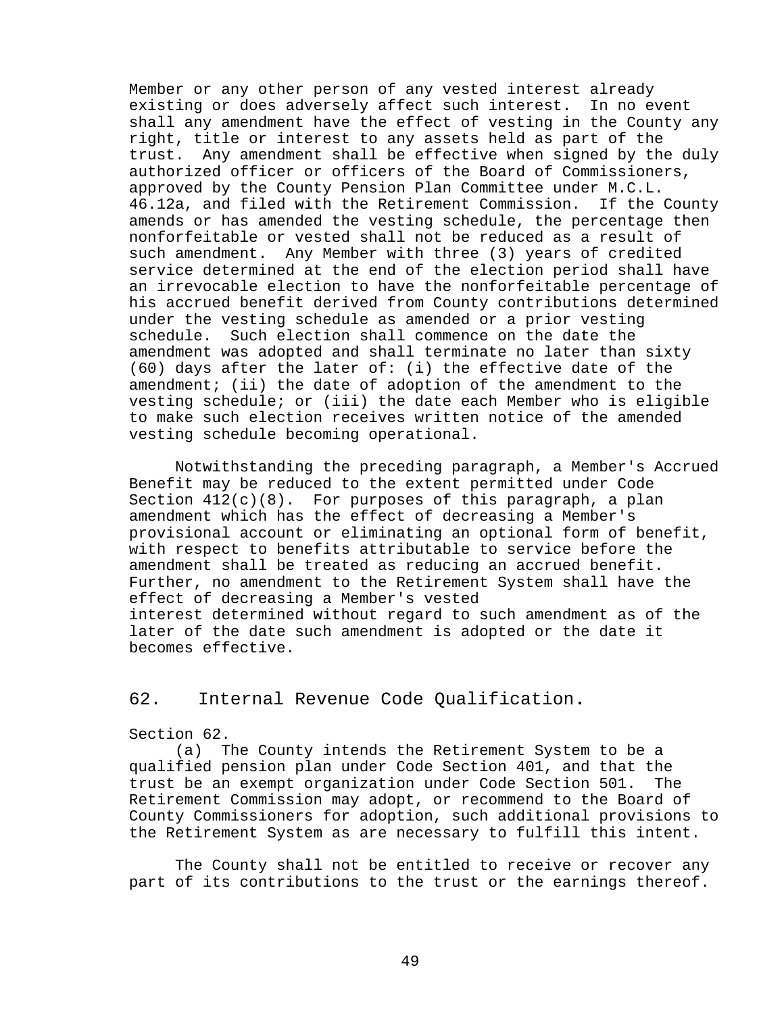Member or any other person of any vested interest already existing or does adversely affect such interest. In no event shall any amendment have the effect of vesting in the County any right, title or interest to any assets held as part of the trust. Any amendment shall be effective when signed by the duly authorized officer or officers of the Board of Commissioners, approved by the County Pension Plan Committee under M.C.L. 46.12a, and filed with the Retirement Commission. If the County amends or has amended the vesting schedule, the percentage then nonforfeitable or vested shall not be reduced as a result of such amendment. Any Member with three (3) years of credited service determined at the end of the election period shall have an irrevocable election to have the nonforfeitable percentage of his accrued benefit derived from County contributions determined under the vesting schedule as amended or a prior vesting schedule. Such election shall commence on the date the amendment was adopted and shall terminate no later than sixty (60) days after the later of: (i) the effective date of the amendment; (ii) the date of adoption of the amendment to the vesting schedule; or (iii) the date each Member who is eligible to make such election receives written notice of the amended vesting schedule becoming operational.

Notwithstanding the preceding paragraph, a Member's Accrued Benefit may be reduced to the extent permitted under Code Section  $412(c)(8)$ . For purposes of this paragraph, a plan amendment which has the effect of decreasing a Member's provisional account or eliminating an optional form of benefit, with respect to benefits attributable to service before the amendment shall be treated as reducing an accrued benefit. Further, no amendment to the Retirement System shall have the effect of decreasing a Member's vested interest determined without regard to such amendment as of the later of the date such amendment is adopted or the date it becomes effective.

# <span id="page-55-0"></span>62. Internal Revenue Code Qualification**.**

### Section 62.

(a) The County intends the Retirement System to be a qualified pension plan under Code Section 401, and that the trust be an exempt organization under Code Section 501. Retirement Commission may adopt, or recommend to the Board of County Commissioners for adoption, such additional provisions to the Retirement System as are necessary to fulfill this intent.

The County shall not be entitled to receive or recover any part of its contributions to the trust or the earnings thereof.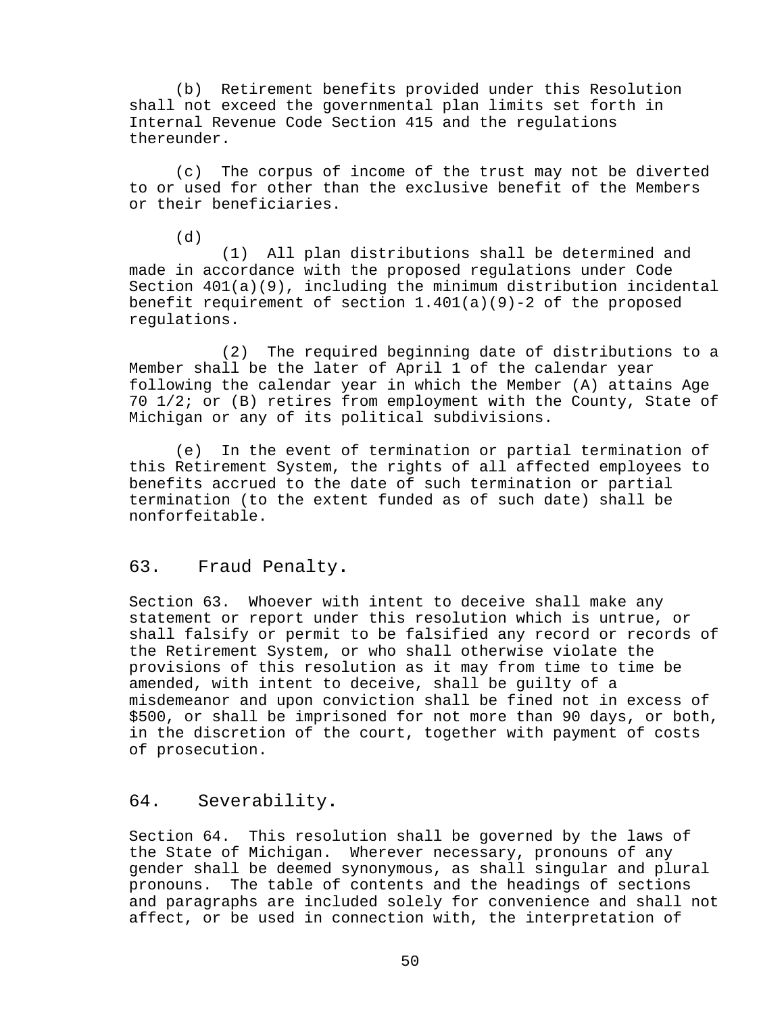(b) Retirement benefits provided under this Resolution shall not exceed the governmental plan limits set forth in Internal Revenue Code Section 415 and the regulations thereunder.

(c) The corpus of income of the trust may not be diverted to or used for other than the exclusive benefit of the Members or their beneficiaries.

 $(6)$ 

(1) All plan distributions shall be determined and made in accordance with the proposed regulations under Code Section 401(a)(9), including the minimum distribution incidental benefit requirement of section  $1.401(a)(9)-2$  of the proposed regulations.

(2) The required beginning date of distributions to a Member shall be the later of April 1 of the calendar year following the calendar year in which the Member (A) attains Age 70 1/2; or (B) retires from employment with the County, State of Michigan or any of its political subdivisions.

(e) In the event of termination or partial termination of this Retirement System, the rights of all affected employees to benefits accrued to the date of such termination or partial termination (to the extent funded as of such date) shall be nonforfeitable.

## <span id="page-56-0"></span>63. Fraud Penalty**.**

Section 63. Whoever with intent to deceive shall make any statement or report under this resolution which is untrue, or shall falsify or permit to be falsified any record or records of the Retirement System, or who shall otherwise violate the provisions of this resolution as it may from time to time be amended, with intent to deceive, shall be guilty of a misdemeanor and upon conviction shall be fined not in excess of \$500, or shall be imprisoned for not more than 90 days, or both, in the discretion of the court, together with payment of costs of prosecution.

## <span id="page-56-1"></span>64. Severability**.**

Section 64. This resolution shall be governed by the laws of the State of Michigan. Wherever necessary, pronouns of any gender shall be deemed synonymous, as shall singular and plural pronouns. The table of contents and the headings of sections and paragraphs are included solely for convenience and shall not affect, or be used in connection with, the interpretation of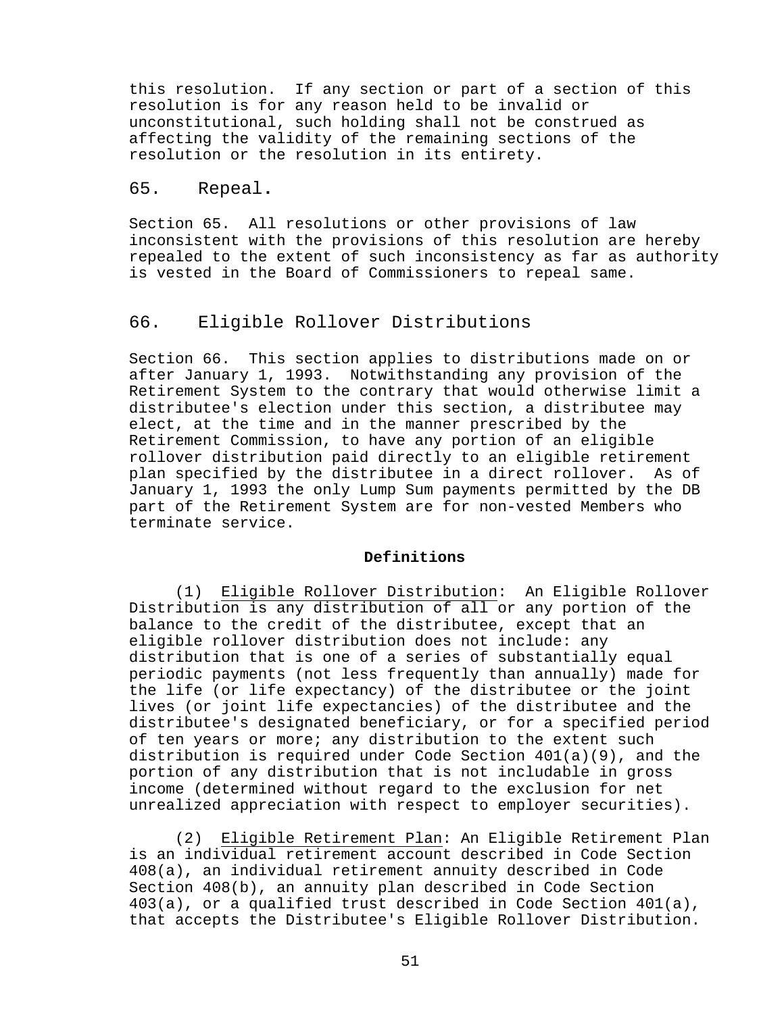this resolution. If any section or part of a section of this resolution is for any reason held to be invalid or unconstitutional, such holding shall not be construed as affecting the validity of the remaining sections of the resolution or the resolution in its entirety.

### <span id="page-57-0"></span>65. Repeal**.**

Section 65. All resolutions or other provisions of law inconsistent with the provisions of this resolution are hereby repealed to the extent of such inconsistency as far as authority is vested in the Board of Commissioners to repeal same.

## <span id="page-57-1"></span>66. Eligible Rollover Distributions

Section 66. This section applies to distributions made on or after January 1, 1993. Notwithstanding any provision of the Retirement System to the contrary that would otherwise limit a distributee's election under this section, a distributee may elect, at the time and in the manner prescribed by the Retirement Commission, to have any portion of an eligible rollover distribution paid directly to an eligible retirement plan specified by the distributee in a direct rollover. As of January 1, 1993 the only Lump Sum payments permitted by the DB part of the Retirement System are for non-vested Members who terminate service.

### **Definitions**

(1) Eligible Rollover Distribution: An Eligible Rollover Distribution is any distribution of all or any portion of the balance to the credit of the distributee, except that an eligible rollover distribution does not include: any distribution that is one of a series of substantially equal periodic payments (not less frequently than annually) made for the life (or life expectancy) of the distributee or the joint lives (or joint life expectancies) of the distributee and the distributee's designated beneficiary, or for a specified period of ten years or more; any distribution to the extent such distribution is required under Code Section 401(a)(9), and the portion of any distribution that is not includable in gross income (determined without regard to the exclusion for net unrealized appreciation with respect to employer securities).

(2) Eligible Retirement Plan: An Eligible Retirement Plan is an individual retirement account described in Code Section 408(a), an individual retirement annuity described in Code Section 408(b), an annuity plan described in Code Section 403(a), or a qualified trust described in Code Section 401(a), that accepts the Distributee's Eligible Rollover Distribution.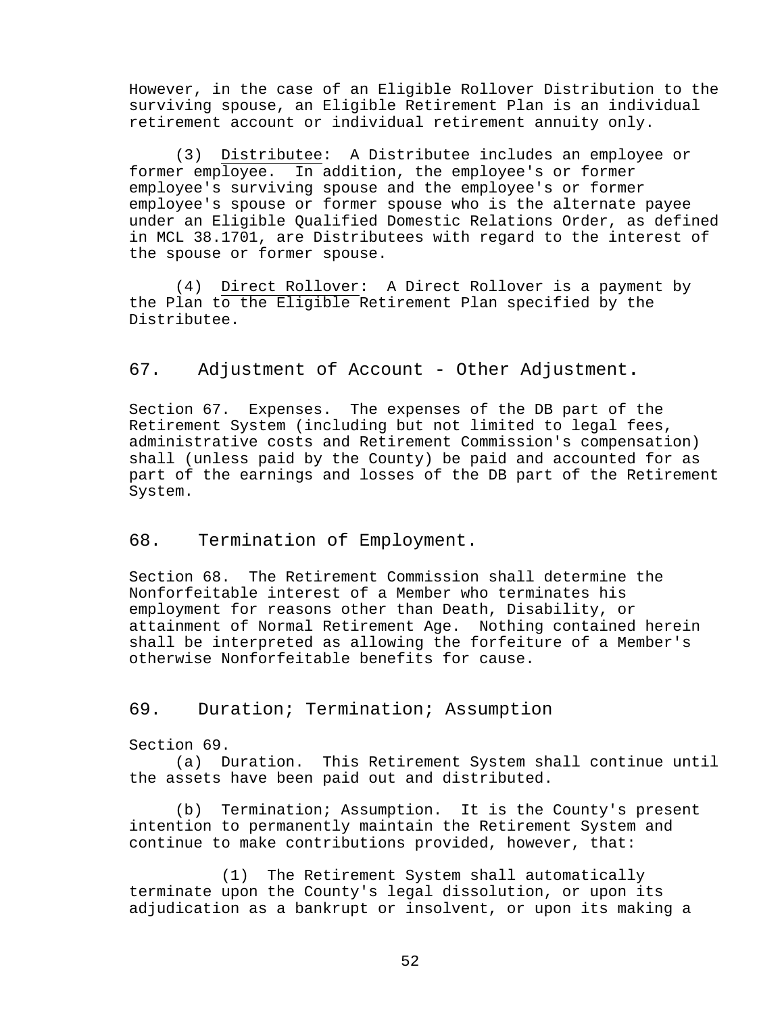However, in the case of an Eligible Rollover Distribution to the surviving spouse, an Eligible Retirement Plan is an individual retirement account or individual retirement annuity only.

(3) Distributee: A Distributee includes an employee or former employee. In addition, the employee's or former employee's surviving spouse and the employee's or former employee's spouse or former spouse who is the alternate payee under an Eligible Qualified Domestic Relations Order, as defined in MCL 38.1701, are Distributees with regard to the interest of the spouse or former spouse.

(4) Direct Rollover: A Direct Rollover is a payment by the Plan to the Eligible Retirement Plan specified by the Distributee.

## <span id="page-58-0"></span>67. Adjustment of Account - Other Adjustment**.**

Section 67. Expenses. The expenses of the DB part of the Retirement System (including but not limited to legal fees, administrative costs and Retirement Commission's compensation) shall (unless paid by the County) be paid and accounted for as part of the earnings and losses of the DB part of the Retirement System.

### <span id="page-58-1"></span>68. Termination of Employment.

Section 68. The Retirement Commission shall determine the Nonforfeitable interest of a Member who terminates his employment for reasons other than Death, Disability, or attainment of Normal Retirement Age. Nothing contained herein shall be interpreted as allowing the forfeiture of a Member's otherwise Nonforfeitable benefits for cause.

### <span id="page-58-2"></span>69. Duration; Termination; Assumption

Section 69.

(a) Duration. This Retirement System shall continue until the assets have been paid out and distributed.

(b) Termination; Assumption. It is the County's present intention to permanently maintain the Retirement System and continue to make contributions provided, however, that:

(1) The Retirement System shall automatically terminate upon the County's legal dissolution, or upon its adjudication as a bankrupt or insolvent, or upon its making a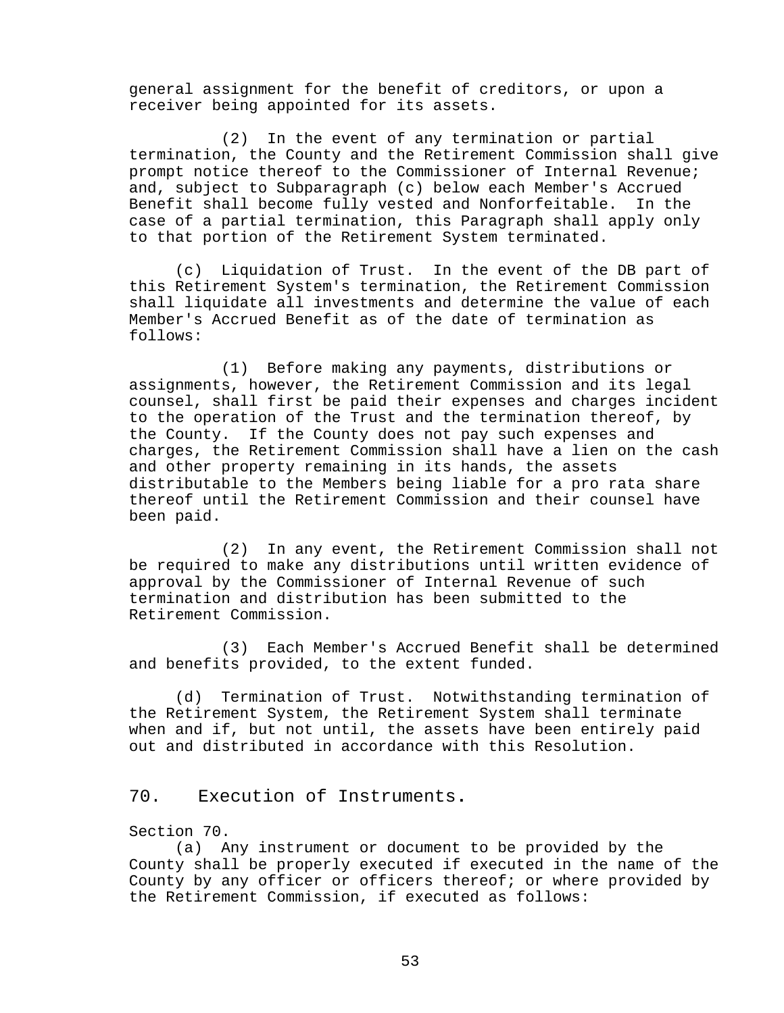general assignment for the benefit of creditors, or upon a receiver being appointed for its assets.

(2) In the event of any termination or partial termination, the County and the Retirement Commission shall give prompt notice thereof to the Commissioner of Internal Revenue; and, subject to Subparagraph (c) below each Member's Accrued<br>Benefit shall become fully vested and Nonforfeitable. In the Benefit shall become fully vested and Nonforfeitable. case of a partial termination, this Paragraph shall apply only to that portion of the Retirement System terminated.

(c) Liquidation of Trust. In the event of the DB part of this Retirement System's termination, the Retirement Commission shall liquidate all investments and determine the value of each Member's Accrued Benefit as of the date of termination as follows:

(1) Before making any payments, distributions or assignments, however, the Retirement Commission and its legal counsel, shall first be paid their expenses and charges incident to the operation of the Trust and the termination thereof, by the County. If the County does not pay such expenses and charges, the Retirement Commission shall have a lien on the cash and other property remaining in its hands, the assets distributable to the Members being liable for a pro rata share thereof until the Retirement Commission and their counsel have been paid.

(2) In any event, the Retirement Commission shall not be required to make any distributions until written evidence of approval by the Commissioner of Internal Revenue of such termination and distribution has been submitted to the Retirement Commission.

(3) Each Member's Accrued Benefit shall be determined and benefits provided, to the extent funded.

(d) Termination of Trust. Notwithstanding termination of the Retirement System, the Retirement System shall terminate when and if, but not until, the assets have been entirely paid out and distributed in accordance with this Resolution.

# <span id="page-59-0"></span>70. Execution of Instruments**.**

### Section 70.

(a) Any instrument or document to be provided by the County shall be properly executed if executed in the name of the County by any officer or officers thereof; or where provided by the Retirement Commission, if executed as follows: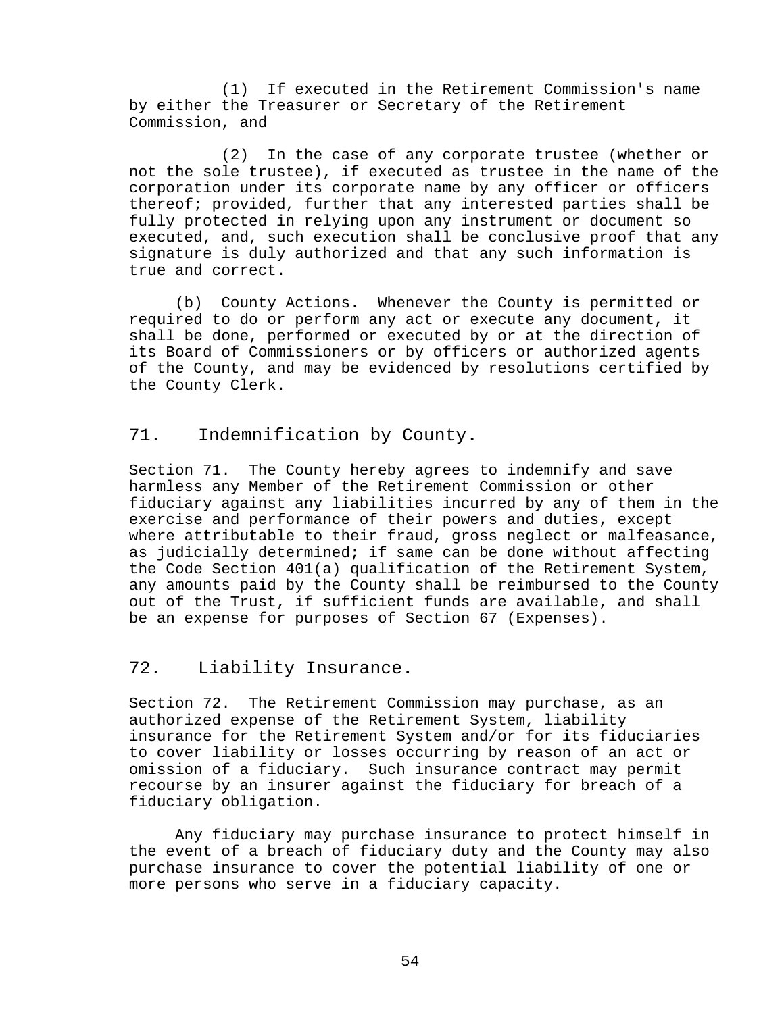(1) If executed in the Retirement Commission's name by either the Treasurer or Secretary of the Retirement Commission, and

(2) In the case of any corporate trustee (whether or not the sole trustee), if executed as trustee in the name of the corporation under its corporate name by any officer or officers thereof; provided, further that any interested parties shall be fully protected in relying upon any instrument or document so executed, and, such execution shall be conclusive proof that any signature is duly authorized and that any such information is true and correct.

(b) County Actions. Whenever the County is permitted or required to do or perform any act or execute any document, it shall be done, performed or executed by or at the direction of its Board of Commissioners or by officers or authorized agents of the County, and may be evidenced by resolutions certified by the County Clerk.

## <span id="page-60-0"></span>71. Indemnification by County**.**

Section 71. The County hereby agrees to indemnify and save harmless any Member of the Retirement Commission or other fiduciary against any liabilities incurred by any of them in the exercise and performance of their powers and duties, except where attributable to their fraud, gross neglect or malfeasance, as judicially determined; if same can be done without affecting the Code Section 401(a) qualification of the Retirement System, any amounts paid by the County shall be reimbursed to the County out of the Trust, if sufficient funds are available, and shall be an expense for purposes of Section 67 (Expenses).

### <span id="page-60-1"></span>72. Liability Insurance**.**

Section 72. The Retirement Commission may purchase, as an authorized expense of the Retirement System, liability insurance for the Retirement System and/or for its fiduciaries to cover liability or losses occurring by reason of an act or omission of a fiduciary. Such insurance contract may permit recourse by an insurer against the fiduciary for breach of a fiduciary obligation.

Any fiduciary may purchase insurance to protect himself in the event of a breach of fiduciary duty and the County may also purchase insurance to cover the potential liability of one or more persons who serve in a fiduciary capacity.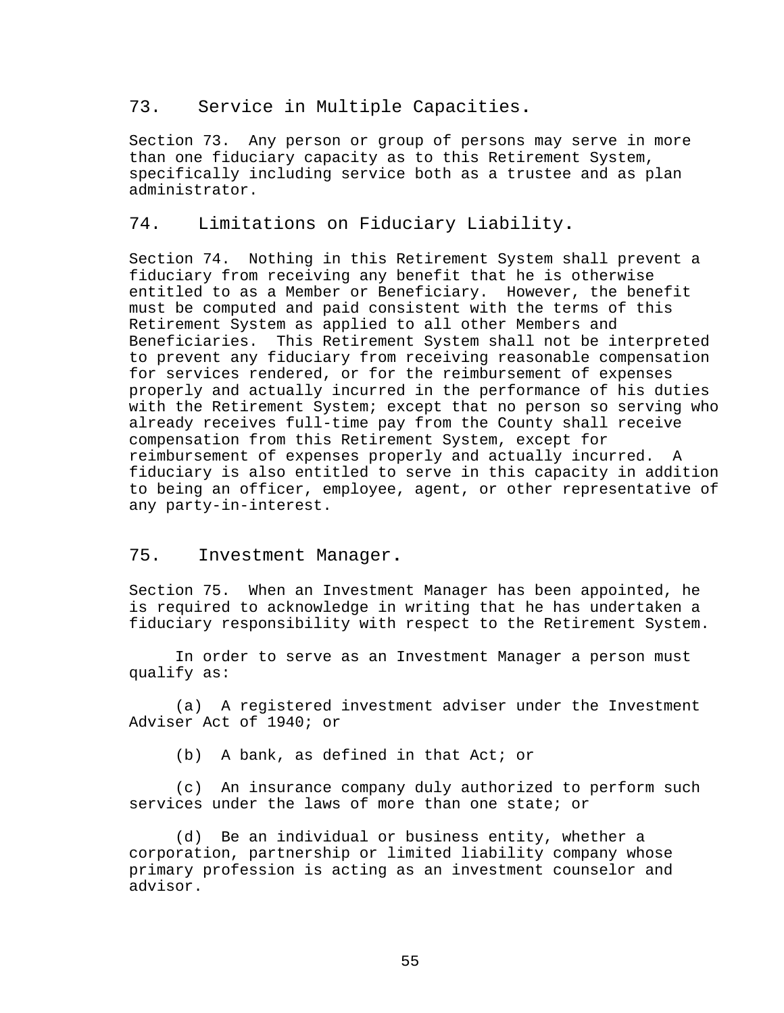### <span id="page-61-0"></span>73. Service in Multiple Capacities**.**

Section 73. Any person or group of persons may serve in more than one fiduciary capacity as to this Retirement System, specifically including service both as a trustee and as plan administrator.

## <span id="page-61-1"></span>74. Limitations on Fiduciary Liability**.**

Section 74. Nothing in this Retirement System shall prevent a fiduciary from receiving any benefit that he is otherwise entitled to as a Member or Beneficiary. However, the benefit must be computed and paid consistent with the terms of this Retirement System as applied to all other Members and Beneficiaries. This Retirement System shall not be interpreted to prevent any fiduciary from receiving reasonable compensation for services rendered, or for the reimbursement of expenses properly and actually incurred in the performance of his duties with the Retirement System; except that no person so serving who already receives full-time pay from the County shall receive compensation from this Retirement System, except for reimbursement of expenses properly and actually incurred. A fiduciary is also entitled to serve in this capacity in addition to being an officer, employee, agent, or other representative of any party-in-interest.

## <span id="page-61-2"></span>75. Investment Manager**.**

Section 75. When an Investment Manager has been appointed, he is required to acknowledge in writing that he has undertaken a fiduciary responsibility with respect to the Retirement System.

In order to serve as an Investment Manager a person must qualify as:

(a) A registered investment adviser under the Investment Adviser Act of 1940; or

(b) A bank, as defined in that Act; or

(c) An insurance company duly authorized to perform such services under the laws of more than one state; or

(d) Be an individual or business entity, whether a corporation, partnership or limited liability company whose primary profession is acting as an investment counselor and advisor.